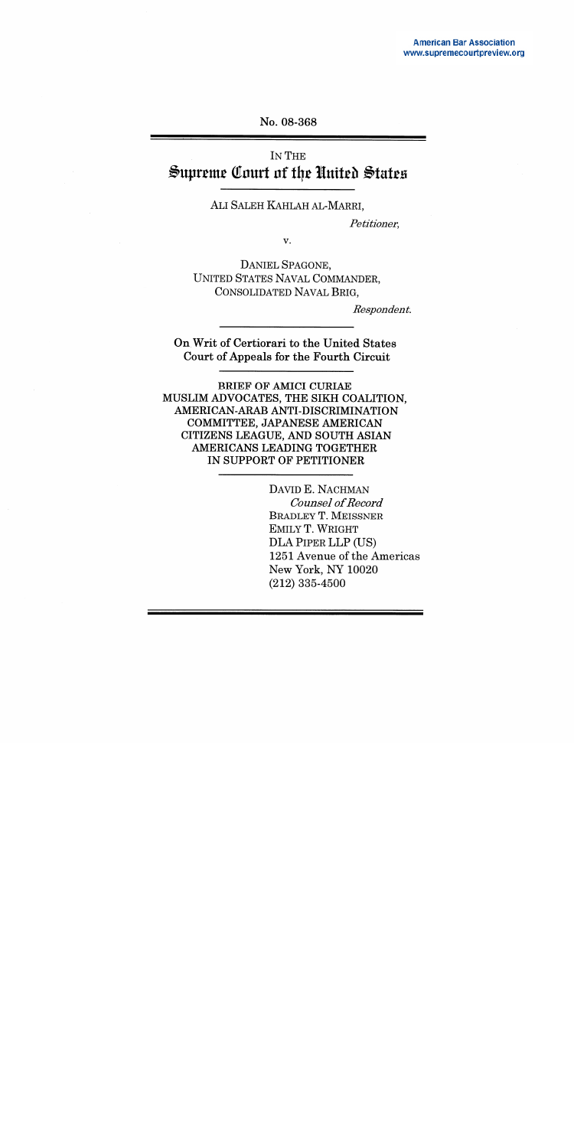#### No. 08-368

# IN THE Supreme Court of the United States

#### ALI SALEH KAHLAH AL-MARRI,

Petitioner,

v.

DANIEL SPAGONE, UNITED STATES NAVAL COMMANDER, CONSOLIDATED NAVAL BRIG.

Respondent.

On Writ of Certiorari to the United States Court of Appeals for the Fourth Circuit

**BRIEF OF AMICI CURIAE** MUSLIM ADVOCATES, THE SIKH COALITION, AMERICAN-ARAB ANTI-DISCRIMINATION COMMITTEE, JAPANESE AMERICAN CITIZENS LEAGUE, AND SOUTH ASIAN AMERICANS LEADING TOGETHER IN SUPPORT OF PETITIONER

> DAVID E. NACHMAN **Counsel of Record BRADLEY T. MEISSNER** EMILY T. WRIGHT DLA PIPER LLP (US) 1251 Avenue of the Americas New York, NY 10020  $(212)$  335-4500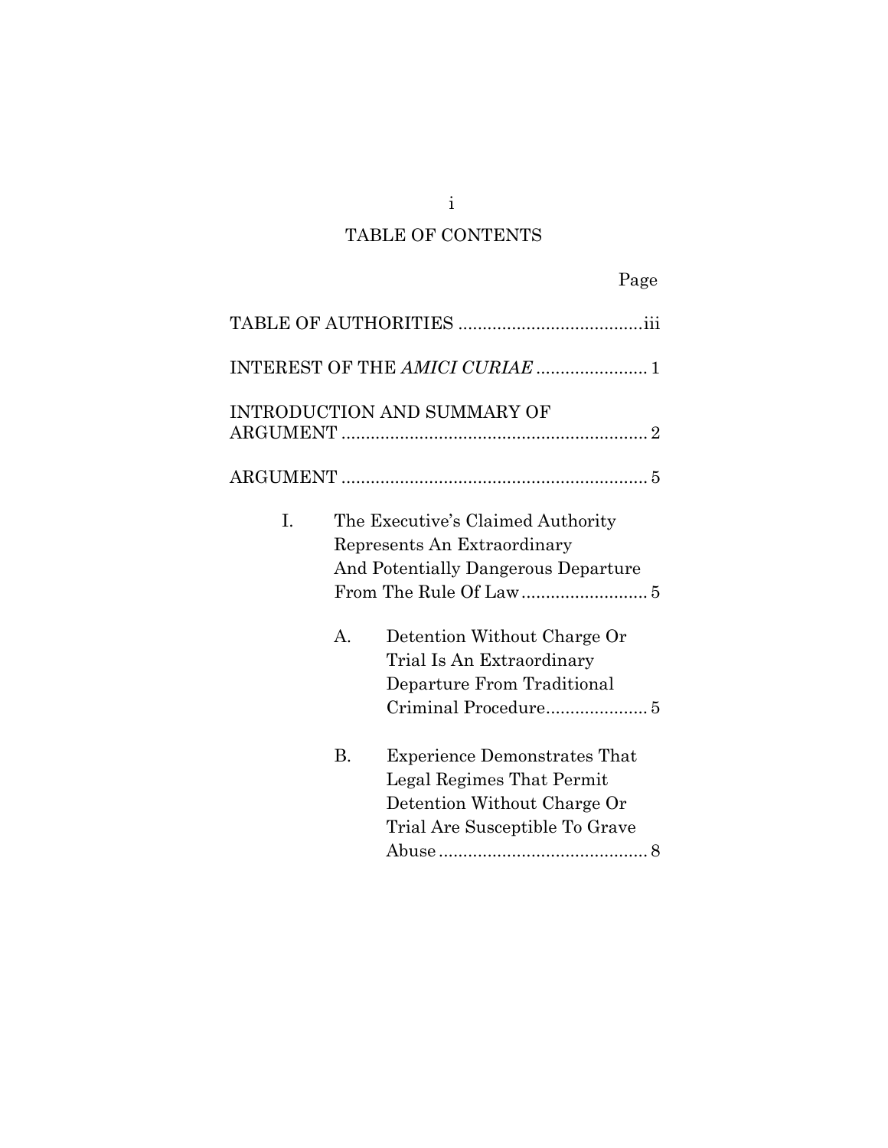# TABLE OF CONTENTS

|--|--|

|                |                | INTEREST OF THE AMICI CURIAE  1                                                                                                                                                                   |
|----------------|----------------|---------------------------------------------------------------------------------------------------------------------------------------------------------------------------------------------------|
|                |                | INTRODUCTION AND SUMMARY OF                                                                                                                                                                       |
|                |                |                                                                                                                                                                                                   |
| $\mathbf{I}$ . | $\mathbf{A}$ . | The Executive's Claimed Authority<br>Represents An Extraordinary<br>And Potentially Dangerous Departure<br>Detention Without Charge Or<br>Trial Is An Extraordinary<br>Departure From Traditional |
|                | <b>B.</b>      | <b>Experience Demonstrates That</b><br>Legal Regimes That Permit<br>Detention Without Charge Or<br>Trial Are Susceptible To Grave                                                                 |

i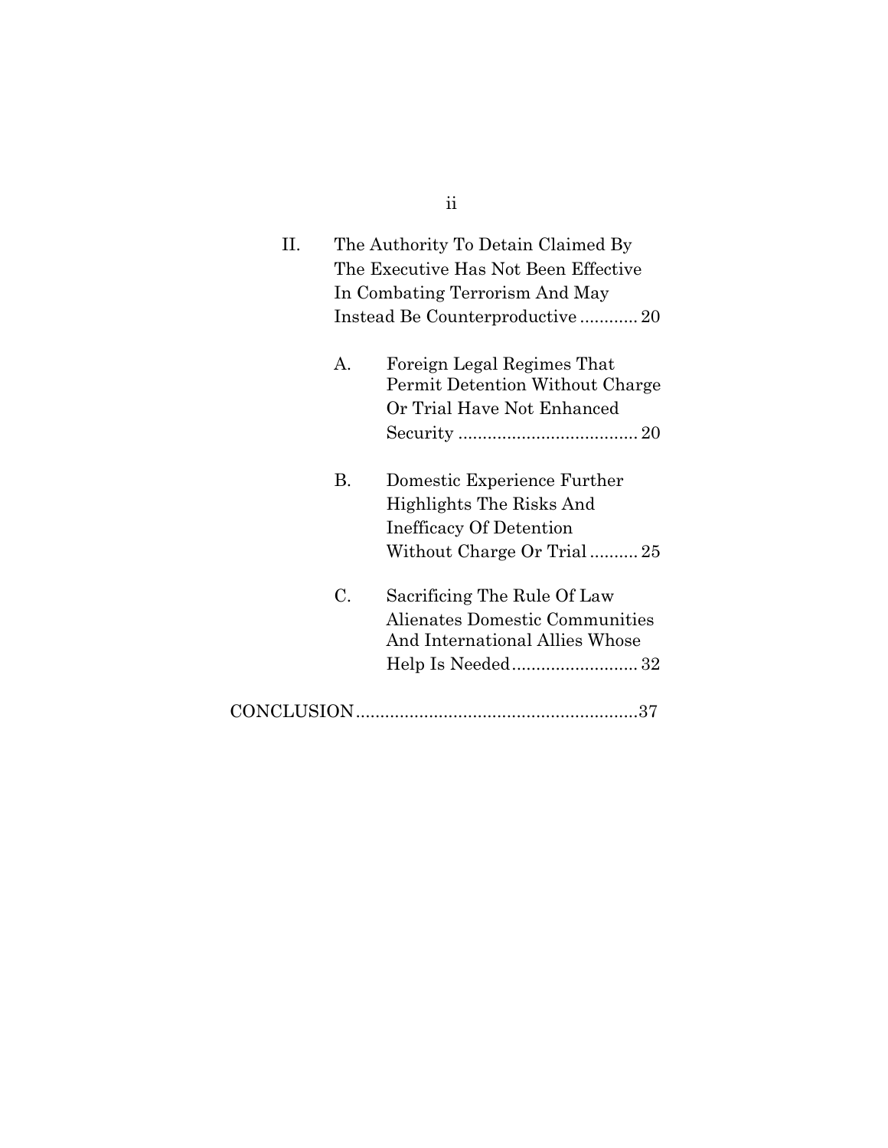| П. | The Authority To Detain Claimed By<br>The Executive Has Not Been Effective<br>In Combating Terrorism And May<br>Instead Be Counterproductive20 |                                                                                                                 |
|----|------------------------------------------------------------------------------------------------------------------------------------------------|-----------------------------------------------------------------------------------------------------------------|
|    | А.                                                                                                                                             | Foreign Legal Regimes That<br>Permit Detention Without Charge<br>Or Trial Have Not Enhanced                     |
|    | В.                                                                                                                                             | Domestic Experience Further<br>Highlights The Risks And<br>Inefficacy Of Detention<br>Without Charge Or Trial25 |
|    | C.                                                                                                                                             | Sacrificing The Rule Of Law<br>Alienates Domestic Communities<br>And International Allies Whose                 |
|    |                                                                                                                                                |                                                                                                                 |

ii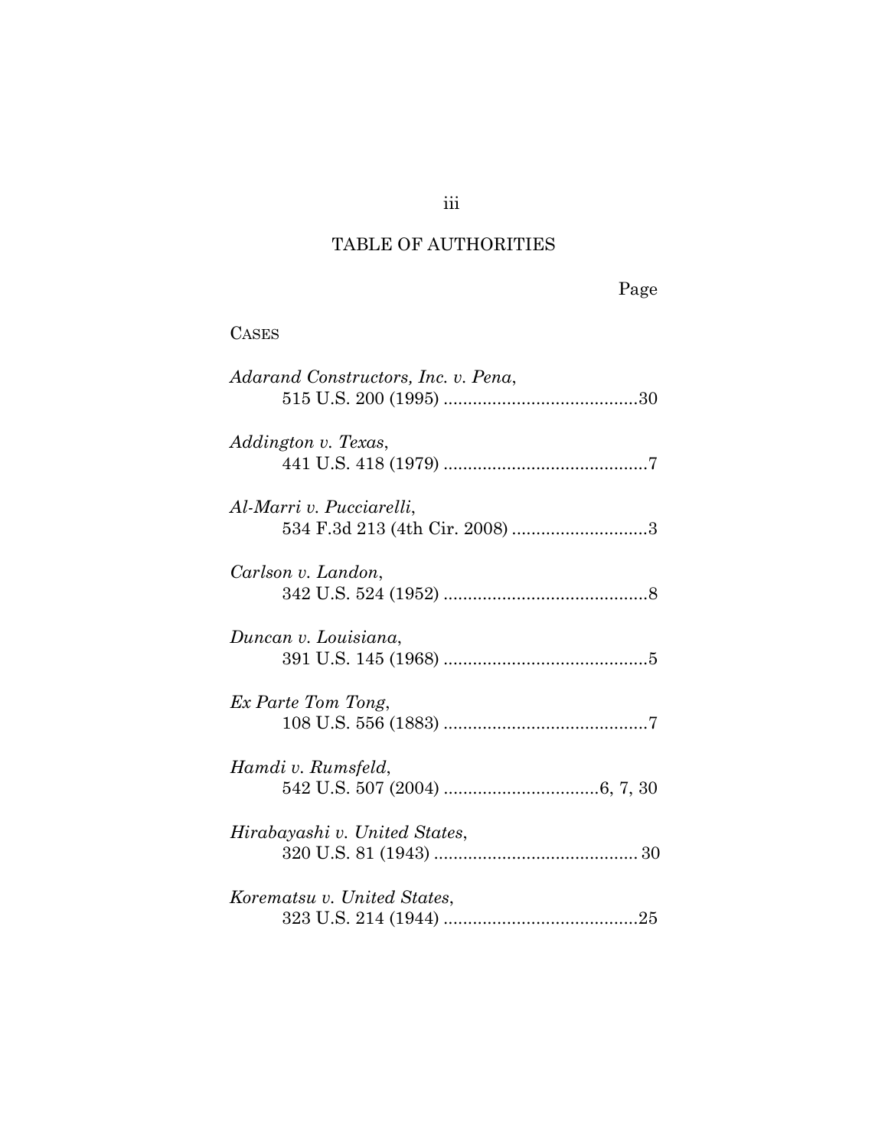# TABLE OF AUTHORITIES

 $\alpha$  second

| CASES                                                      |
|------------------------------------------------------------|
| Adarand Constructors, Inc. v. Pena,                        |
| Addington v. Texas,                                        |
| Al-Marri v. Pucciarelli.<br>534 F.3d 213 (4th Cir. 2008) 3 |
| Carlson v. Landon,                                         |
| Duncan v. Louisiana,                                       |
| Ex Parte Tom Tong,                                         |
| Hamdi v. Rumsfeld,                                         |
| Hirabayashi v. United States,                              |
| Korematsu v. United States,                                |

iii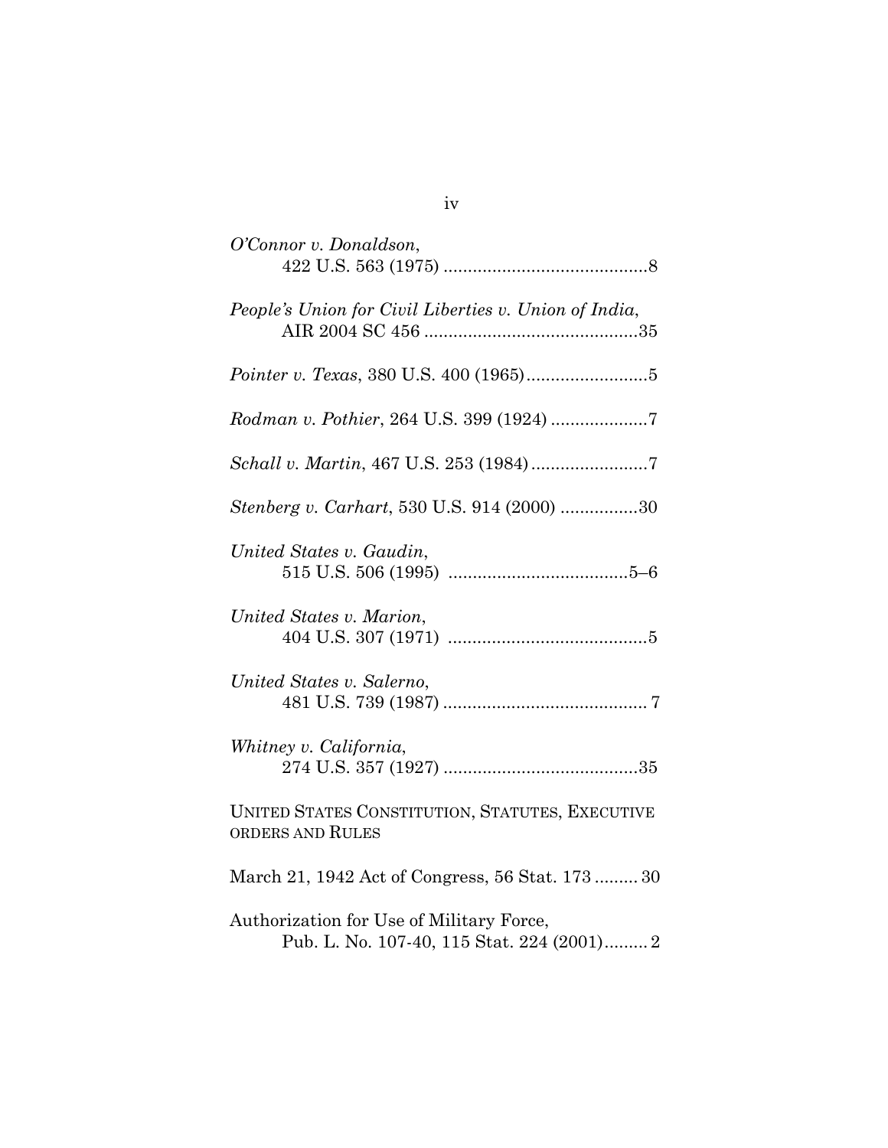| O'Connor v. Donaldson,                                                                 |
|----------------------------------------------------------------------------------------|
| People's Union for Civil Liberties v. Union of India,                                  |
|                                                                                        |
|                                                                                        |
|                                                                                        |
| <i>Stenberg v. Carhart,</i> 530 U.S. 914 (2000) 30                                     |
| United States v. Gaudin,                                                               |
| United States v. Marion,                                                               |
| United States v. Salerno,                                                              |
| Whitney v. California,                                                                 |
| UNITED STATES CONSTITUTION, STATUTES, EXECUTIVE<br>ORDERS AND RULES                    |
| March 21, 1942 Act of Congress, 56 Stat. 173 30                                        |
| Authorization for Use of Military Force,<br>Pub. L. No. 107-40, 115 Stat. 224 (2001) 2 |

iv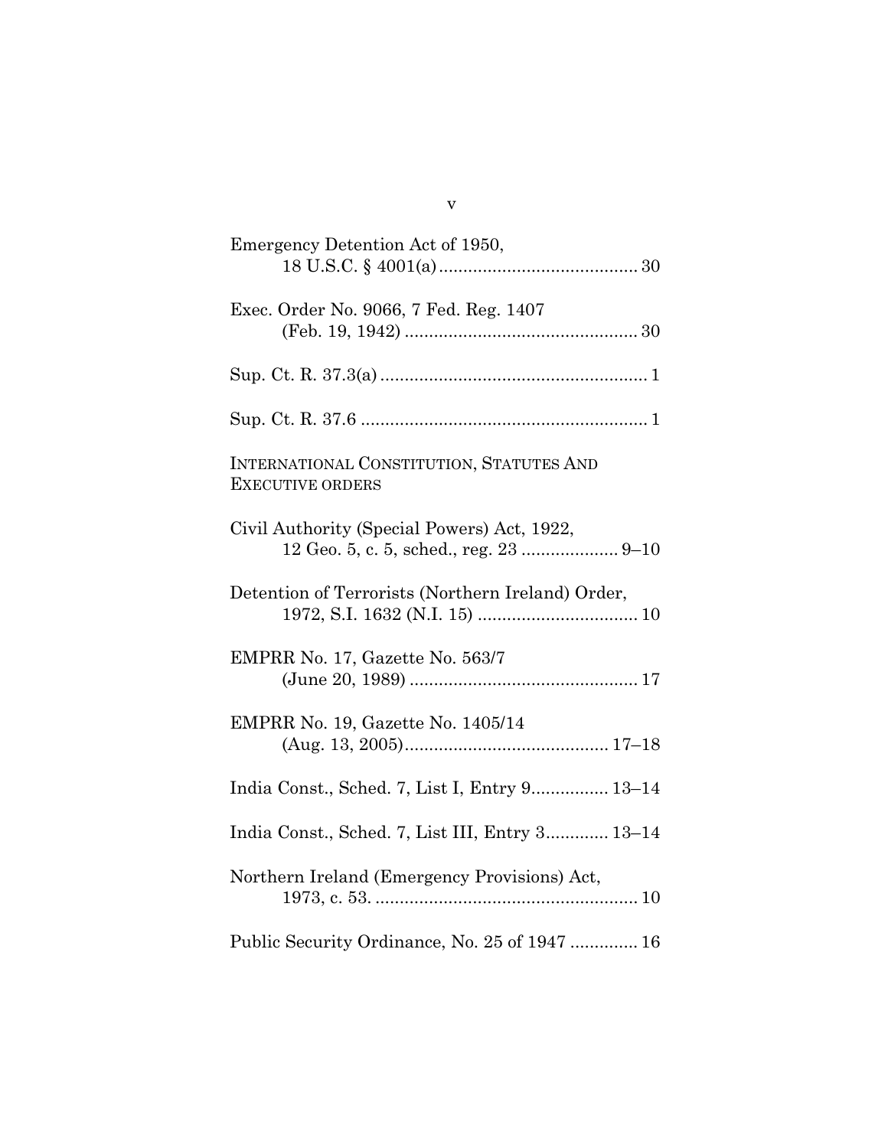| Emergency Detention Act of 1950,                                                      |
|---------------------------------------------------------------------------------------|
| Exec. Order No. 9066, 7 Fed. Reg. 1407                                                |
|                                                                                       |
|                                                                                       |
| INTERNATIONAL CONSTITUTION, STATUTES AND<br><b>EXECUTIVE ORDERS</b>                   |
| Civil Authority (Special Powers) Act, 1922,<br>12 Geo. 5, c. 5, sched., reg. 23  9-10 |
| Detention of Terrorists (Northern Ireland) Order,                                     |
| EMPRR No. 17, Gazette No. 563/7                                                       |
| EMPRR No. 19, Gazette No. 1405/14                                                     |
| India Const., Sched. 7, List I, Entry 9 13-14                                         |
| India Const., Sched. 7, List III, Entry 3 13-14                                       |
| Northern Ireland (Emergency Provisions) Act,                                          |
| Public Security Ordinance, No. 25 of 1947  16                                         |

v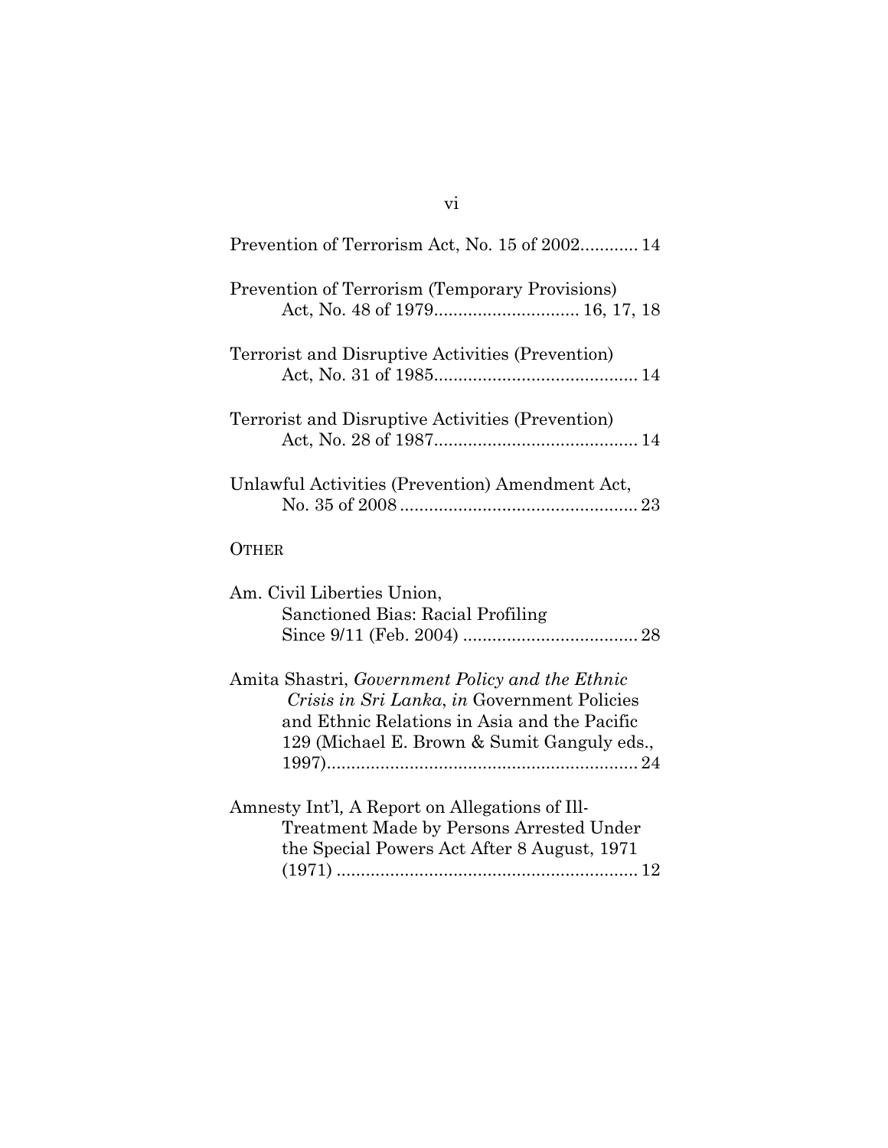| Prevention of Terrorism Act, No. 15 of 2002 14                                                                                                                                                |
|-----------------------------------------------------------------------------------------------------------------------------------------------------------------------------------------------|
| <b>Prevention of Terrorism (Temporary Provisions)</b><br>Act, No. 48 of 1979 16, 17, 18                                                                                                       |
| Terrorist and Disruptive Activities (Prevention)                                                                                                                                              |
| Terrorist and Disruptive Activities (Prevention)                                                                                                                                              |
| Unlawful Activities (Prevention) Amendment Act,                                                                                                                                               |
| <b>OTHER</b>                                                                                                                                                                                  |
| Am. Civil Liberties Union,<br>Sanctioned Bias: Racial Profiling                                                                                                                               |
| Amita Shastri, Government Policy and the Ethnic<br>Crisis in Sri Lanka, in Government Policies<br>and Ethnic Relations in Asia and the Pacific<br>129 (Michael E. Brown & Sumit Ganguly eds., |
| Amnesty Int'l, A Report on Allegations of Ill-<br>Treatment Made by Persons Arrested Under<br>the Special Powers Act After 8 August, 1971                                                     |

#### vi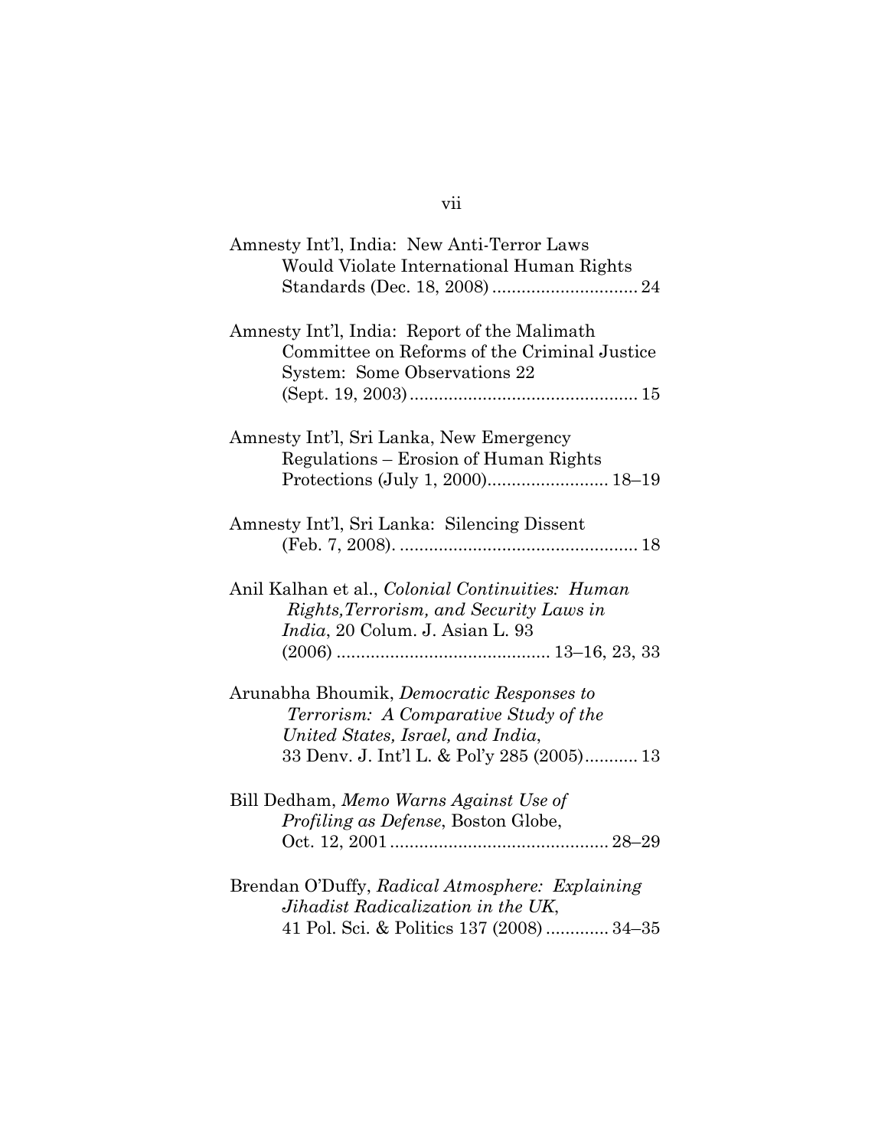| Amnesty Int'l, India: New Anti-Terror Laws<br>Would Violate International Human Rights                                                                                       |
|------------------------------------------------------------------------------------------------------------------------------------------------------------------------------|
| Amnesty Int'l, India: Report of the Malimath<br>Committee on Reforms of the Criminal Justice<br>System: Some Observations 22                                                 |
| Amnesty Int'l, Sri Lanka, New Emergency<br>Regulations – Erosion of Human Rights                                                                                             |
| Amnesty Int'l, Sri Lanka: Silencing Dissent                                                                                                                                  |
| Anil Kalhan et al., Colonial Continuities: Human<br>Rights, Terrorism, and Security Laws in<br><i>India</i> , 20 Colum. J. Asian L. 93                                       |
| Arunabha Bhoumik, <i>Democratic Responses to</i><br>Terrorism: A Comparative Study of the<br>United States, Israel, and India,<br>33 Denv. J. Int'l L. & Pol'y 285 (2005) 13 |
| Bill Dedham, Memo Warns Against Use of<br>Profiling as Defense, Boston Globe,                                                                                                |
| Brendan O'Duffy, Radical Atmosphere: Explaining<br>Jihadist Radicalization in the UK,<br>41 Pol. Sci. & Politics 137 (2008)  34-35                                           |

vii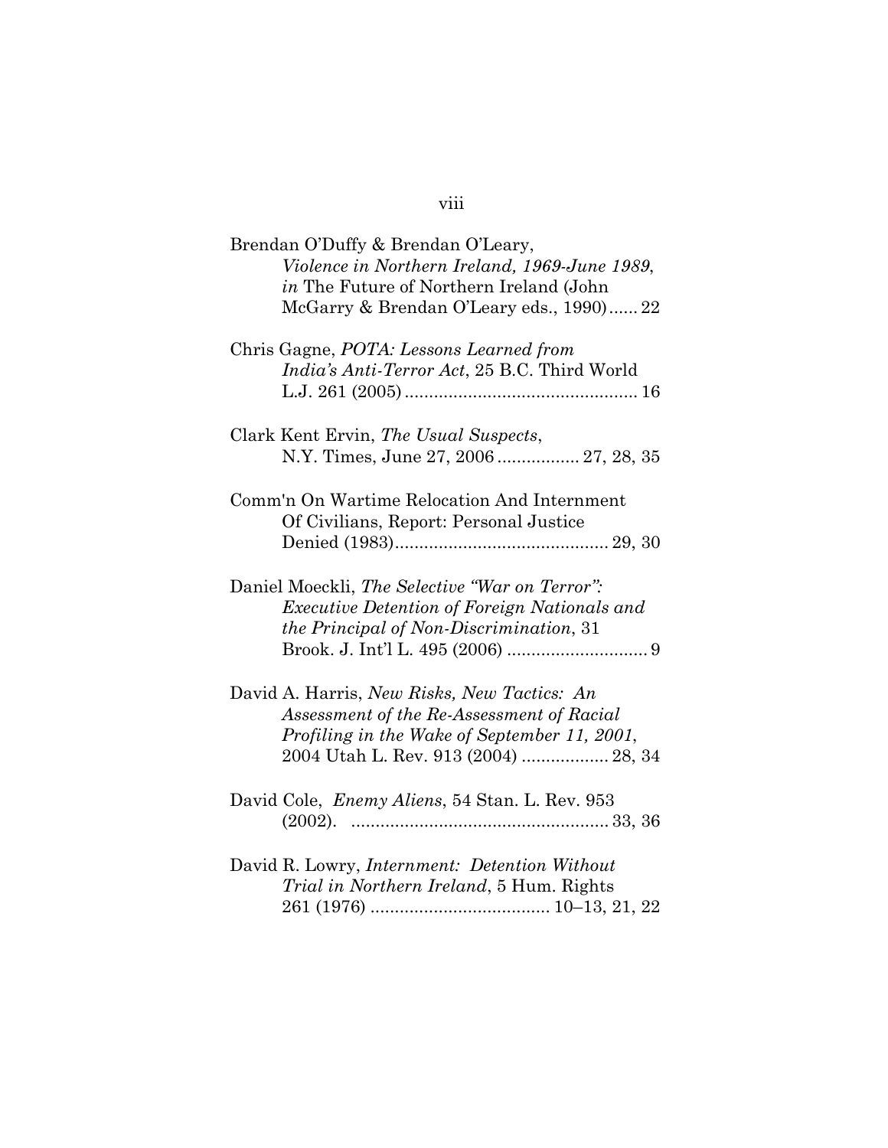## viii

| Brendan O'Duffy & Brendan O'Leary,<br>Violence in Northern Ireland, 1969-June 1989,<br><i>in</i> The Future of Northern Ireland (John<br>McGarry & Brendan O'Leary eds., 1990) 22 |
|-----------------------------------------------------------------------------------------------------------------------------------------------------------------------------------|
| Chris Gagne, POTA: Lessons Learned from<br><i>India's Anti-Terror Act</i> , 25 B.C. Third World                                                                                   |
| Clark Kent Ervin, The Usual Suspects,<br>N.Y. Times, June 27, 2006 27, 28, 35                                                                                                     |
| Comm'n On Wartime Relocation And Internment<br>Of Civilians, Report: Personal Justice                                                                                             |
| Daniel Moeckli, The Selective "War on Terror":<br><i>Executive Detention of Foreign Nationals and</i><br><i>the Principal of Non-Discrimination, 31</i>                           |
| David A. Harris, New Risks, New Tactics: An<br>Assessment of the Re-Assessment of Racial<br>Profiling in the Wake of September 11, 2001,<br>2004 Utah L. Rev. 913 (2004)  28, 34  |
| David Cole, Enemy Aliens, 54 Stan. L. Rev. 953                                                                                                                                    |
| David R. Lowry, <i>Internment: Detention Without</i><br><i>Trial in Northern Ireland</i> , 5 Hum. Rights                                                                          |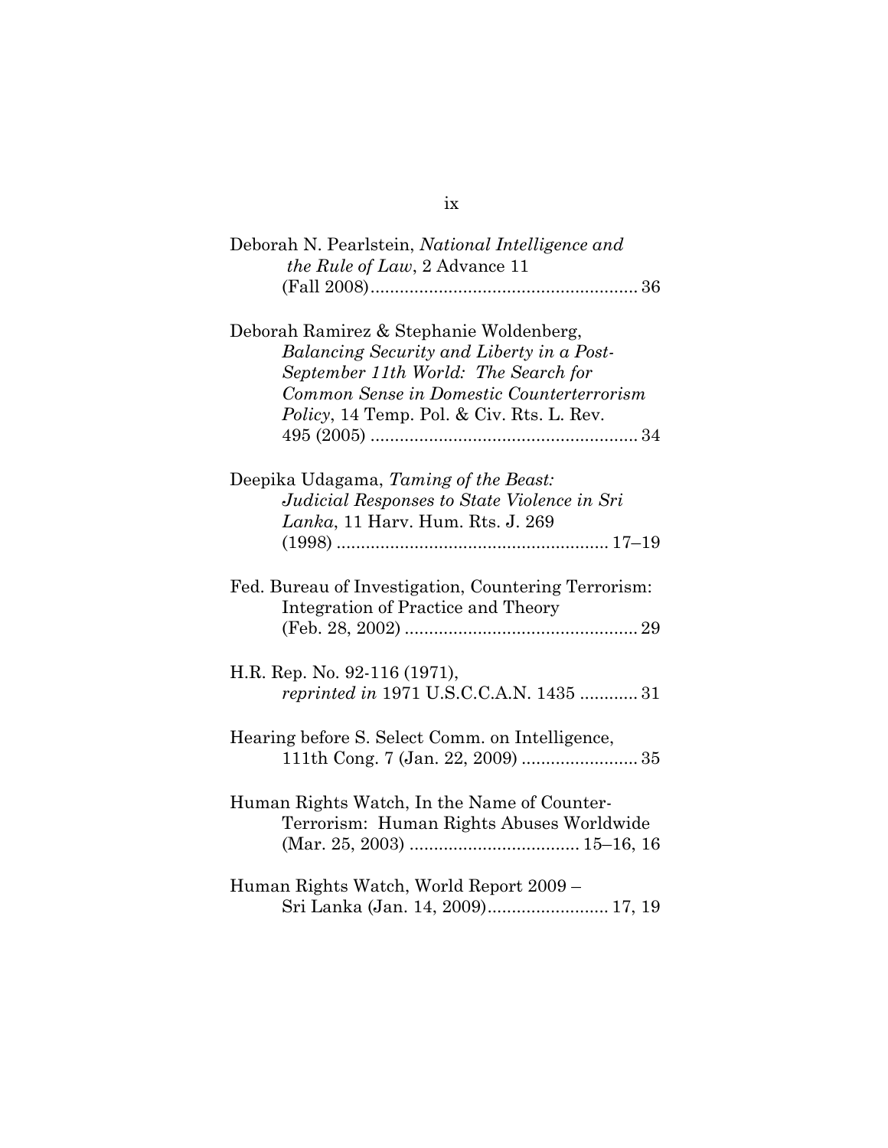| Deborah N. Pearlstein, National Intelligence and<br>the Rule of Law, 2 Advance 11                                                                                                                                      |
|------------------------------------------------------------------------------------------------------------------------------------------------------------------------------------------------------------------------|
|                                                                                                                                                                                                                        |
| Deborah Ramirez & Stephanie Woldenberg,<br>Balancing Security and Liberty in a Post-<br>September 11th World: The Search for<br>Common Sense in Domestic Counterterrorism<br>Policy, 14 Temp. Pol. & Civ. Rts. L. Rev. |
| Deepika Udagama, Taming of the Beast:<br>Judicial Responses to State Violence in Sri<br><i>Lanka</i> , 11 Harv. Hum. Rts. J. 269                                                                                       |
|                                                                                                                                                                                                                        |
| Fed. Bureau of Investigation, Countering Terrorism:<br>Integration of Practice and Theory                                                                                                                              |
|                                                                                                                                                                                                                        |
| H.R. Rep. No. 92-116 (1971),<br>reprinted in 1971 U.S.C.C.A.N. 1435  31                                                                                                                                                |
| Hearing before S. Select Comm. on Intelligence,                                                                                                                                                                        |
| Human Rights Watch, In the Name of Counter-<br>Terrorism: Human Rights Abuses Worldwide                                                                                                                                |
| Human Rights Watch, World Report 2009 -<br>Sri Lanka (Jan. 14, 2009) 17, 19                                                                                                                                            |

#### ix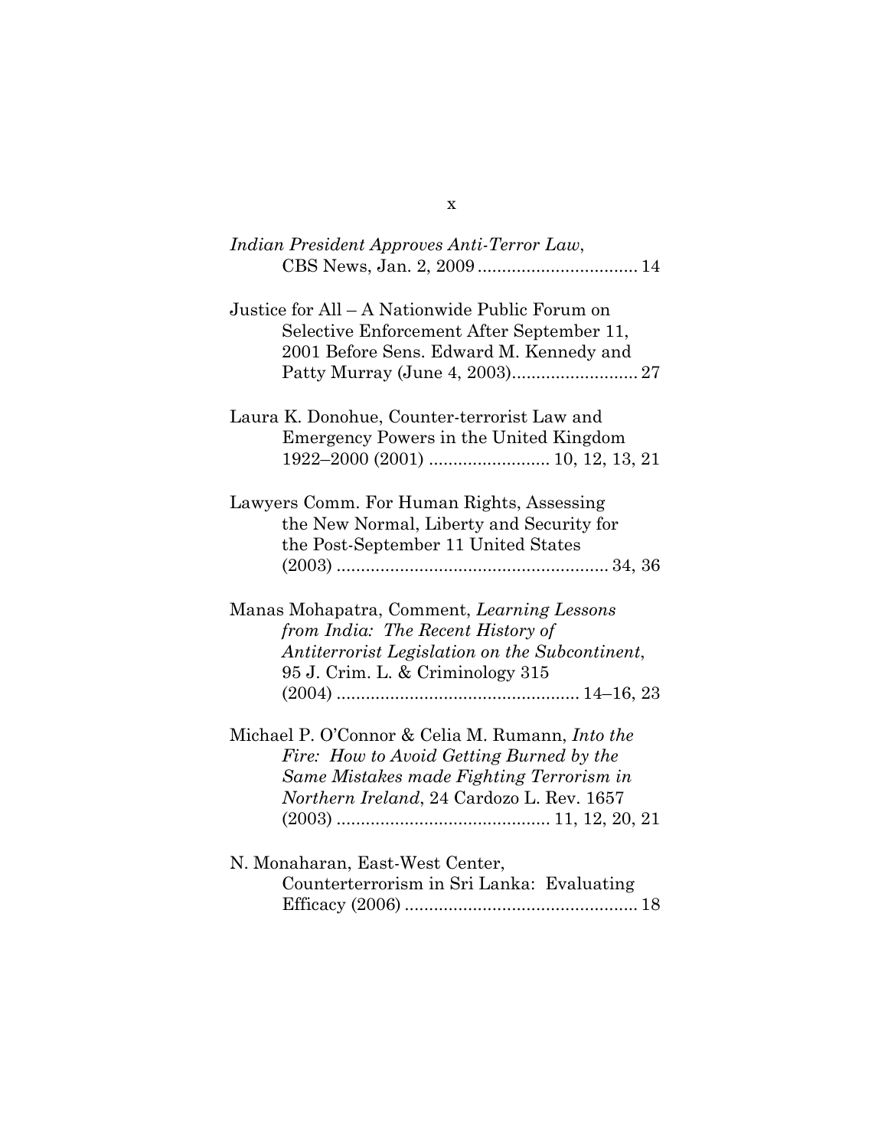| Indian President Approves Anti-Terror Law,                                                                                                                                                  |
|---------------------------------------------------------------------------------------------------------------------------------------------------------------------------------------------|
| Justice for All - A Nationwide Public Forum on<br>Selective Enforcement After September 11,<br>2001 Before Sens. Edward M. Kennedy and                                                      |
| Laura K. Donohue, Counter-terrorist Law and<br>Emergency Powers in the United Kingdom                                                                                                       |
| Lawyers Comm. For Human Rights, Assessing<br>the New Normal, Liberty and Security for<br>the Post-September 11 United States                                                                |
| Manas Mohapatra, Comment, Learning Lessons<br>from India: The Recent History of<br>Antiterrorist Legislation on the Subcontinent,<br>95 J. Crim. L. & Criminology 315                       |
| Michael P. O'Connor & Celia M. Rumann, <i>Into the</i><br>Fire: How to Avoid Getting Burned by the<br>Same Mistakes made Fighting Terrorism in<br>Northern Ireland, 24 Cardozo L. Rev. 1657 |
| N. Monaharan, East-West Center,<br>Counterterrorism in Sri Lanka: Evaluating                                                                                                                |

x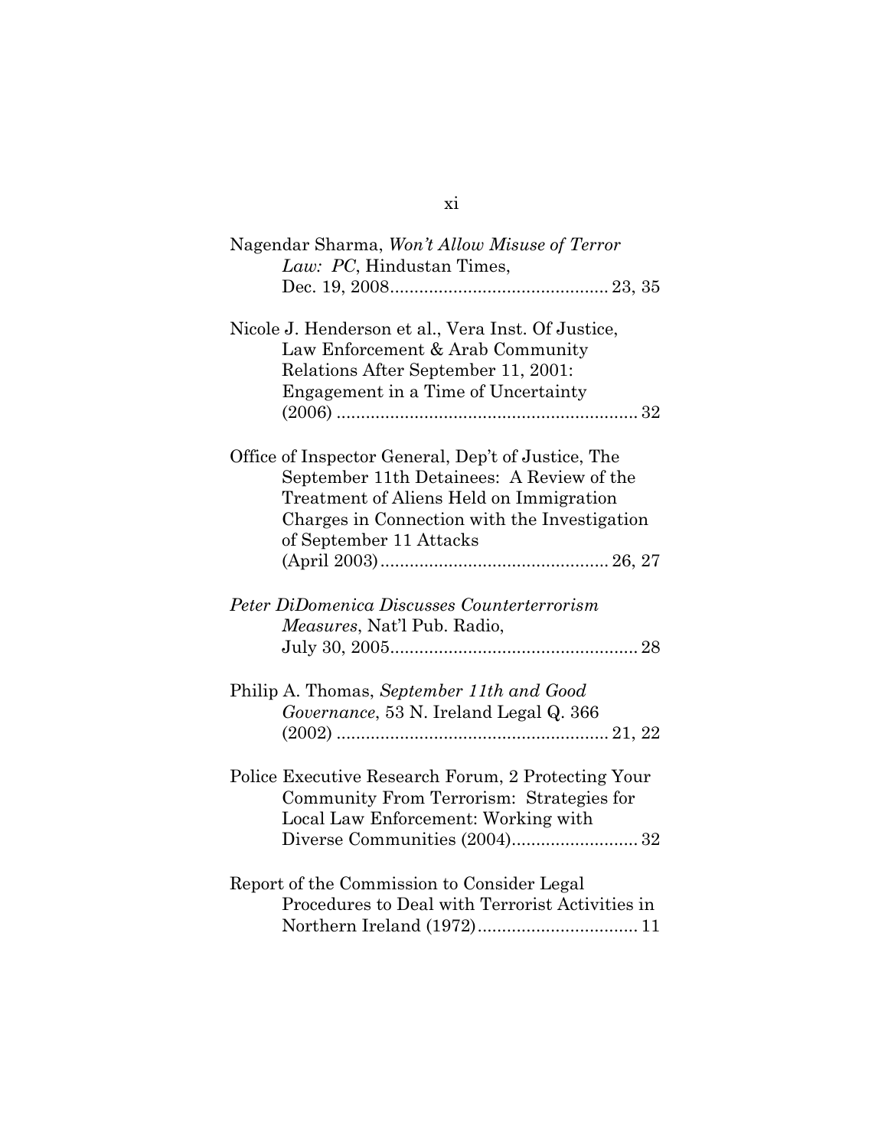| Nagendar Sharma, Won't Allow Misuse of Terror<br>Law: PC, Hindustan Times,                                                                                                                                            |  |
|-----------------------------------------------------------------------------------------------------------------------------------------------------------------------------------------------------------------------|--|
|                                                                                                                                                                                                                       |  |
| Nicole J. Henderson et al., Vera Inst. Of Justice,<br>Law Enforcement & Arab Community<br>Relations After September 11, 2001:<br>Engagement in a Time of Uncertainty                                                  |  |
| Office of Inspector General, Dep't of Justice, The<br>September 11th Detainees: A Review of the<br>Treatment of Aliens Held on Immigration<br>Charges in Connection with the Investigation<br>of September 11 Attacks |  |
| Peter DiDomenica Discusses Counterterrorism<br>Measures, Nat'l Pub. Radio,                                                                                                                                            |  |
| Philip A. Thomas, September 11th and Good<br>Governance, 53 N. Ireland Legal Q. 366                                                                                                                                   |  |
| Police Executive Research Forum, 2 Protecting Your<br>Community From Terrorism: Strategies for<br>Local Law Enforcement: Working with                                                                                 |  |
| Report of the Commission to Consider Legal<br>Procedures to Deal with Terrorist Activities in                                                                                                                         |  |

#### xi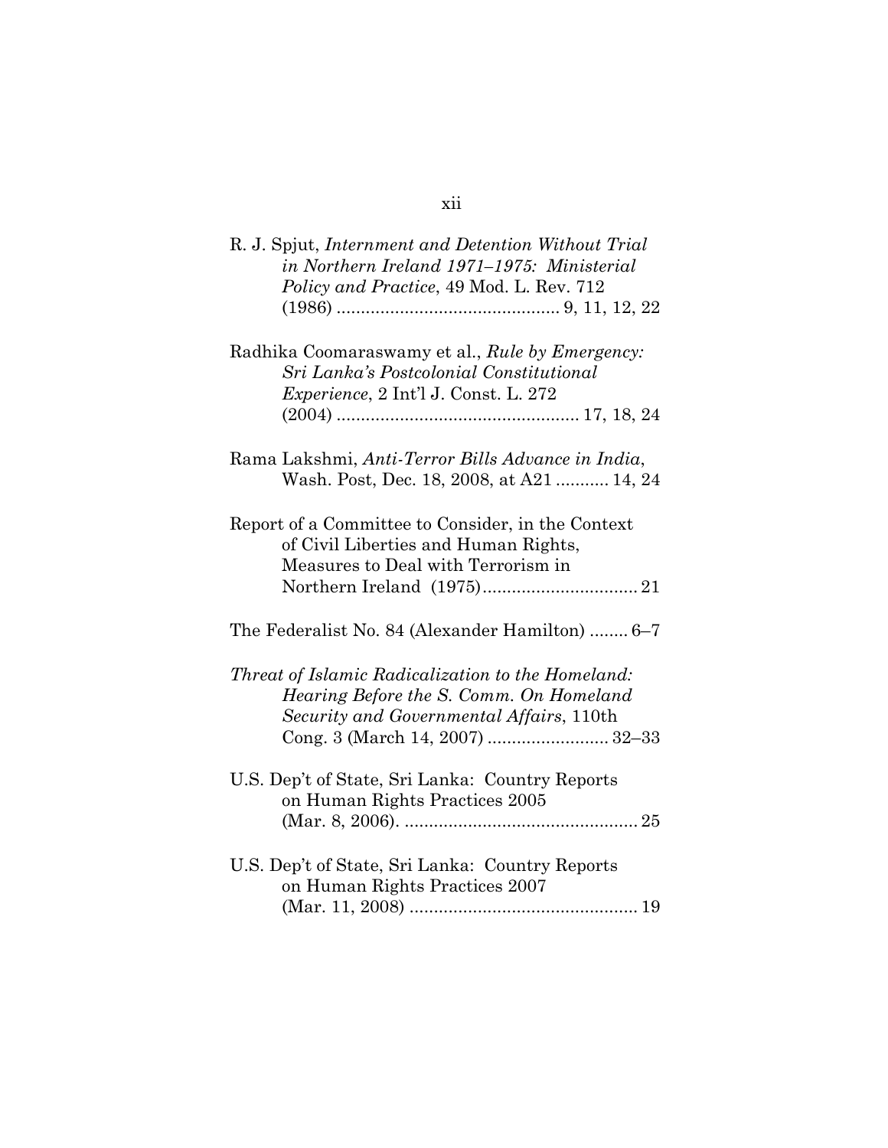| R. J. Spjut, Internment and Detention Without Trial<br>in Northern Ireland 1971–1975: Ministerial<br>Policy and Practice, 49 Mod. L. Rev. 712 |
|-----------------------------------------------------------------------------------------------------------------------------------------------|
| Radhika Coomaraswamy et al., Rule by Emergency:<br>Sri Lanka's Postcolonial Constitutional<br><i>Experience</i> , 2 Int'l J. Const. L. 272    |
| Rama Lakshmi, Anti-Terror Bills Advance in India,<br>Wash. Post, Dec. 18, 2008, at A21  14, 24                                                |
| Report of a Committee to Consider, in the Context<br>of Civil Liberties and Human Rights,<br>Measures to Deal with Terrorism in               |
| The Federalist No. 84 (Alexander Hamilton)  6–7                                                                                               |
| Threat of Islamic Radicalization to the Homeland:<br>Hearing Before the S. Comm. On Homeland<br>Security and Governmental Affairs, 110th      |
| U.S. Dep't of State, Sri Lanka: Country Reports<br>on Human Rights Practices 2005                                                             |
| U.S. Dep't of State, Sri Lanka: Country Reports<br>on Human Rights Practices 2007                                                             |

## xii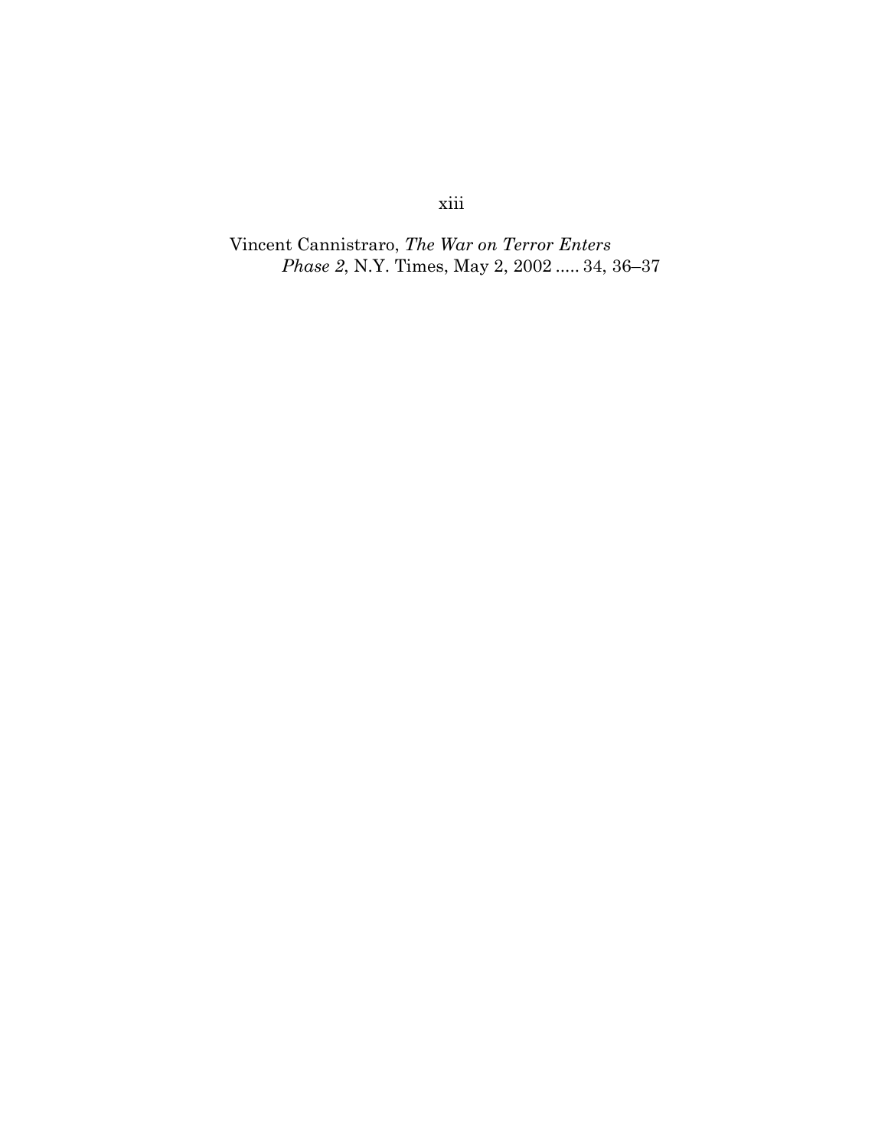# xiii

Vincent Cannistraro, *The War on Terror Enters Phase 2*, N.Y. Times, May 2, 2002 ..... 34, 36–37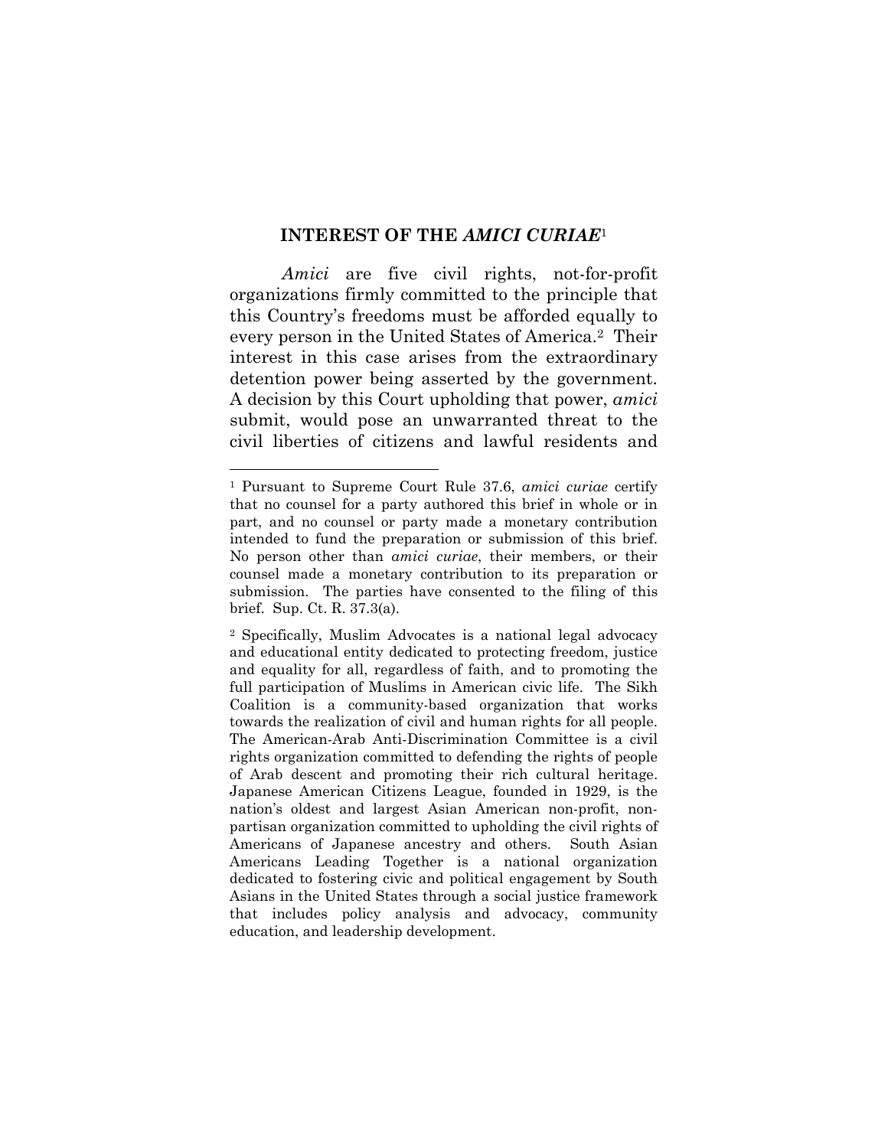#### **INTEREST OF THE** *AMICI CURIAE*<sup>1</sup>

*Amici* are five civil rights, not-for-profit organizations firmly committed to the principle that this Country's freedoms must be afforded equally to every person in the United States of America.2 Their interest in this case arises from the extraordinary detention power being asserted by the government. A decision by this Court upholding that power, *amici* submit, would pose an unwarranted threat to the civil liberties of citizens and lawful residents and

<sup>1</sup> Pursuant to Supreme Court Rule 37.6, *amici curiae* certify that no counsel for a party authored this brief in whole or in part, and no counsel or party made a monetary contribution intended to fund the preparation or submission of this brief. No person other than *amici curiae*, their members, or their counsel made a monetary contribution to its preparation or submission. The parties have consented to the filing of this brief. Sup. Ct. R. 37.3(a).

<sup>2</sup> Specifically, Muslim Advocates is a national legal advocacy and educational entity dedicated to protecting freedom, justice and equality for all, regardless of faith, and to promoting the full participation of Muslims in American civic life. The Sikh Coalition is a community-based organization that works towards the realization of civil and human rights for all people. The American-Arab Anti-Discrimination Committee is a civil rights organization committed to defending the rights of people of Arab descent and promoting their rich cultural heritage. Japanese American Citizens League, founded in 1929, is the nation's oldest and largest Asian American non-profit, nonpartisan organization committed to upholding the civil rights of Americans of Japanese ancestry and others. South Asian Americans Leading Together is a national organization dedicated to fostering civic and political engagement by South Asians in the United States through a social justice framework that includes policy analysis and advocacy, community education, and leadership development.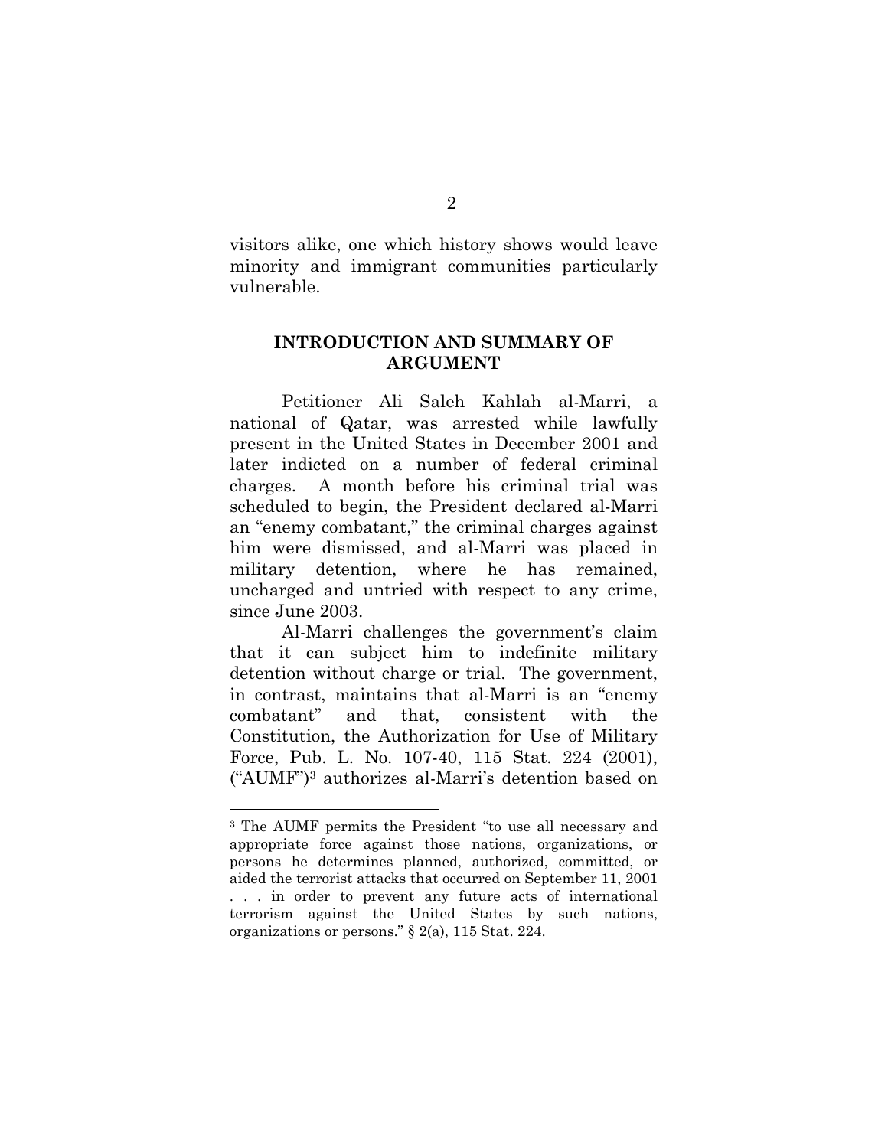visitors alike, one which history shows would leave minority and immigrant communities particularly vulnerable.

#### **INTRODUCTION AND SUMMARY OF ARGUMENT**

Petitioner Ali Saleh Kahlah al-Marri, a national of Qatar, was arrested while lawfully present in the United States in December 2001 and later indicted on a number of federal criminal charges. A month before his criminal trial was scheduled to begin, the President declared al-Marri an "enemy combatant," the criminal charges against him were dismissed, and al-Marri was placed in military detention, where he has remained, uncharged and untried with respect to any crime, since June 2003.

Al-Marri challenges the government's claim that it can subject him to indefinite military detention without charge or trial. The government, in contrast, maintains that al-Marri is an "enemy combatant" and that, consistent with the Constitution, the Authorization for Use of Military Force, Pub. L. No. 107-40, 115 Stat. 224 (2001), ("AUMF")3 authorizes al-Marri's detention based on

<sup>3</sup> The AUMF permits the President "to use all necessary and appropriate force against those nations, organizations, or persons he determines planned, authorized, committed, or aided the terrorist attacks that occurred on September 11, 2001 . . . in order to prevent any future acts of international terrorism against the United States by such nations, organizations or persons." § 2(a), 115 Stat. 224.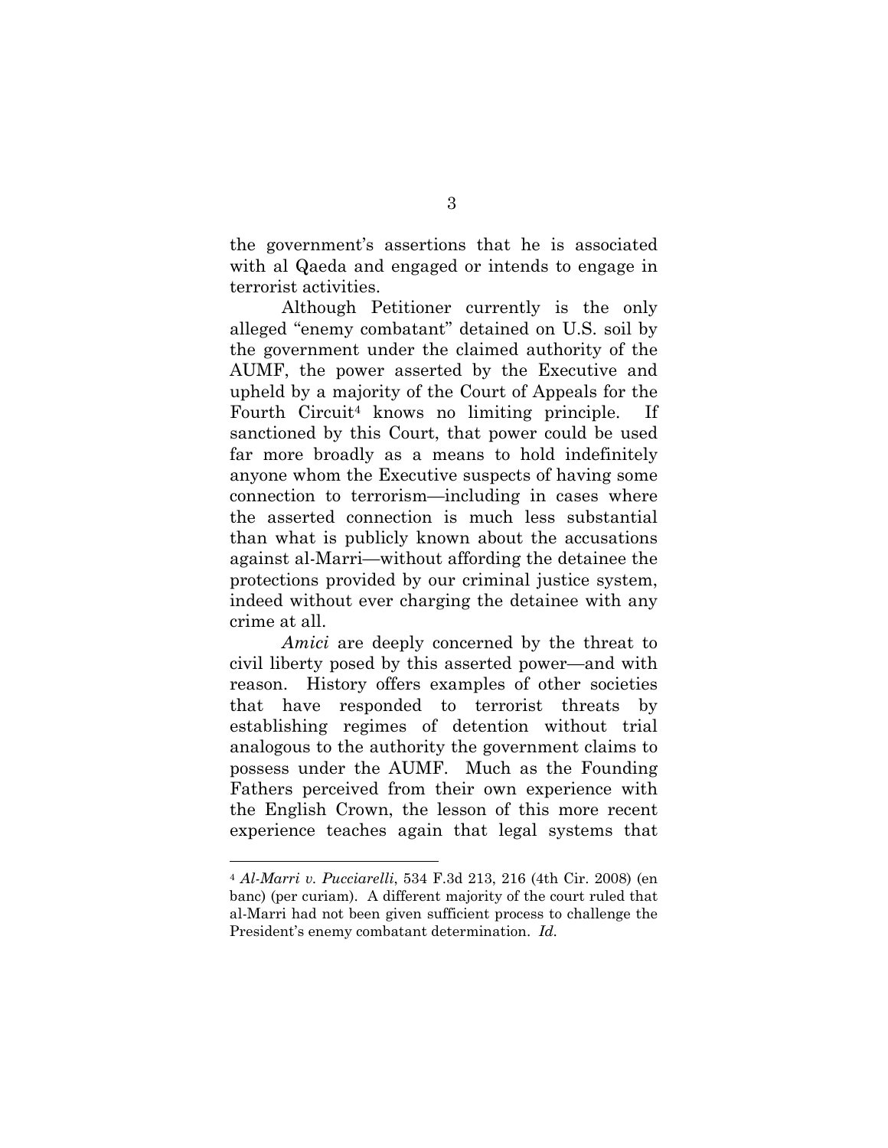the government's assertions that he is associated with al Qaeda and engaged or intends to engage in terrorist activities.

Although Petitioner currently is the only alleged "enemy combatant" detained on U.S. soil by the government under the claimed authority of the AUMF, the power asserted by the Executive and upheld by a majority of the Court of Appeals for the Fourth Circuit4 knows no limiting principle. If sanctioned by this Court, that power could be used far more broadly as a means to hold indefinitely anyone whom the Executive suspects of having some connection to terrorism—including in cases where the asserted connection is much less substantial than what is publicly known about the accusations against al-Marri—without affording the detainee the protections provided by our criminal justice system, indeed without ever charging the detainee with any crime at all.

*Amici* are deeply concerned by the threat to civil liberty posed by this asserted power—and with reason. History offers examples of other societies that have responded to terrorist threats by establishing regimes of detention without trial analogous to the authority the government claims to possess under the AUMF. Much as the Founding Fathers perceived from their own experience with the English Crown, the lesson of this more recent experience teaches again that legal systems that

<sup>4</sup> *Al-Marri v. Pucciarelli*, 534 F.3d 213, 216 (4th Cir. 2008) (en banc) (per curiam). A different majority of the court ruled that al-Marri had not been given sufficient process to challenge the President's enemy combatant determination. *Id.*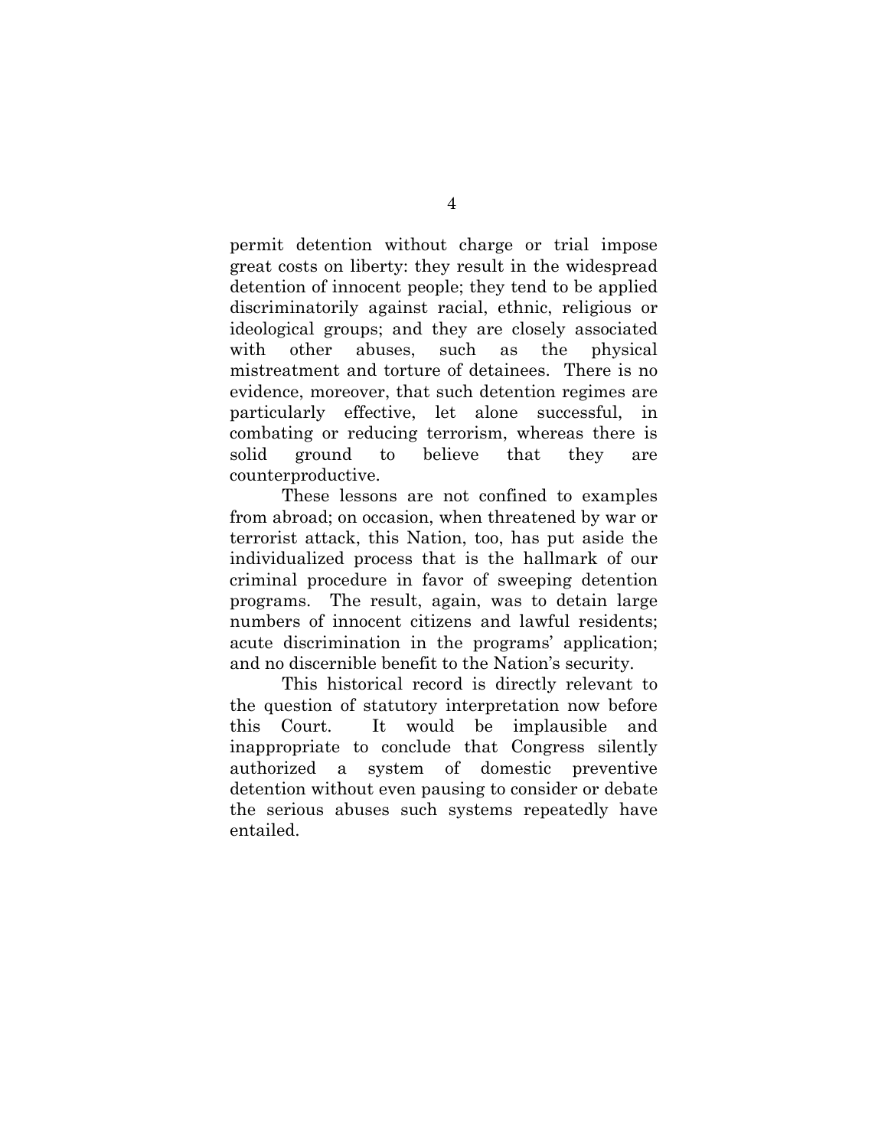permit detention without charge or trial impose great costs on liberty: they result in the widespread detention of innocent people; they tend to be applied discriminatorily against racial, ethnic, religious or ideological groups; and they are closely associated with other abuses, such as the physical mistreatment and torture of detainees. There is no evidence, moreover, that such detention regimes are particularly effective, let alone successful, in combating or reducing terrorism, whereas there is solid ground to believe that they are counterproductive.

These lessons are not confined to examples from abroad; on occasion, when threatened by war or terrorist attack, this Nation, too, has put aside the individualized process that is the hallmark of our criminal procedure in favor of sweeping detention programs. The result, again, was to detain large numbers of innocent citizens and lawful residents; acute discrimination in the programs' application; and no discernible benefit to the Nation's security.

This historical record is directly relevant to the question of statutory interpretation now before this Court. It would be implausible and inappropriate to conclude that Congress silently authorized a system of domestic preventive detention without even pausing to consider or debate the serious abuses such systems repeatedly have entailed.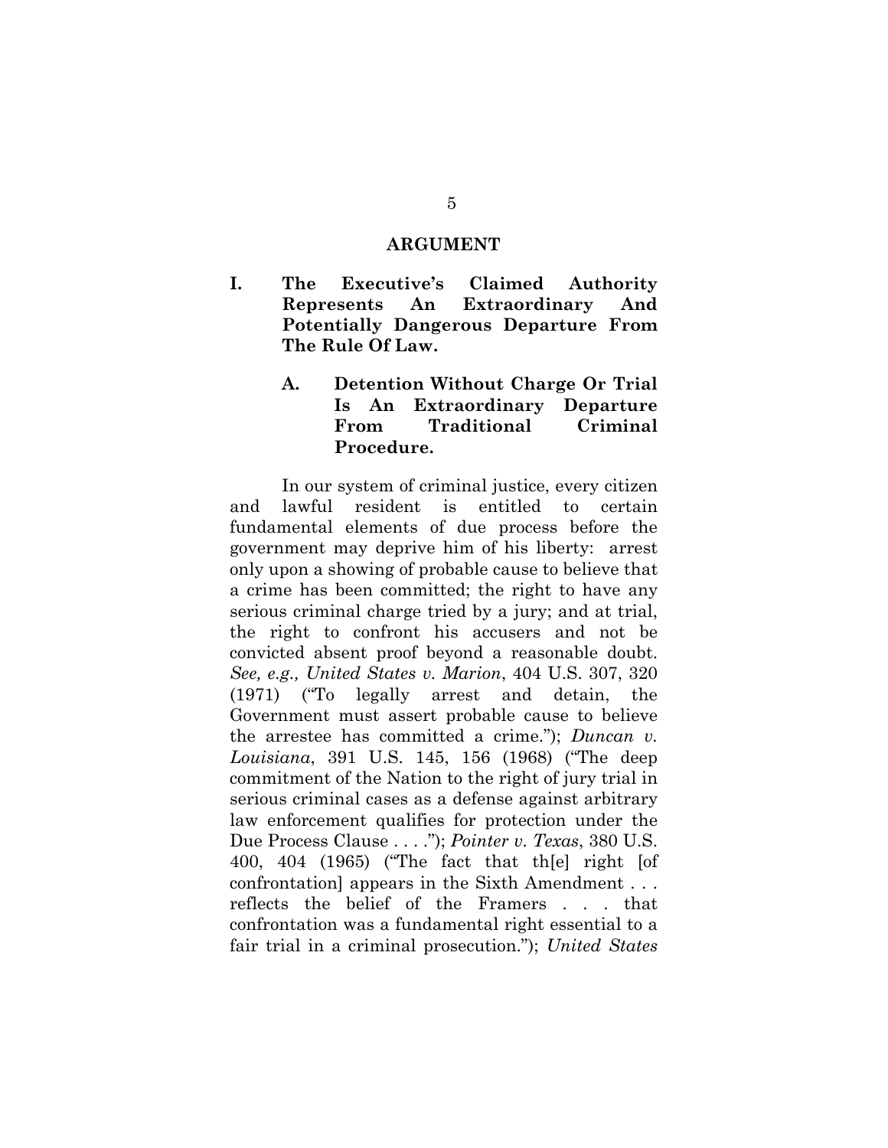#### **ARGUMENT**

**I. The Executive's Claimed Authority Represents An Extraordinary And Potentially Dangerous Departure From The Rule Of Law.** 

## **A. Detention Without Charge Or Trial Is An Extraordinary Departure From Traditional Criminal Procedure.**

In our system of criminal justice, every citizen and lawful resident is entitled to certain fundamental elements of due process before the government may deprive him of his liberty: arrest only upon a showing of probable cause to believe that a crime has been committed; the right to have any serious criminal charge tried by a jury; and at trial, the right to confront his accusers and not be convicted absent proof beyond a reasonable doubt. *See, e.g., United States v. Marion*, 404 U.S. 307, 320 (1971) ("To legally arrest and detain, the Government must assert probable cause to believe the arrestee has committed a crime."); *Duncan v. Louisiana*, 391 U.S. 145, 156 (1968) ("The deep commitment of the Nation to the right of jury trial in serious criminal cases as a defense against arbitrary law enforcement qualifies for protection under the Due Process Clause . . . ."); *Pointer v. Texas*, 380 U.S. 400, 404 (1965) ("The fact that th[e] right [of confrontation] appears in the Sixth Amendment . . . reflects the belief of the Framers . . . that confrontation was a fundamental right essential to a fair trial in a criminal prosecution."); *United States*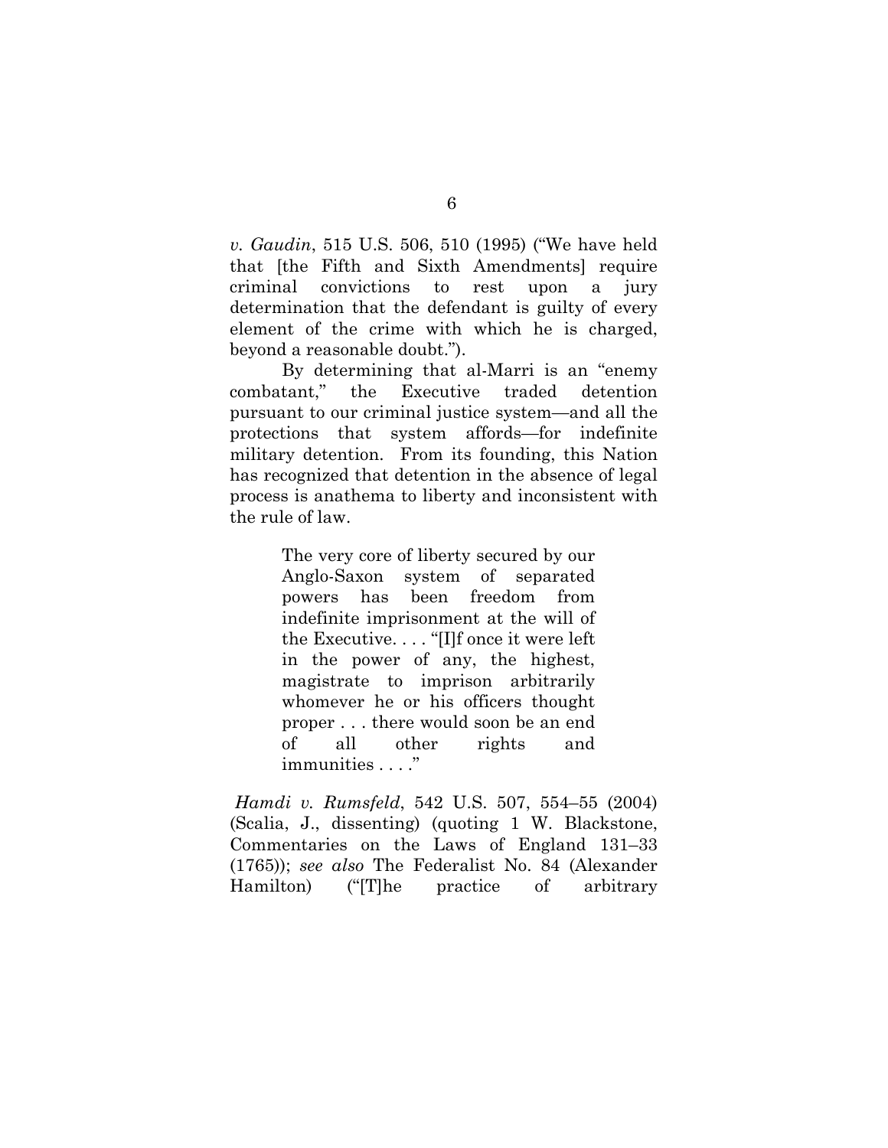*v. Gaudin*, 515 U.S. 506, 510 (1995) ("We have held that [the Fifth and Sixth Amendments] require criminal convictions to rest upon a jury determination that the defendant is guilty of every element of the crime with which he is charged, beyond a reasonable doubt.").

By determining that al-Marri is an "enemy combatant," the Executive traded detention pursuant to our criminal justice system—and all the protections that system affords—for indefinite military detention. From its founding, this Nation has recognized that detention in the absence of legal process is anathema to liberty and inconsistent with the rule of law.

> The very core of liberty secured by our Anglo-Saxon system of separated powers has been freedom from indefinite imprisonment at the will of the Executive. . . . "[I]f once it were left in the power of any, the highest, magistrate to imprison arbitrarily whomever he or his officers thought proper . . . there would soon be an end of all other rights and immunities . . . ."

 *Hamdi v. Rumsfeld*, 542 U.S. 507, 554–55 (2004) (Scalia, J., dissenting) (quoting 1 W. Blackstone, Commentaries on the Laws of England 131–33 (1765)); *see also* The Federalist No. 84 (Alexander Hamilton) ("[T]he practice of arbitrary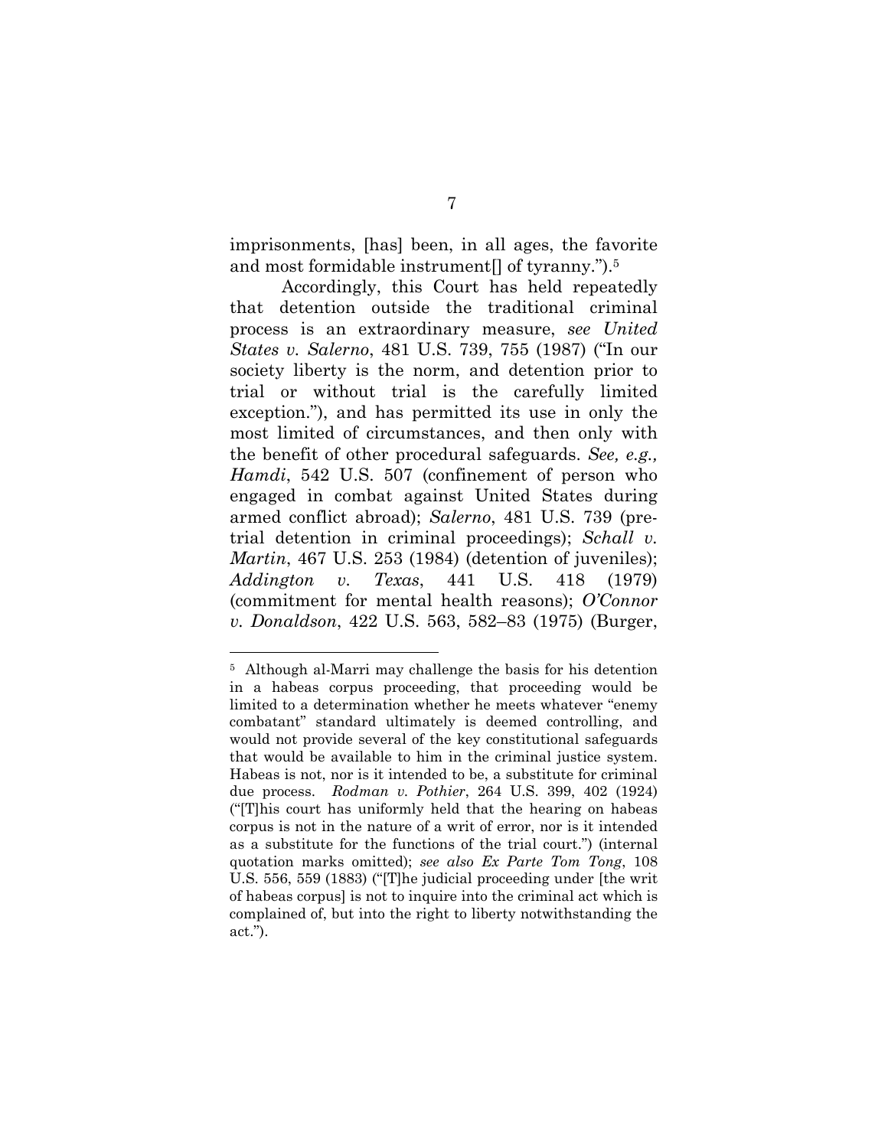imprisonments, [has] been, in all ages, the favorite and most formidable instrument[] of tyranny.").5

Accordingly, this Court has held repeatedly that detention outside the traditional criminal process is an extraordinary measure, *see United States v. Salerno*, 481 U.S. 739, 755 (1987) ("In our society liberty is the norm, and detention prior to trial or without trial is the carefully limited exception."), and has permitted its use in only the most limited of circumstances, and then only with the benefit of other procedural safeguards. *See, e.g., Hamdi*, 542 U.S. 507 (confinement of person who engaged in combat against United States during armed conflict abroad); *Salerno*, 481 U.S. 739 (pretrial detention in criminal proceedings); *Schall v. Martin*, 467 U.S. 253 (1984) (detention of juveniles); *Addington v. Texas*, 441 U.S. 418 (1979) (commitment for mental health reasons); *O'Connor v. Donaldson*, 422 U.S. 563, 582–83 (1975) (Burger,

<sup>5</sup> Although al-Marri may challenge the basis for his detention in a habeas corpus proceeding, that proceeding would be limited to a determination whether he meets whatever "enemy combatant" standard ultimately is deemed controlling, and would not provide several of the key constitutional safeguards that would be available to him in the criminal justice system. Habeas is not, nor is it intended to be, a substitute for criminal due process. *Rodman v. Pothier*, 264 U.S. 399, 402 (1924) ("[T]his court has uniformly held that the hearing on habeas corpus is not in the nature of a writ of error, nor is it intended as a substitute for the functions of the trial court.") (internal quotation marks omitted); *see also Ex Parte Tom Tong*, 108 U.S. 556, 559 (1883) ("[T]he judicial proceeding under [the writ of habeas corpus] is not to inquire into the criminal act which is complained of, but into the right to liberty notwithstanding the act.").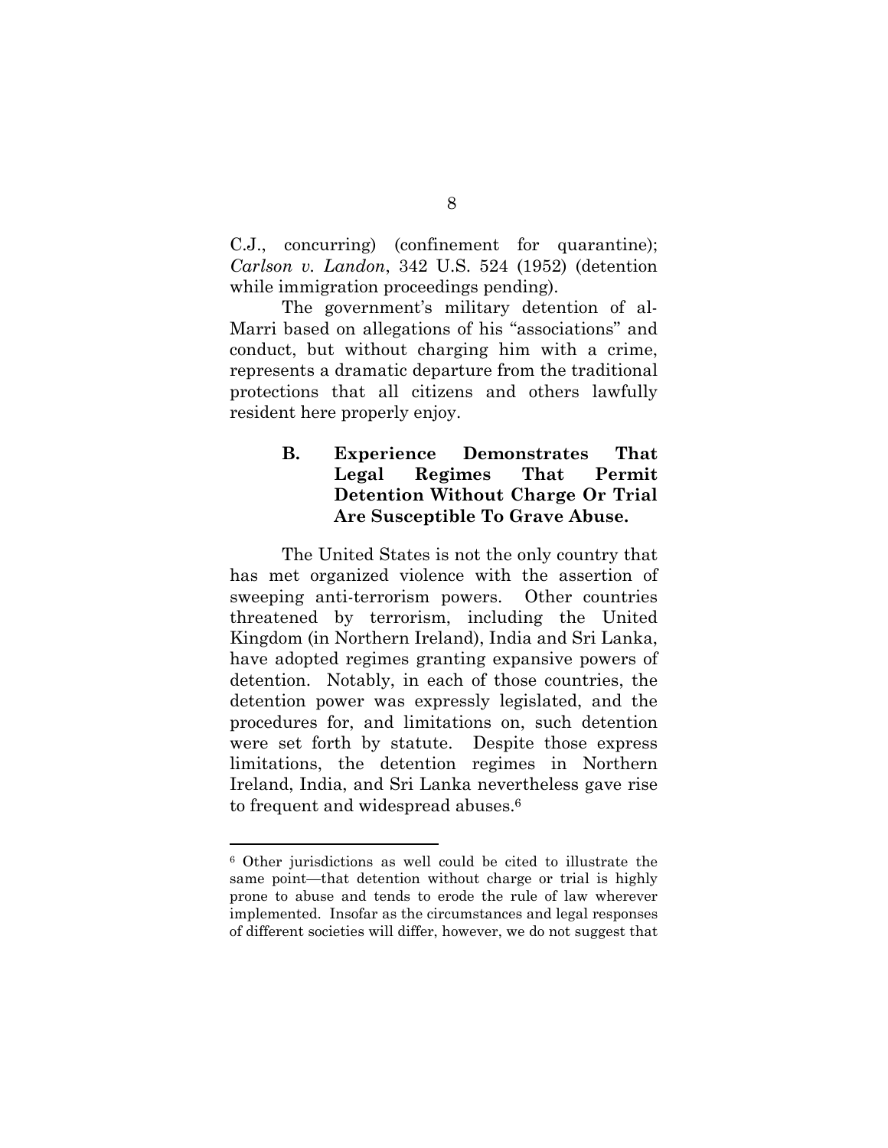C.J., concurring) (confinement for quarantine); *Carlson v. Landon*, 342 U.S. 524 (1952) (detention while immigration proceedings pending).

The government's military detention of al-Marri based on allegations of his "associations" and conduct, but without charging him with a crime, represents a dramatic departure from the traditional protections that all citizens and others lawfully resident here properly enjoy.

## **B. Experience Demonstrates That Legal Regimes That Permit Detention Without Charge Or Trial Are Susceptible To Grave Abuse.**

The United States is not the only country that has met organized violence with the assertion of sweeping anti-terrorism powers. Other countries threatened by terrorism, including the United Kingdom (in Northern Ireland), India and Sri Lanka, have adopted regimes granting expansive powers of detention. Notably, in each of those countries, the detention power was expressly legislated, and the procedures for, and limitations on, such detention were set forth by statute. Despite those express limitations, the detention regimes in Northern Ireland, India, and Sri Lanka nevertheless gave rise to frequent and widespread abuses.<sup>6</sup>

<sup>6</sup> Other jurisdictions as well could be cited to illustrate the same point—that detention without charge or trial is highly prone to abuse and tends to erode the rule of law wherever implemented. Insofar as the circumstances and legal responses of different societies will differ, however, we do not suggest that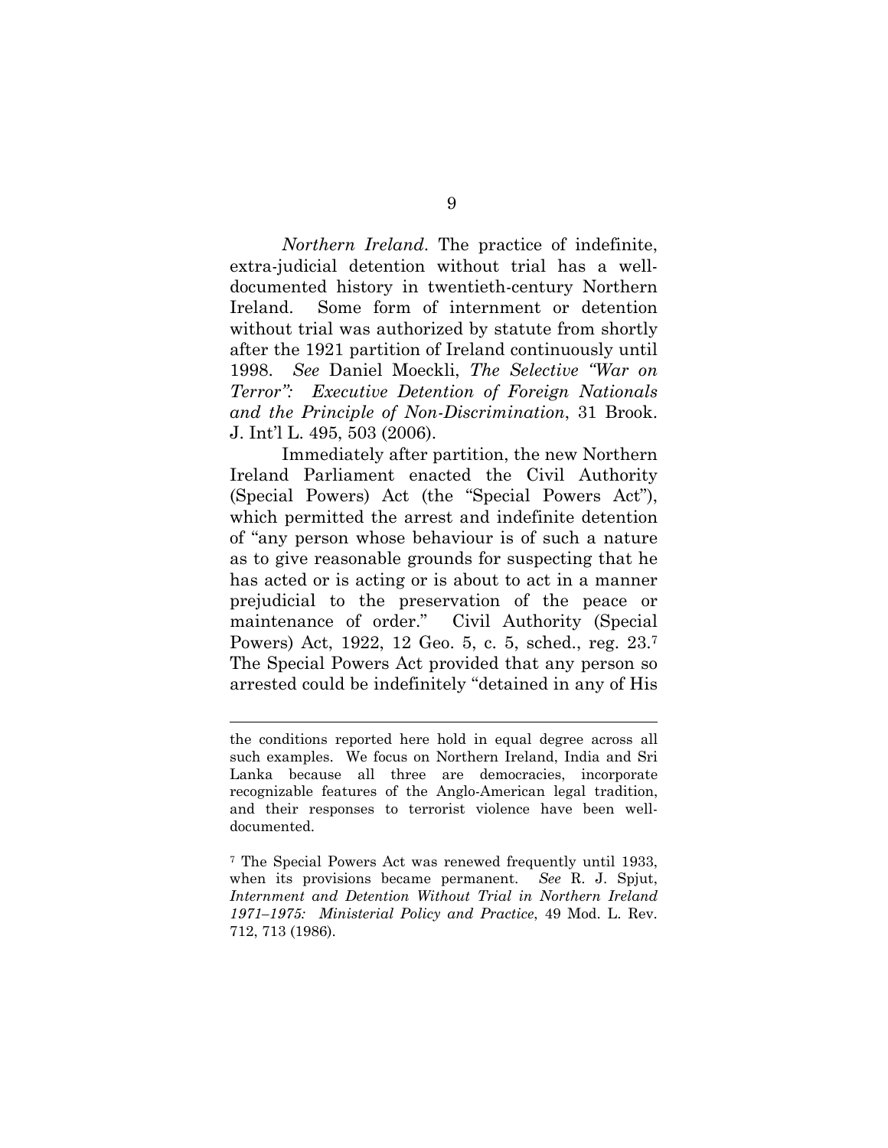*Northern Ireland*. The practice of indefinite, extra-judicial detention without trial has a welldocumented history in twentieth-century Northern Ireland. Some form of internment or detention without trial was authorized by statute from shortly after the 1921 partition of Ireland continuously until 1998. *See* Daniel Moeckli, *The Selective "War on Terror": Executive Detention of Foreign Nationals and the Principle of Non-Discrimination*, 31 Brook. J. Int'l L. 495, 503 (2006).

Immediately after partition, the new Northern Ireland Parliament enacted the Civil Authority (Special Powers) Act (the "Special Powers Act"), which permitted the arrest and indefinite detention of "any person whose behaviour is of such a nature as to give reasonable grounds for suspecting that he has acted or is acting or is about to act in a manner prejudicial to the preservation of the peace or maintenance of order." Civil Authority (Special Powers) Act, 1922, 12 Geo. 5, c. 5, sched., reg. 23.7 The Special Powers Act provided that any person so arrested could be indefinitely "detained in any of His

the conditions reported here hold in equal degree across all such examples. We focus on Northern Ireland, India and Sri Lanka because all three are democracies, incorporate recognizable features of the Anglo-American legal tradition, and their responses to terrorist violence have been welldocumented.

<sup>7</sup> The Special Powers Act was renewed frequently until 1933, when its provisions became permanent. *See* R. J. Spjut, *Internment and Detention Without Trial in Northern Ireland 1971–1975: Ministerial Policy and Practice*, 49 Mod. L. Rev. 712, 713 (1986).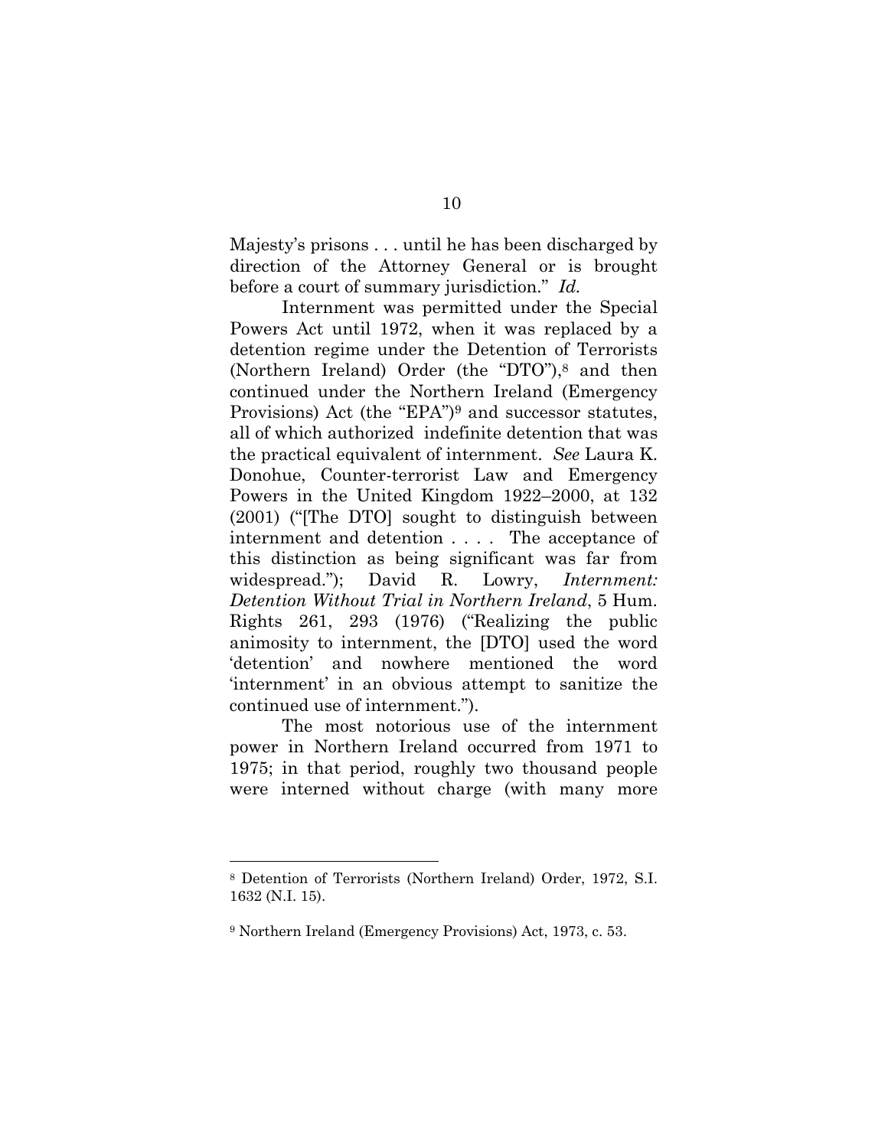Majesty's prisons . . . until he has been discharged by direction of the Attorney General or is brought before a court of summary jurisdiction." *Id.*

Internment was permitted under the Special Powers Act until 1972, when it was replaced by a detention regime under the Detention of Terrorists (Northern Ireland) Order (the "DTO"),8 and then continued under the Northern Ireland (Emergency Provisions) Act (the "EPA")9 and successor statutes, all of which authorized indefinite detention that was the practical equivalent of internment. *See* Laura K. Donohue, Counter-terrorist Law and Emergency Powers in the United Kingdom 1922–2000, at 132 (2001) ("[The DTO] sought to distinguish between internment and detention . . . . The acceptance of this distinction as being significant was far from widespread."); David R. Lowry, *Internment: Detention Without Trial in Northern Ireland*, 5 Hum. Rights 261, 293 (1976) ("Realizing the public animosity to internment, the [DTO] used the word 'detention' and nowhere mentioned the word 'internment' in an obvious attempt to sanitize the continued use of internment.").

The most notorious use of the internment power in Northern Ireland occurred from 1971 to 1975; in that period, roughly two thousand people were interned without charge (with many more

<sup>8</sup> Detention of Terrorists (Northern Ireland) Order, 1972, S.I. 1632 (N.I. 15).

<sup>9</sup> Northern Ireland (Emergency Provisions) Act, 1973, c. 53.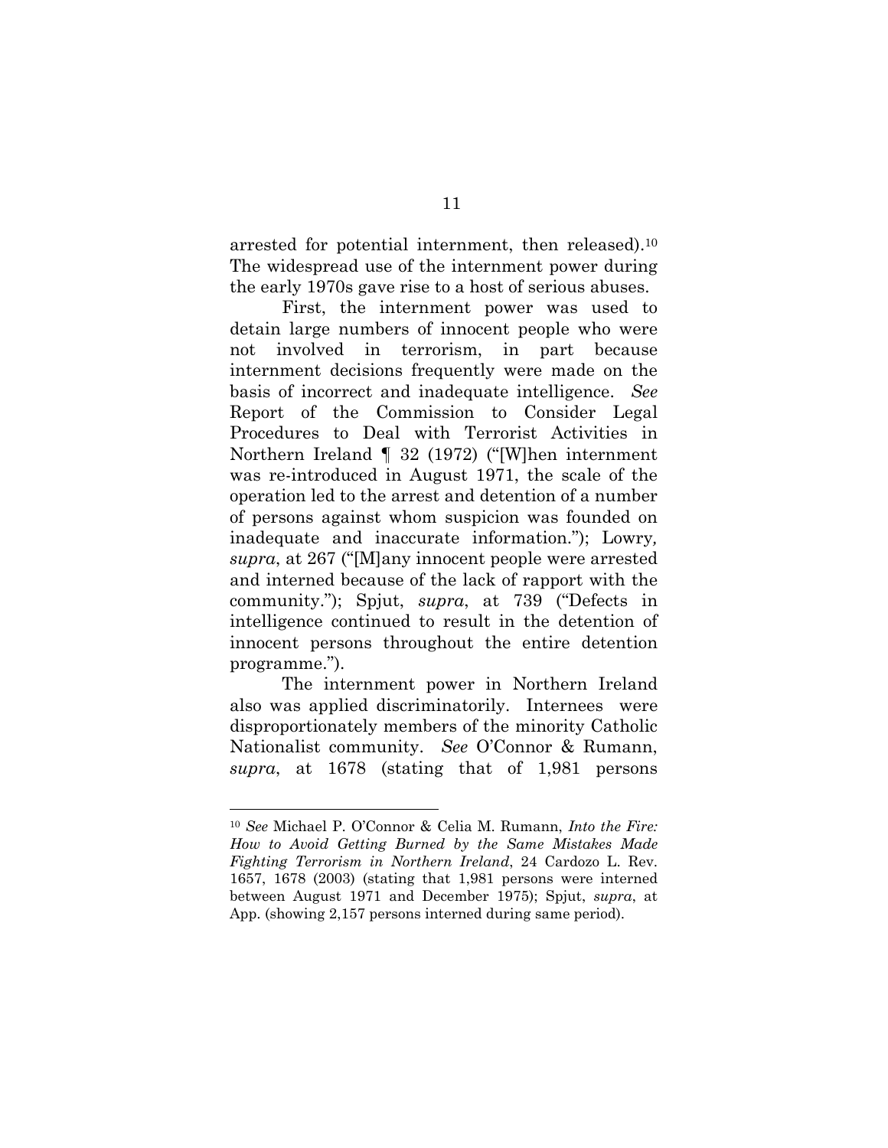arrested for potential internment, then released).10 The widespread use of the internment power during the early 1970s gave rise to a host of serious abuses.

First, the internment power was used to detain large numbers of innocent people who were not involved in terrorism, in part because internment decisions frequently were made on the basis of incorrect and inadequate intelligence. *See* Report of the Commission to Consider Legal Procedures to Deal with Terrorist Activities in Northern Ireland ¶ 32 (1972) ("[W]hen internment was re-introduced in August 1971, the scale of the operation led to the arrest and detention of a number of persons against whom suspicion was founded on inadequate and inaccurate information."); Lowry*, supra*, at 267 ("[M]any innocent people were arrested and interned because of the lack of rapport with the community."); Spjut, *supra*, at 739 ("Defects in intelligence continued to result in the detention of innocent persons throughout the entire detention programme.").

The internment power in Northern Ireland also was applied discriminatorily. Internees were disproportionately members of the minority Catholic Nationalist community. *See* O'Connor & Rumann, *supra*, at 1678 (stating that of 1,981 persons

<sup>10</sup> *See* Michael P. O'Connor & Celia M. Rumann, *Into the Fire: How to Avoid Getting Burned by the Same Mistakes Made Fighting Terrorism in Northern Ireland*, 24 Cardozo L. Rev. 1657, 1678 (2003) (stating that 1,981 persons were interned between August 1971 and December 1975); Spjut, *supra*, at App. (showing 2,157 persons interned during same period).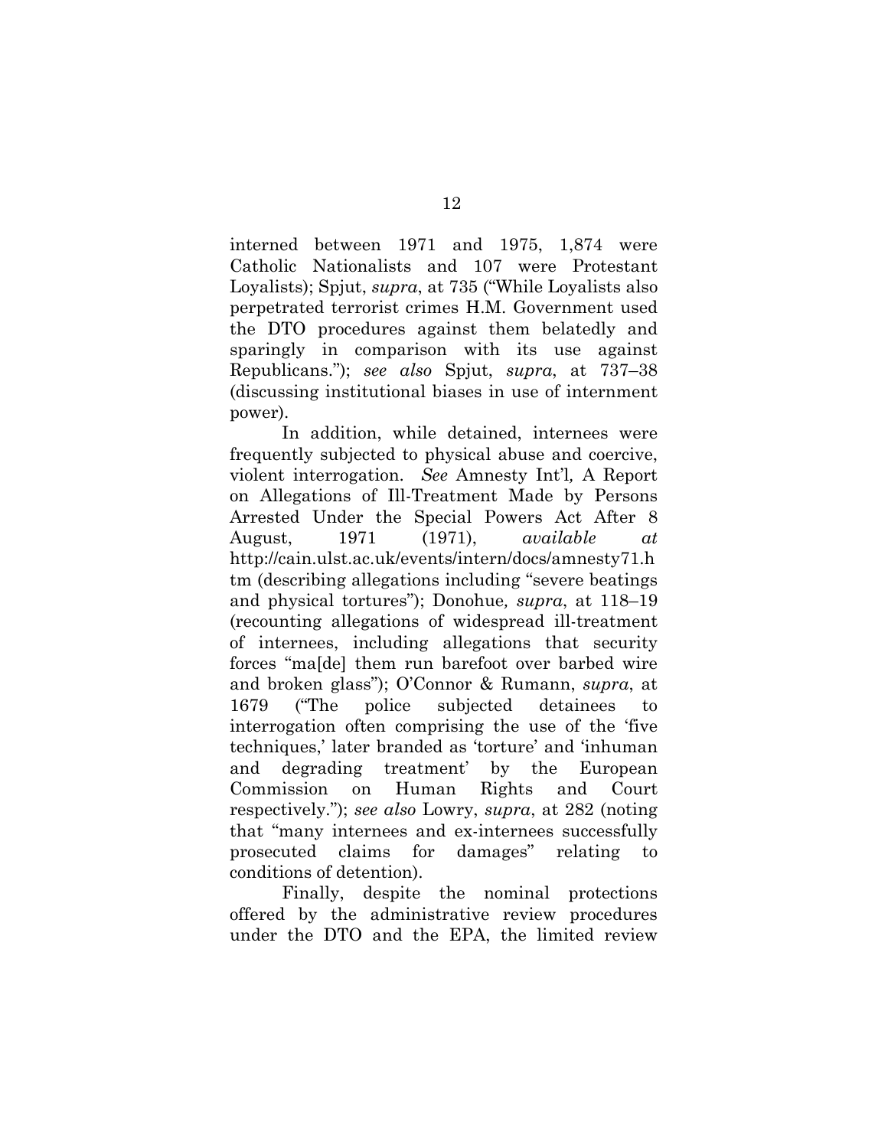interned between 1971 and 1975, 1,874 were Catholic Nationalists and 107 were Protestant Loyalists); Spjut, *supra*, at 735 ("While Loyalists also perpetrated terrorist crimes H.M. Government used the DTO procedures against them belatedly and sparingly in comparison with its use against Republicans."); *see also* Spjut, *supra*, at 737–38 (discussing institutional biases in use of internment power).

In addition, while detained, internees were frequently subjected to physical abuse and coercive, violent interrogation. *See* Amnesty Int'l*,* A Report on Allegations of Ill-Treatment Made by Persons Arrested Under the Special Powers Act After 8 August, 1971 (1971), *available at* http://cain.ulst.ac.uk/events/intern/docs/amnesty71.h tm (describing allegations including "severe beatings and physical tortures"); Donohue*, supra*, at 118–19 (recounting allegations of widespread ill-treatment of internees, including allegations that security forces "ma[de] them run barefoot over barbed wire and broken glass"); O'Connor & Rumann, *supra*, at 1679 ("The police subjected detainees to interrogation often comprising the use of the 'five techniques,' later branded as 'torture' and 'inhuman and degrading treatment' by the European Commission on Human Rights and Court respectively."); *see also* Lowry, *supra*, at 282 (noting that "many internees and ex-internees successfully prosecuted claims for damages" relating to conditions of detention).

Finally, despite the nominal protections offered by the administrative review procedures under the DTO and the EPA, the limited review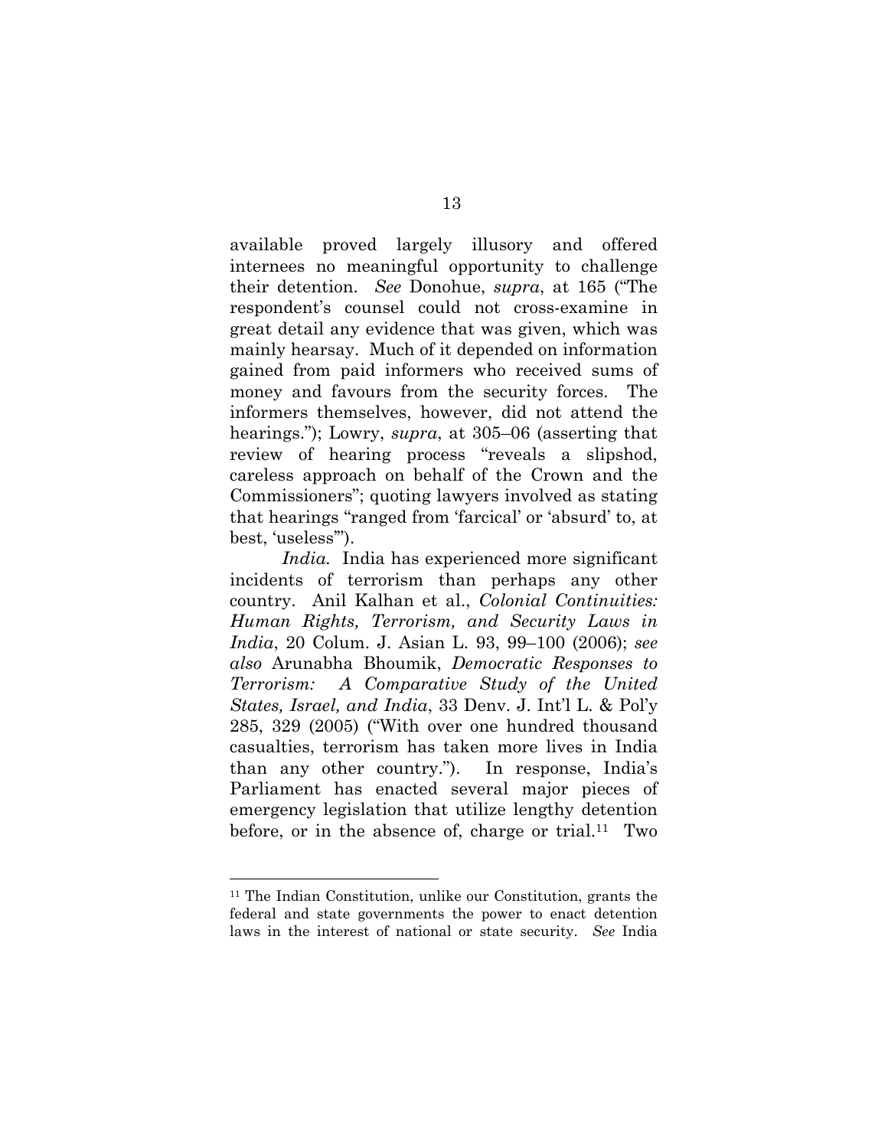available proved largely illusory and offered internees no meaningful opportunity to challenge their detention. *See* Donohue, *supra*, at 165 ("The respondent's counsel could not cross-examine in great detail any evidence that was given, which was mainly hearsay. Much of it depended on information gained from paid informers who received sums of money and favours from the security forces. The informers themselves, however, did not attend the hearings."); Lowry, *supra*, at 305–06 (asserting that review of hearing process "reveals a slipshod, careless approach on behalf of the Crown and the Commissioners"; quoting lawyers involved as stating that hearings "ranged from 'farcical' or 'absurd' to, at best, 'useless'").

*India.* India has experienced more significant incidents of terrorism than perhaps any other country. Anil Kalhan et al., *Colonial Continuities: Human Rights, Terrorism, and Security Laws in India*, 20 Colum. J. Asian L. 93, 99–100 (2006); *see also* Arunabha Bhoumik, *Democratic Responses to Terrorism: A Comparative Study of the United States, Israel, and India*, 33 Denv. J. Int'l L. & Pol'y 285, 329 (2005) ("With over one hundred thousand casualties, terrorism has taken more lives in India than any other country."). In response, India's Parliament has enacted several major pieces of emergency legislation that utilize lengthy detention before, or in the absence of, charge or trial.<sup>11</sup> Two

<sup>11</sup> The Indian Constitution, unlike our Constitution, grants the federal and state governments the power to enact detention laws in the interest of national or state security. *See* India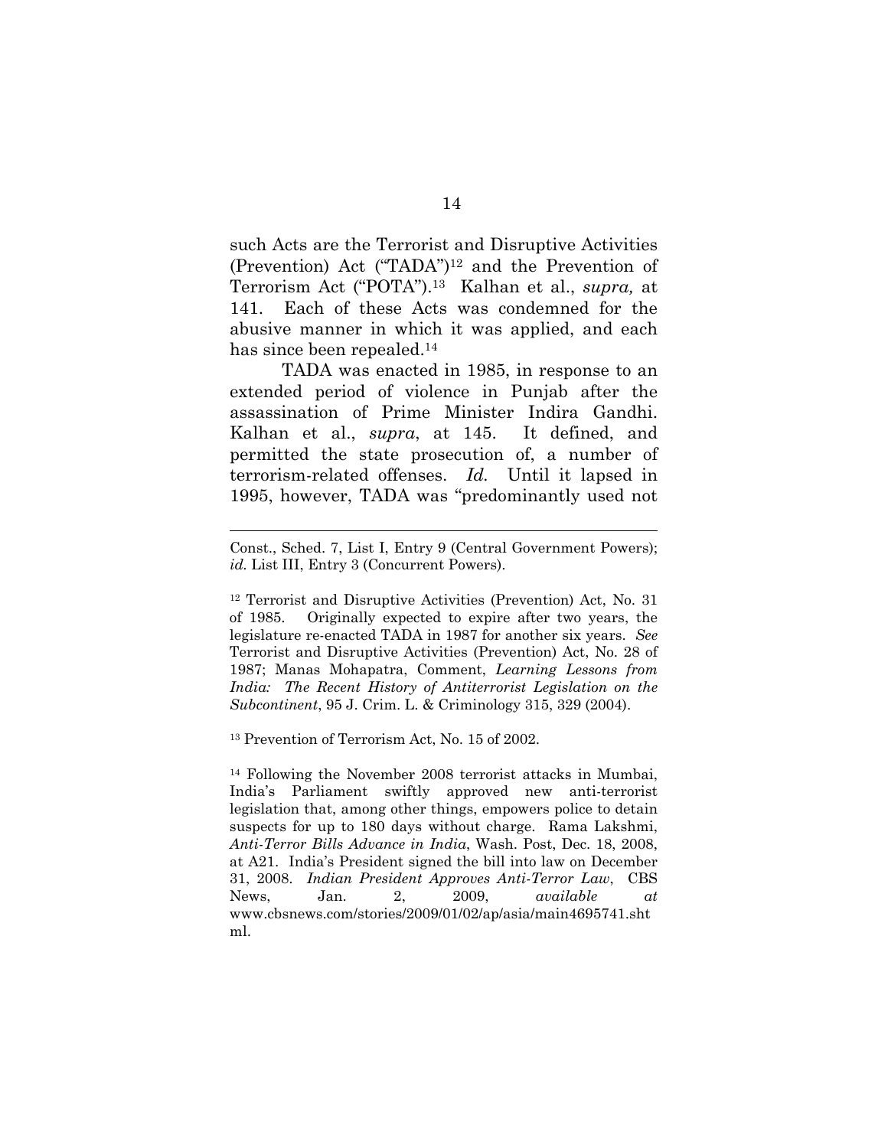such Acts are the Terrorist and Disruptive Activities (Prevention) Act ("TADA")12 and the Prevention of Terrorism Act ("POTA").13 Kalhan et al., *supra,* at 141. Each of these Acts was condemned for the abusive manner in which it was applied, and each has since been repealed.14

TADA was enacted in 1985, in response to an extended period of violence in Punjab after the assassination of Prime Minister Indira Gandhi. Kalhan et al., *supra*, at 145. It defined, and permitted the state prosecution of, a number of terrorism-related offenses. *Id.* Until it lapsed in 1995, however, TADA was "predominantly used not

12 Terrorist and Disruptive Activities (Prevention) Act, No. 31 of 1985. Originally expected to expire after two years, the legislature re-enacted TADA in 1987 for another six years. *See* Terrorist and Disruptive Activities (Prevention) Act, No. 28 of 1987; Manas Mohapatra, Comment, *Learning Lessons from India: The Recent History of Antiterrorist Legislation on the Subcontinent*, 95 J. Crim. L. & Criminology 315, 329 (2004).

13 Prevention of Terrorism Act, No. 15 of 2002.

l

14 Following the November 2008 terrorist attacks in Mumbai, India's Parliament swiftly approved new anti-terrorist legislation that, among other things, empowers police to detain suspects for up to 180 days without charge. Rama Lakshmi, *Anti-Terror Bills Advance in India*, Wash. Post, Dec. 18, 2008, at A21. India's President signed the bill into law on December 31, 2008. *Indian President Approves Anti-Terror Law*, CBS News, Jan. 2, 2009, *available at* www.cbsnews.com/stories/2009/01/02/ap/asia/main4695741.sht ml.

Const., Sched. 7, List I, Entry 9 (Central Government Powers); *id.* List III, Entry 3 (Concurrent Powers).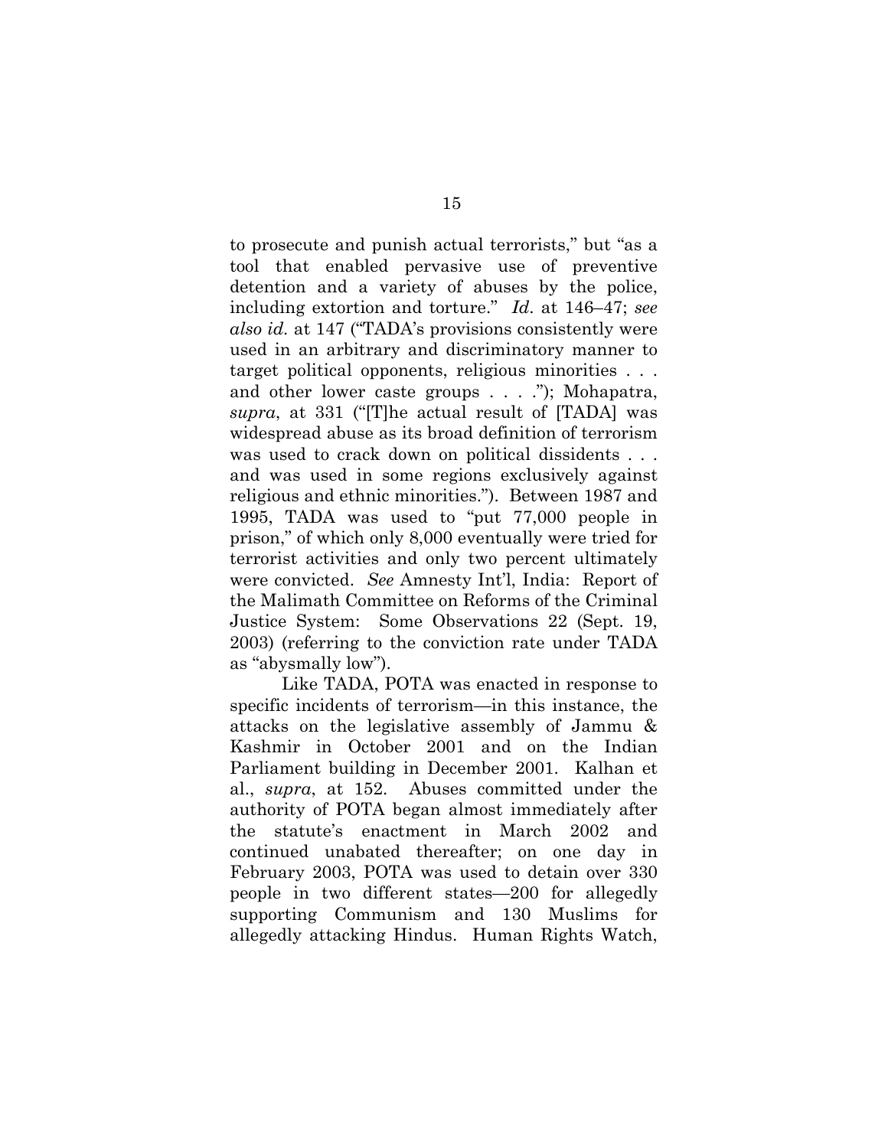to prosecute and punish actual terrorists," but "as a tool that enabled pervasive use of preventive detention and a variety of abuses by the police, including extortion and torture." *Id*. at 146–47; *see also id.* at 147 ("TADA's provisions consistently were used in an arbitrary and discriminatory manner to target political opponents, religious minorities . . . and other lower caste groups . . . ."); Mohapatra, *supra*, at 331 ("[T]he actual result of [TADA] was widespread abuse as its broad definition of terrorism was used to crack down on political dissidents . . . and was used in some regions exclusively against religious and ethnic minorities."). Between 1987 and 1995, TADA was used to "put 77,000 people in prison," of which only 8,000 eventually were tried for terrorist activities and only two percent ultimately were convicted. *See* Amnesty Int'l, India: Report of the Malimath Committee on Reforms of the Criminal Justice System: Some Observations 22 (Sept. 19, 2003) (referring to the conviction rate under TADA as "abysmally low").

Like TADA, POTA was enacted in response to specific incidents of terrorism—in this instance, the attacks on the legislative assembly of Jammu & Kashmir in October 2001 and on the Indian Parliament building in December 2001. Kalhan et al., *supra*, at 152. Abuses committed under the authority of POTA began almost immediately after the statute's enactment in March 2002 and continued unabated thereafter; on one day in February 2003, POTA was used to detain over 330 people in two different states—200 for allegedly supporting Communism and 130 Muslims for allegedly attacking Hindus. Human Rights Watch,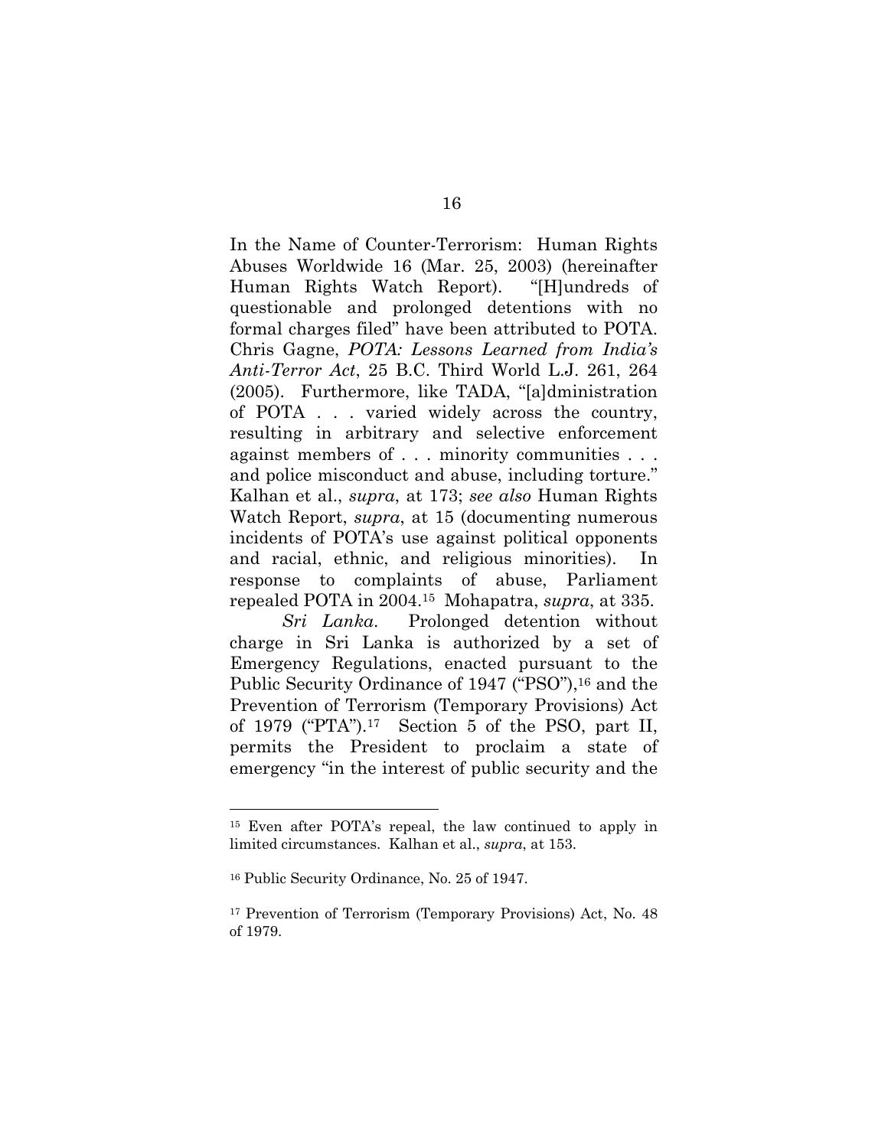In the Name of Counter-Terrorism: Human Rights Abuses Worldwide 16 (Mar. 25, 2003) (hereinafter Human Rights Watch Report). "[H]undreds of questionable and prolonged detentions with no formal charges filed" have been attributed to POTA. Chris Gagne, *POTA: Lessons Learned from India's Anti-Terror Act*, 25 B.C. Third World L.J. 261, 264 (2005). Furthermore, like TADA, "[a]dministration of POTA . . . varied widely across the country, resulting in arbitrary and selective enforcement against members of . . . minority communities . . . and police misconduct and abuse, including torture." Kalhan et al., *supra*, at 173; *see also* Human Rights Watch Report, *supra*, at 15 (documenting numerous incidents of POTA's use against political opponents and racial, ethnic, and religious minorities). In response to complaints of abuse, Parliament repealed POTA in 2004.15 Mohapatra, *supra*, at 335.

*Sri Lanka*. Prolonged detention without charge in Sri Lanka is authorized by a set of Emergency Regulations, enacted pursuant to the Public Security Ordinance of 1947 ("PSO"),<sup>16</sup> and the Prevention of Terrorism (Temporary Provisions) Act of 1979 ("PTA").17 Section 5 of the PSO, part II, permits the President to proclaim a state of emergency "in the interest of public security and the

<sup>15</sup> Even after POTA's repeal, the law continued to apply in limited circumstances. Kalhan et al., *supra*, at 153.

<sup>16</sup> Public Security Ordinance, No. 25 of 1947.

<sup>17</sup> Prevention of Terrorism (Temporary Provisions) Act, No. 48 of 1979.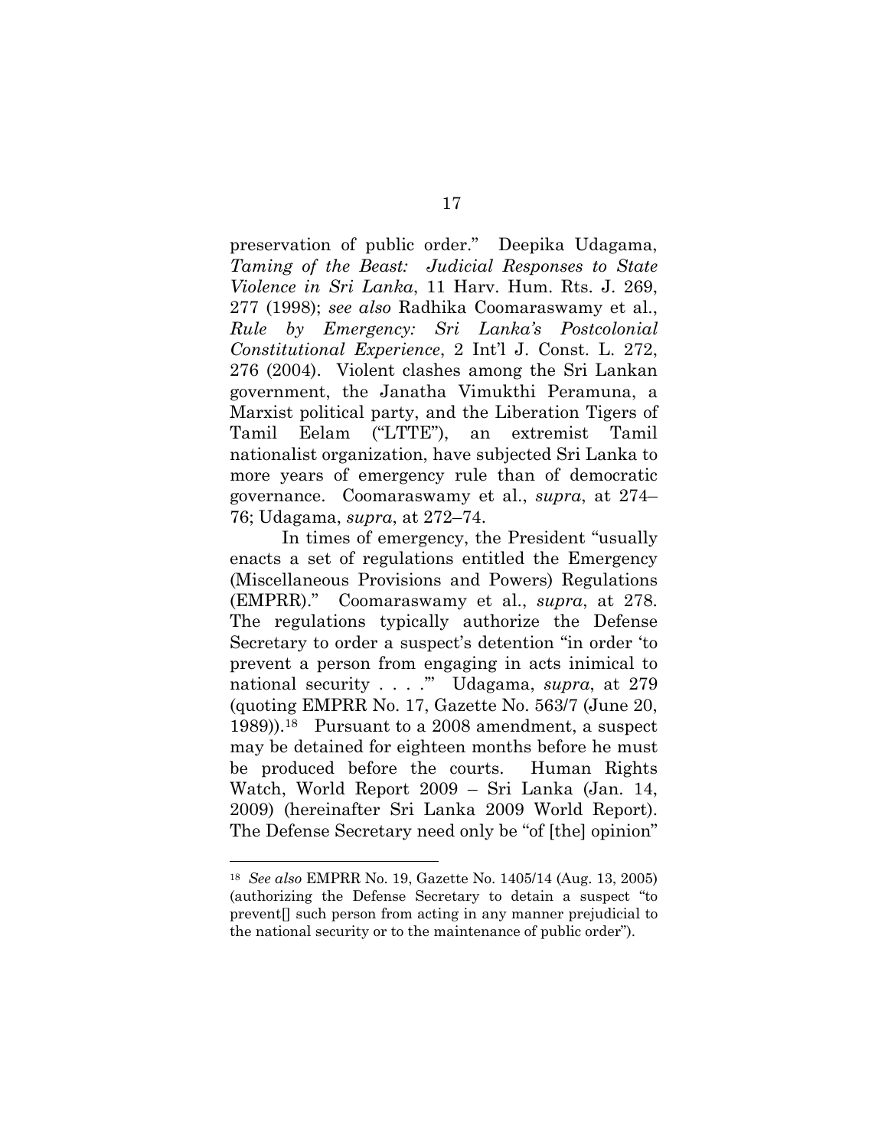preservation of public order." Deepika Udagama, *Taming of the Beast: Judicial Responses to State Violence in Sri Lanka*, 11 Harv. Hum. Rts. J. 269, 277 (1998); *see also* Radhika Coomaraswamy et al., *Rule by Emergency: Sri Lanka's Postcolonial Constitutional Experience*, 2 Int'l J. Const. L. 272, 276 (2004). Violent clashes among the Sri Lankan government, the Janatha Vimukthi Peramuna, a Marxist political party, and the Liberation Tigers of Tamil Eelam ("LTTE"), an extremist Tamil nationalist organization, have subjected Sri Lanka to more years of emergency rule than of democratic governance. Coomaraswamy et al., *supra*, at 274– 76; Udagama, *supra*, at 272–74.

In times of emergency, the President "usually enacts a set of regulations entitled the Emergency (Miscellaneous Provisions and Powers) Regulations (EMPRR)." Coomaraswamy et al., *supra*, at 278. The regulations typically authorize the Defense Secretary to order a suspect's detention "in order 'to prevent a person from engaging in acts inimical to national security . . . .'" Udagama, *supra*, at 279 (quoting EMPRR No. 17, Gazette No. 563/7 (June 20, 1989)).18 Pursuant to a 2008 amendment, a suspect may be detained for eighteen months before he must be produced before the courts. Human Rights Watch, World Report 2009 – Sri Lanka (Jan. 14, 2009) (hereinafter Sri Lanka 2009 World Report). The Defense Secretary need only be "of [the] opinion"

<sup>18</sup> *See also* EMPRR No. 19, Gazette No. 1405/14 (Aug. 13, 2005) (authorizing the Defense Secretary to detain a suspect "to prevent[] such person from acting in any manner prejudicial to the national security or to the maintenance of public order").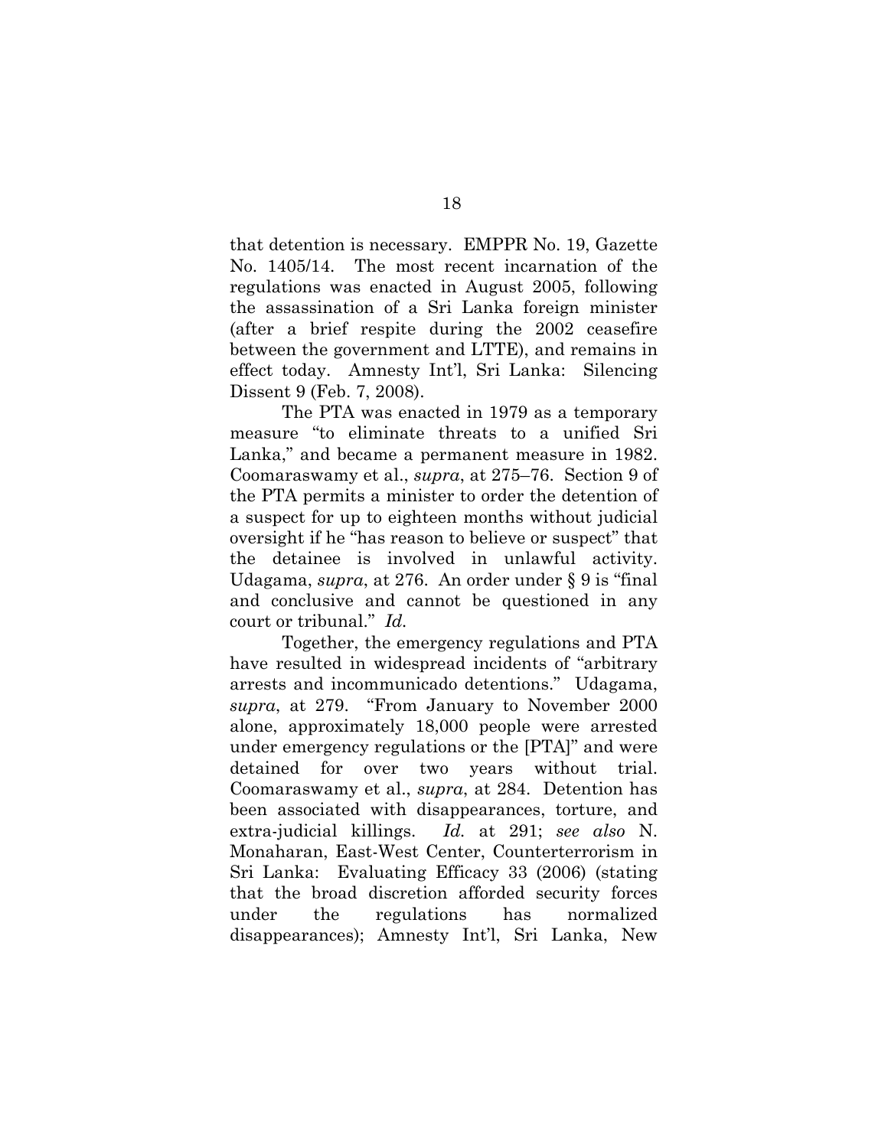that detention is necessary. EMPPR No. 19, Gazette No. 1405/14. The most recent incarnation of the regulations was enacted in August 2005, following the assassination of a Sri Lanka foreign minister (after a brief respite during the 2002 ceasefire between the government and LTTE), and remains in effect today. Amnesty Int'l, Sri Lanka: Silencing Dissent 9 (Feb. 7, 2008).

The PTA was enacted in 1979 as a temporary measure "to eliminate threats to a unified Sri Lanka," and became a permanent measure in 1982. Coomaraswamy et al., *supra*, at 275–76. Section 9 of the PTA permits a minister to order the detention of a suspect for up to eighteen months without judicial oversight if he "has reason to believe or suspect" that the detainee is involved in unlawful activity. Udagama, *supra*, at 276. An order under § 9 is "final and conclusive and cannot be questioned in any court or tribunal." *Id.*

Together, the emergency regulations and PTA have resulted in widespread incidents of "arbitrary arrests and incommunicado detentions." Udagama, *supra*, at 279. "From January to November 2000 alone, approximately 18,000 people were arrested under emergency regulations or the [PTA]" and were detained for over two years without trial. Coomaraswamy et al., *supra*, at 284. Detention has been associated with disappearances, torture, and extra-judicial killings. *Id.* at 291; *see also* N. Monaharan, East-West Center, Counterterrorism in Sri Lanka: Evaluating Efficacy 33 (2006) (stating that the broad discretion afforded security forces under the regulations has normalized disappearances); Amnesty Int'l, Sri Lanka, New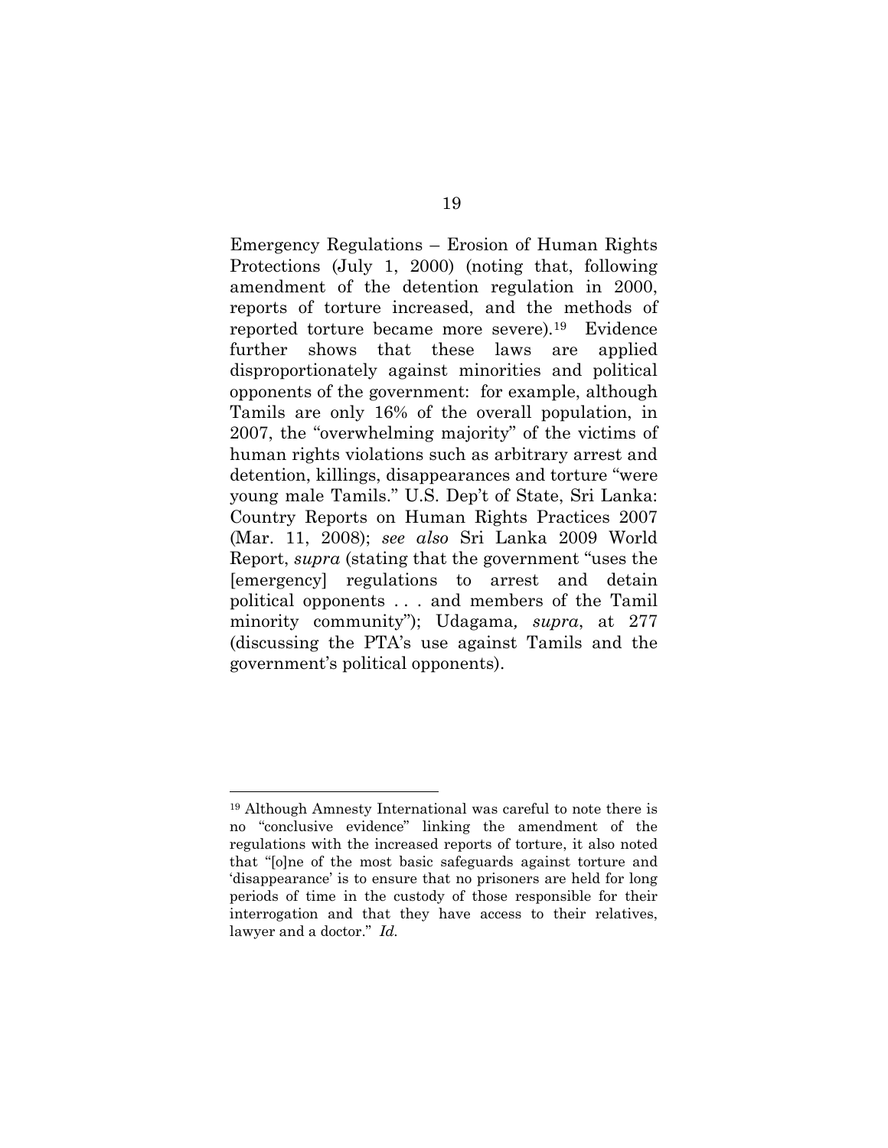Emergency Regulations – Erosion of Human Rights Protections (July 1, 2000) (noting that, following amendment of the detention regulation in 2000, reports of torture increased, and the methods of reported torture became more severe)*.*19 Evidence further shows that these laws are applied disproportionately against minorities and political opponents of the government: for example, although Tamils are only 16% of the overall population, in 2007, the "overwhelming majority" of the victims of human rights violations such as arbitrary arrest and detention, killings, disappearances and torture "were young male Tamils." U.S. Dep't of State, Sri Lanka: Country Reports on Human Rights Practices 2007 (Mar. 11, 2008); *see also* Sri Lanka 2009 World Report, *supra* (stating that the government "uses the [emergency] regulations to arrest and detain political opponents . . . and members of the Tamil minority community"); Udagama*, supra*, at 277 (discussing the PTA's use against Tamils and the government's political opponents).

<sup>19</sup> Although Amnesty International was careful to note there is no "conclusive evidence" linking the amendment of the regulations with the increased reports of torture, it also noted that "[o]ne of the most basic safeguards against torture and 'disappearance' is to ensure that no prisoners are held for long periods of time in the custody of those responsible for their interrogation and that they have access to their relatives, lawyer and a doctor." *Id.*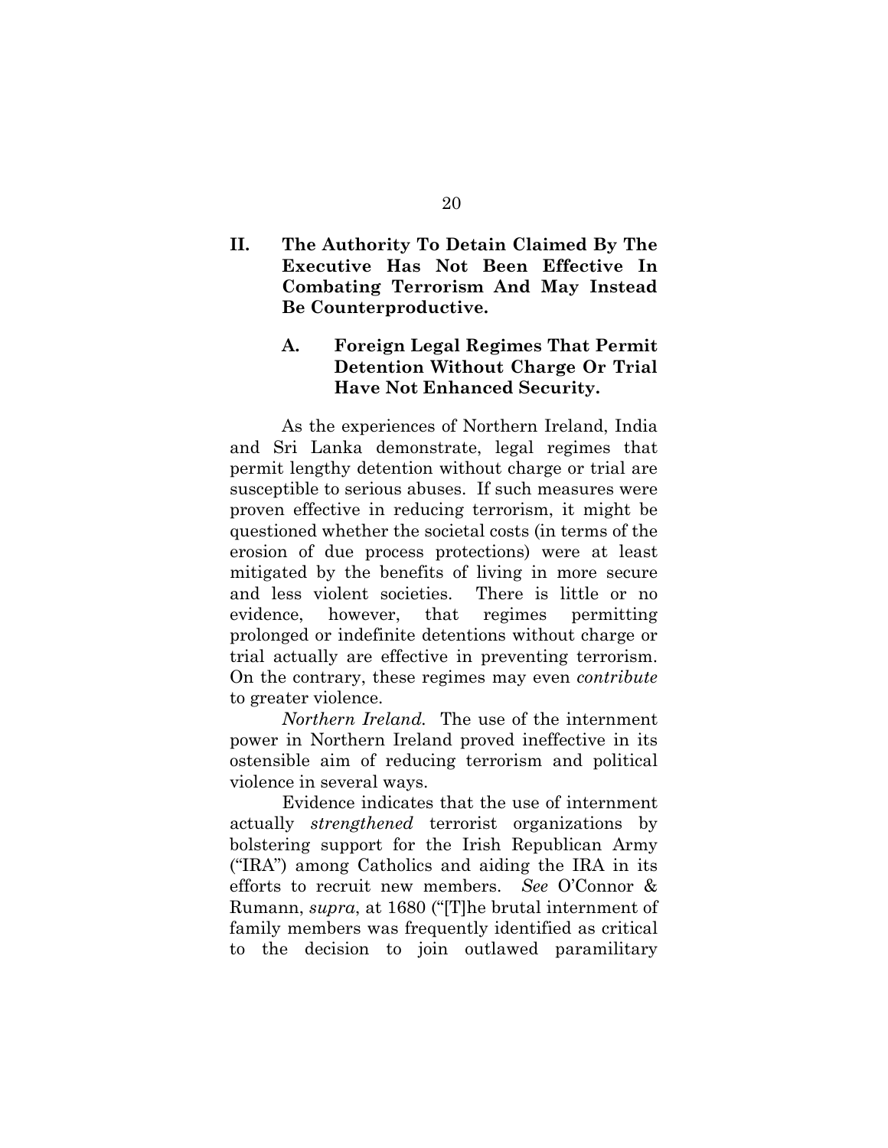## **II. The Authority To Detain Claimed By The Executive Has Not Been Effective In Combating Terrorism And May Instead Be Counterproductive.**

## **A. Foreign Legal Regimes That Permit Detention Without Charge Or Trial Have Not Enhanced Security.**

As the experiences of Northern Ireland, India and Sri Lanka demonstrate, legal regimes that permit lengthy detention without charge or trial are susceptible to serious abuses. If such measures were proven effective in reducing terrorism, it might be questioned whether the societal costs (in terms of the erosion of due process protections) were at least mitigated by the benefits of living in more secure and less violent societies. There is little or no evidence, however, that regimes permitting prolonged or indefinite detentions without charge or trial actually are effective in preventing terrorism. On the contrary, these regimes may even *contribute* to greater violence.

*Northern Ireland.* The use of the internment power in Northern Ireland proved ineffective in its ostensible aim of reducing terrorism and political violence in several ways.

Evidence indicates that the use of internment actually *strengthened* terrorist organizations by bolstering support for the Irish Republican Army ("IRA") among Catholics and aiding the IRA in its efforts to recruit new members. *See* O'Connor & Rumann, *supra*, at 1680 ("[T]he brutal internment of family members was frequently identified as critical to the decision to join outlawed paramilitary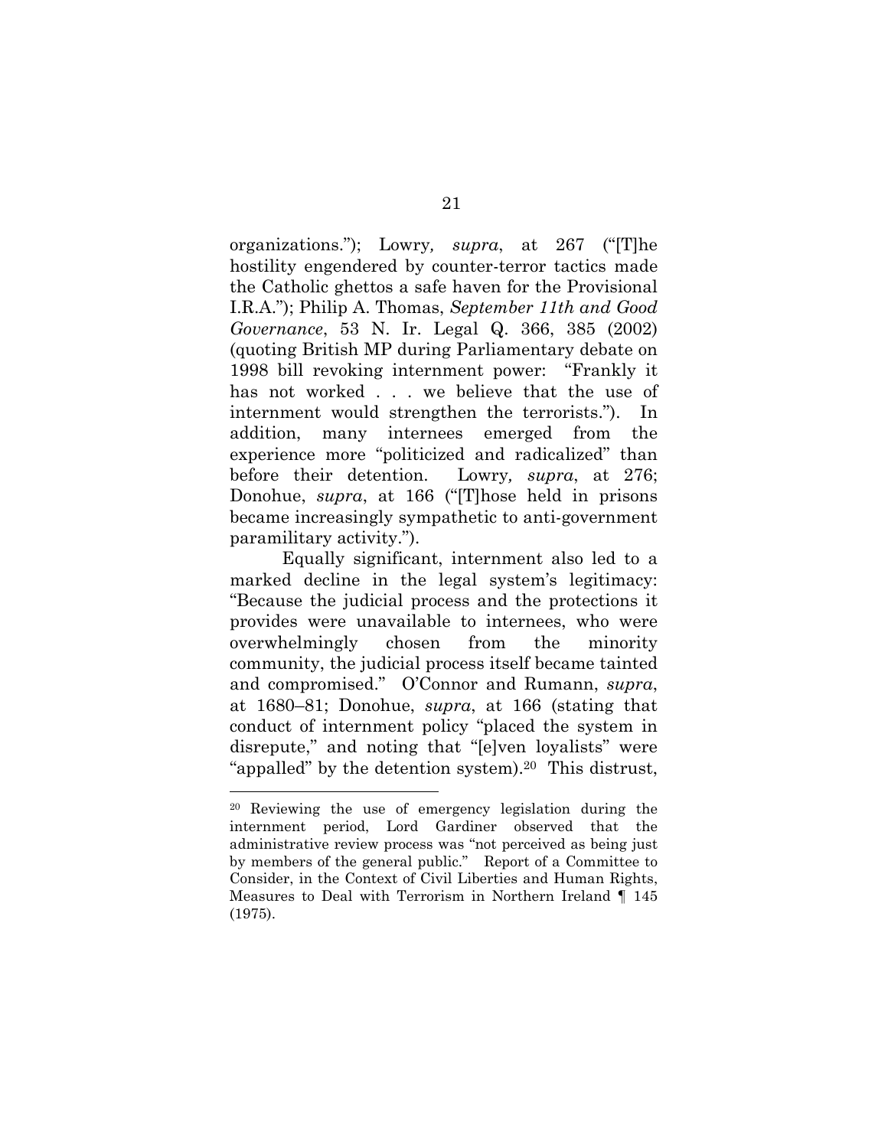organizations."); Lowry*, supra*, at 267 ("[T]he hostility engendered by counter-terror tactics made the Catholic ghettos a safe haven for the Provisional I.R.A."); Philip A. Thomas, *September 11th and Good Governance*, 53 N. Ir. Legal Q. 366, 385 (2002) (quoting British MP during Parliamentary debate on 1998 bill revoking internment power: "Frankly it has not worked . . . we believe that the use of internment would strengthen the terrorists."). In addition, many internees emerged from the experience more "politicized and radicalized" than before their detention. Lowry*, supra*, at 276; Donohue, *supra*, at 166 ("[T]hose held in prisons became increasingly sympathetic to anti-government paramilitary activity.").

Equally significant, internment also led to a marked decline in the legal system's legitimacy: "Because the judicial process and the protections it provides were unavailable to internees, who were overwhelmingly chosen from the minority community, the judicial process itself became tainted and compromised." O'Connor and Rumann, *supra*, at 1680–81; Donohue, *supra*, at 166 (stating that conduct of internment policy "placed the system in disrepute," and noting that "[e]ven loyalists" were "appalled" by the detention system).20 This distrust,

<sup>20</sup> Reviewing the use of emergency legislation during the internment period, Lord Gardiner observed that the administrative review process was "not perceived as being just by members of the general public." Report of a Committee to Consider, in the Context of Civil Liberties and Human Rights, Measures to Deal with Terrorism in Northern Ireland ¶ 145 (1975).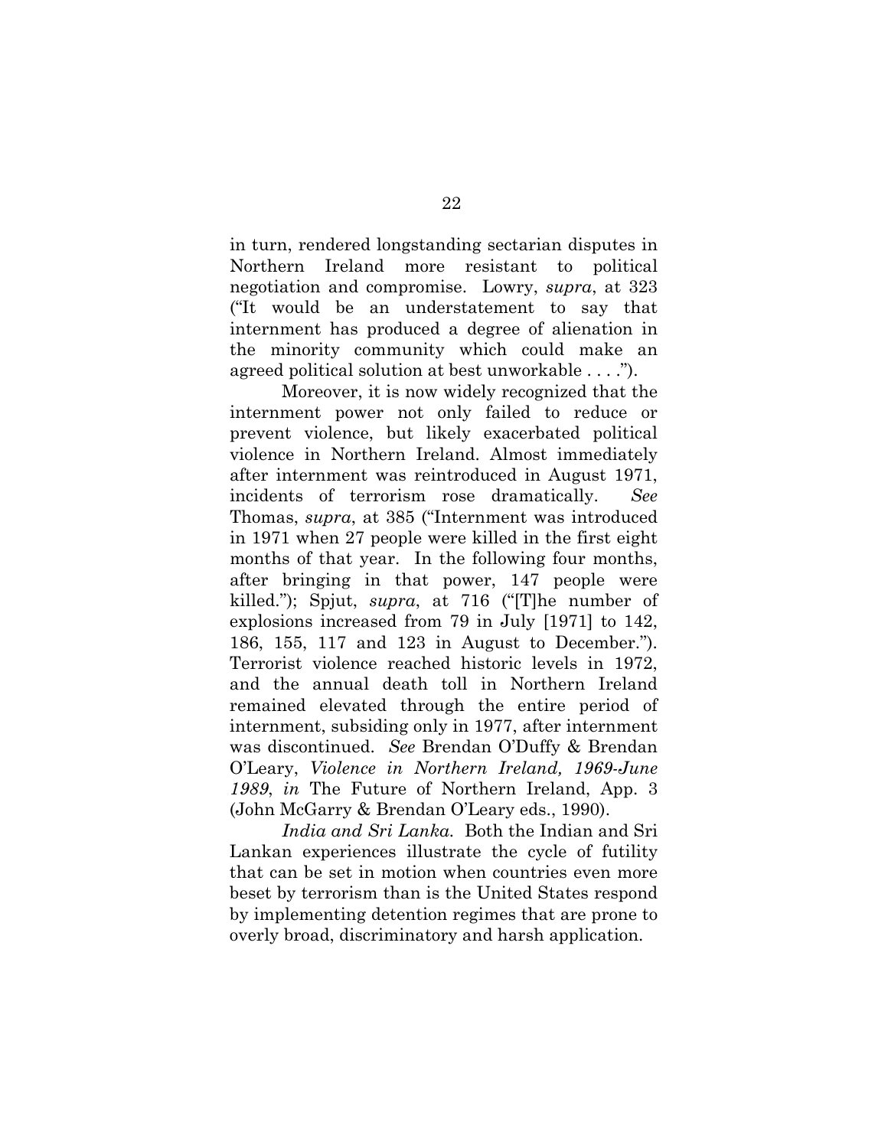in turn, rendered longstanding sectarian disputes in Northern Ireland more resistant to political negotiation and compromise. Lowry, *supra*, at 323 ("It would be an understatement to say that internment has produced a degree of alienation in the minority community which could make an agreed political solution at best unworkable . . . .").

Moreover, it is now widely recognized that the internment power not only failed to reduce or prevent violence, but likely exacerbated political violence in Northern Ireland. Almost immediately after internment was reintroduced in August 1971, incidents of terrorism rose dramatically. *See* Thomas, *supra*, at 385 ("Internment was introduced in 1971 when 27 people were killed in the first eight months of that year. In the following four months, after bringing in that power, 147 people were killed."); Spjut, *supra*, at 716 ("[T]he number of explosions increased from 79 in July [1971] to 142, 186, 155, 117 and 123 in August to December."). Terrorist violence reached historic levels in 1972, and the annual death toll in Northern Ireland remained elevated through the entire period of internment, subsiding only in 1977, after internment was discontinued. *See* Brendan O'Duffy & Brendan O'Leary, *Violence in Northern Ireland, 1969-June 1989*, *in* The Future of Northern Ireland, App. 3 (John McGarry & Brendan O'Leary eds., 1990).

*India and Sri Lanka.* Both the Indian and Sri Lankan experiences illustrate the cycle of futility that can be set in motion when countries even more beset by terrorism than is the United States respond by implementing detention regimes that are prone to overly broad, discriminatory and harsh application.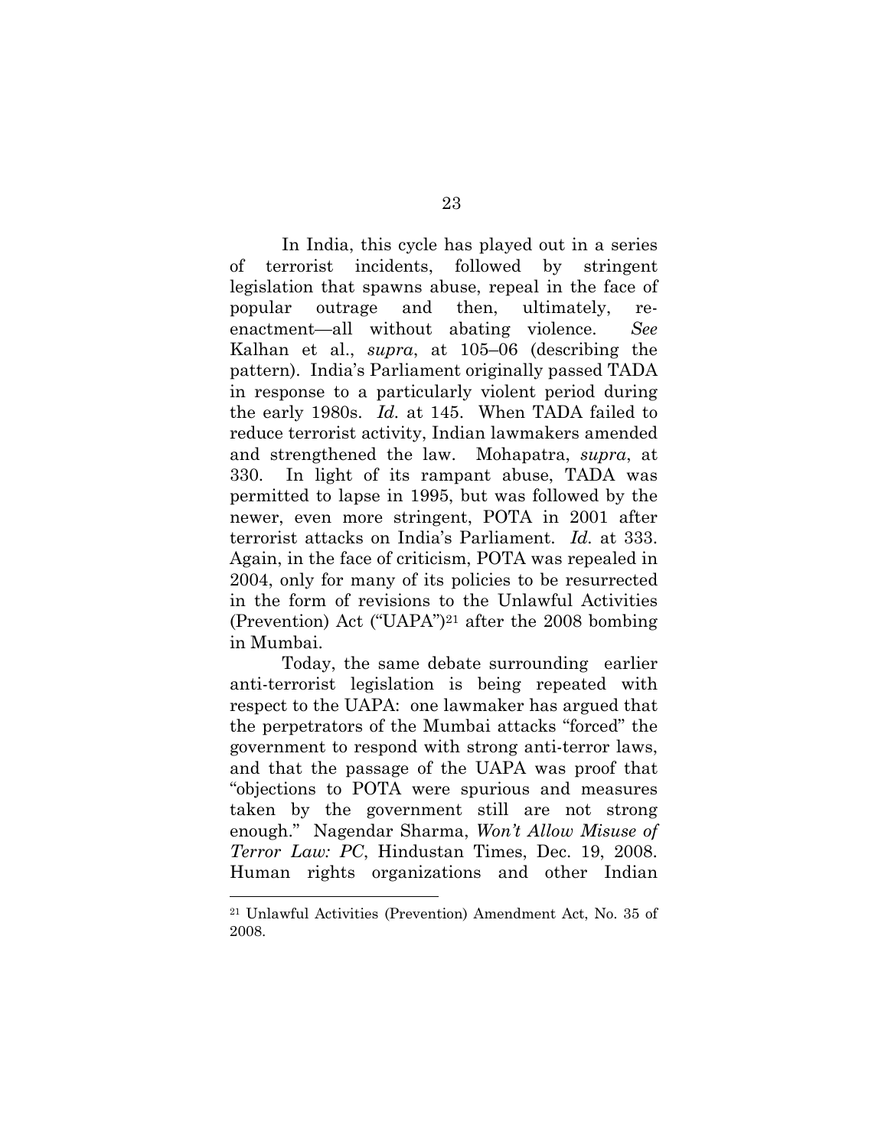In India, this cycle has played out in a series of terrorist incidents, followed by stringent legislation that spawns abuse, repeal in the face of popular outrage and then, ultimately, reenactment—all without abating violence. *See* Kalhan et al., *supra*, at 105–06 (describing the pattern). India's Parliament originally passed TADA in response to a particularly violent period during the early 1980s. *Id.* at 145. When TADA failed to reduce terrorist activity, Indian lawmakers amended and strengthened the law. Mohapatra, *supra*, at 330. In light of its rampant abuse, TADA was permitted to lapse in 1995, but was followed by the newer, even more stringent, POTA in 2001 after terrorist attacks on India's Parliament. *Id.* at 333. Again, in the face of criticism, POTA was repealed in 2004, only for many of its policies to be resurrected in the form of revisions to the Unlawful Activities (Prevention) Act ("UAPA")21 after the 2008 bombing in Mumbai.

Today, the same debate surrounding earlier anti-terrorist legislation is being repeated with respect to the UAPA: one lawmaker has argued that the perpetrators of the Mumbai attacks "forced" the government to respond with strong anti-terror laws, and that the passage of the UAPA was proof that "objections to POTA were spurious and measures taken by the government still are not strong enough." Nagendar Sharma, *Won't Allow Misuse of Terror Law: PC*, Hindustan Times, Dec. 19, 2008. Human rights organizations and other Indian

<sup>21</sup> Unlawful Activities (Prevention) Amendment Act, No. 35 of 2008.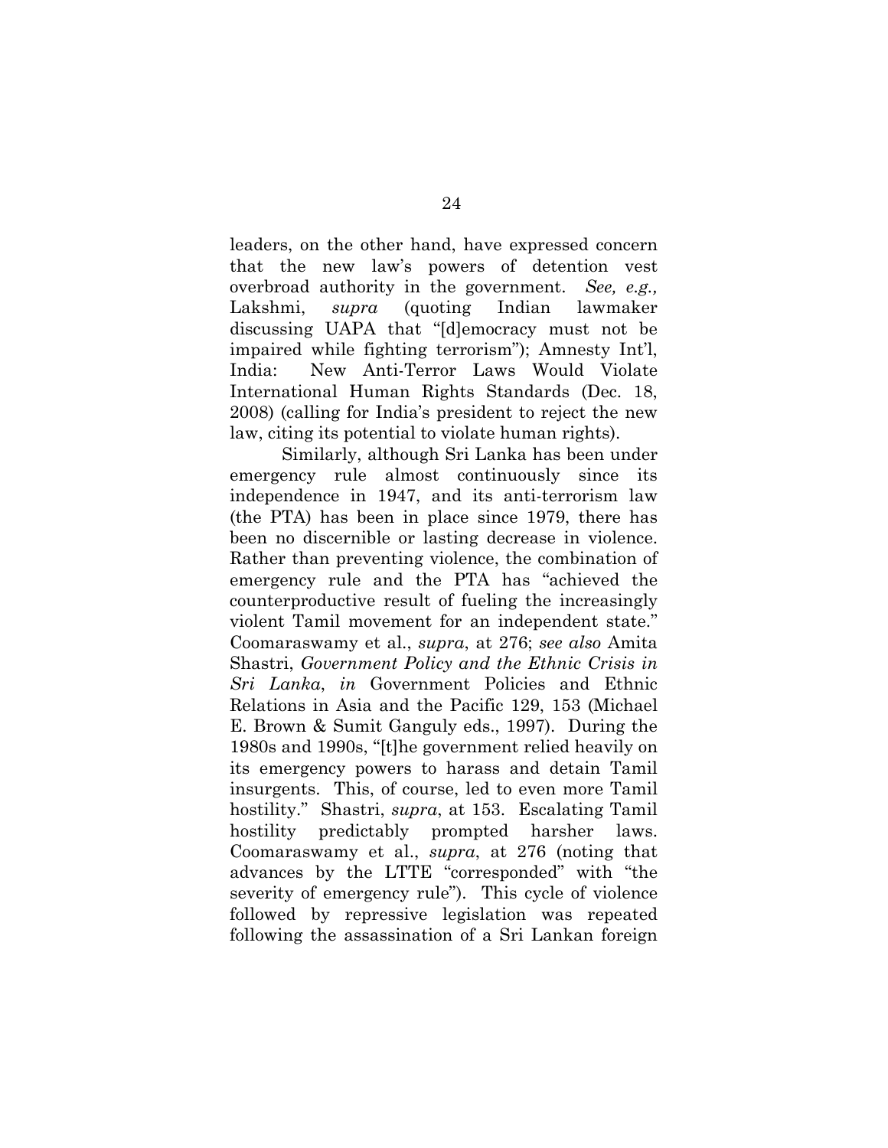leaders, on the other hand, have expressed concern that the new law's powers of detention vest overbroad authority in the government. *See, e.g.,*  Lakshmi, *supra* (quoting Indian lawmaker discussing UAPA that "[d]emocracy must not be impaired while fighting terrorism"); Amnesty Int'l, India: New Anti-Terror Laws Would Violate International Human Rights Standards (Dec. 18, 2008) (calling for India's president to reject the new law, citing its potential to violate human rights).

Similarly, although Sri Lanka has been under emergency rule almost continuously since its independence in 1947, and its anti-terrorism law (the PTA) has been in place since 1979, there has been no discernible or lasting decrease in violence. Rather than preventing violence, the combination of emergency rule and the PTA has "achieved the counterproductive result of fueling the increasingly violent Tamil movement for an independent state." Coomaraswamy et al., *supra*, at 276; *see also* Amita Shastri, *Government Policy and the Ethnic Crisis in Sri Lanka*, *in* Government Policies and Ethnic Relations in Asia and the Pacific 129, 153 (Michael E. Brown & Sumit Ganguly eds., 1997). During the 1980s and 1990s, "[t]he government relied heavily on its emergency powers to harass and detain Tamil insurgents. This, of course, led to even more Tamil hostility." Shastri, *supra*, at 153. Escalating Tamil hostility predictably prompted harsher laws. Coomaraswamy et al., *supra*, at 276 (noting that advances by the LTTE "corresponded" with "the severity of emergency rule"). This cycle of violence followed by repressive legislation was repeated following the assassination of a Sri Lankan foreign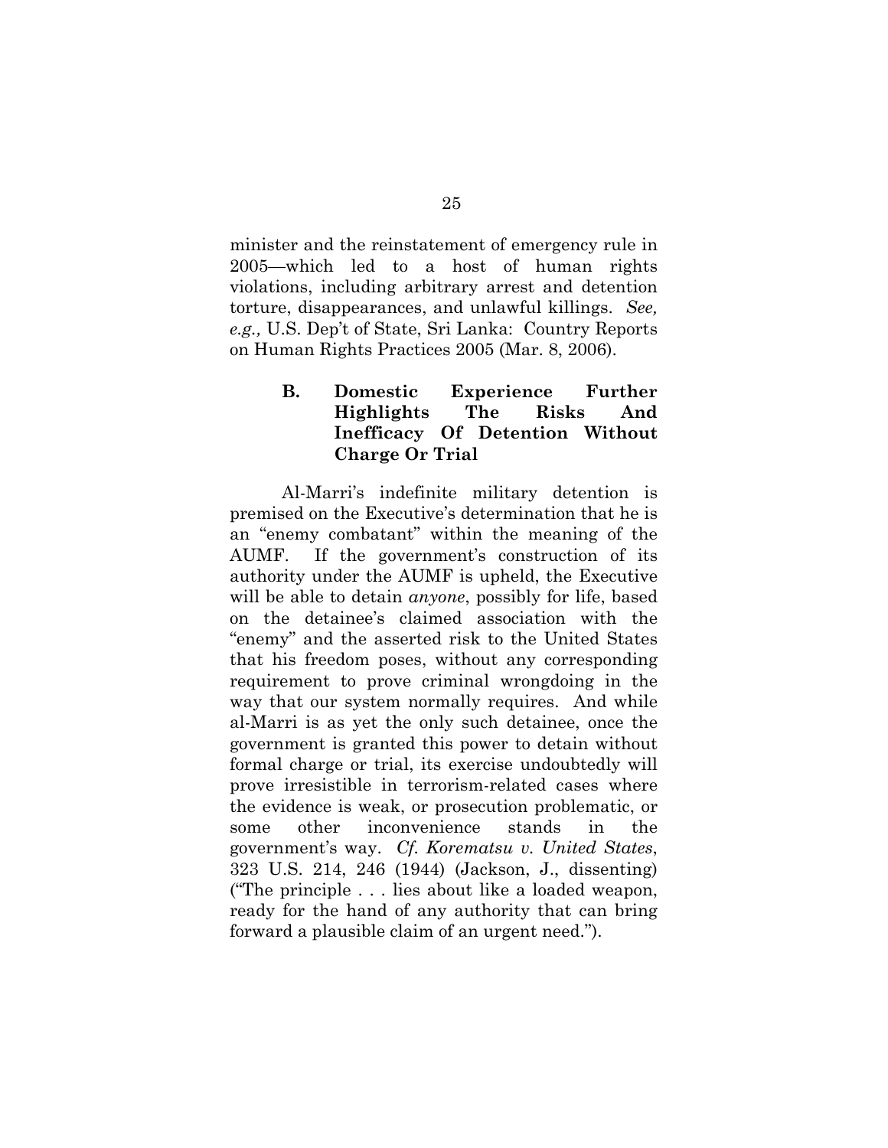minister and the reinstatement of emergency rule in 2005—which led to a host of human rights violations, including arbitrary arrest and detention torture, disappearances, and unlawful killings. *See, e.g.,* U.S. Dep't of State, Sri Lanka: Country Reports on Human Rights Practices 2005 (Mar. 8, 2006).

## **B. Domestic Experience Further Highlights The Risks And Inefficacy Of Detention Without Charge Or Trial**

Al-Marri's indefinite military detention is premised on the Executive's determination that he is an "enemy combatant" within the meaning of the AUMF. If the government's construction of its authority under the AUMF is upheld, the Executive will be able to detain *anyone*, possibly for life, based on the detainee's claimed association with the "enemy" and the asserted risk to the United States that his freedom poses, without any corresponding requirement to prove criminal wrongdoing in the way that our system normally requires. And while al-Marri is as yet the only such detainee, once the government is granted this power to detain without formal charge or trial, its exercise undoubtedly will prove irresistible in terrorism-related cases where the evidence is weak, or prosecution problematic, or some other inconvenience stands in the government's way. *Cf. Korematsu v. United States*, 323 U.S. 214, 246 (1944) (Jackson, J., dissenting) ("The principle . . . lies about like a loaded weapon, ready for the hand of any authority that can bring forward a plausible claim of an urgent need.").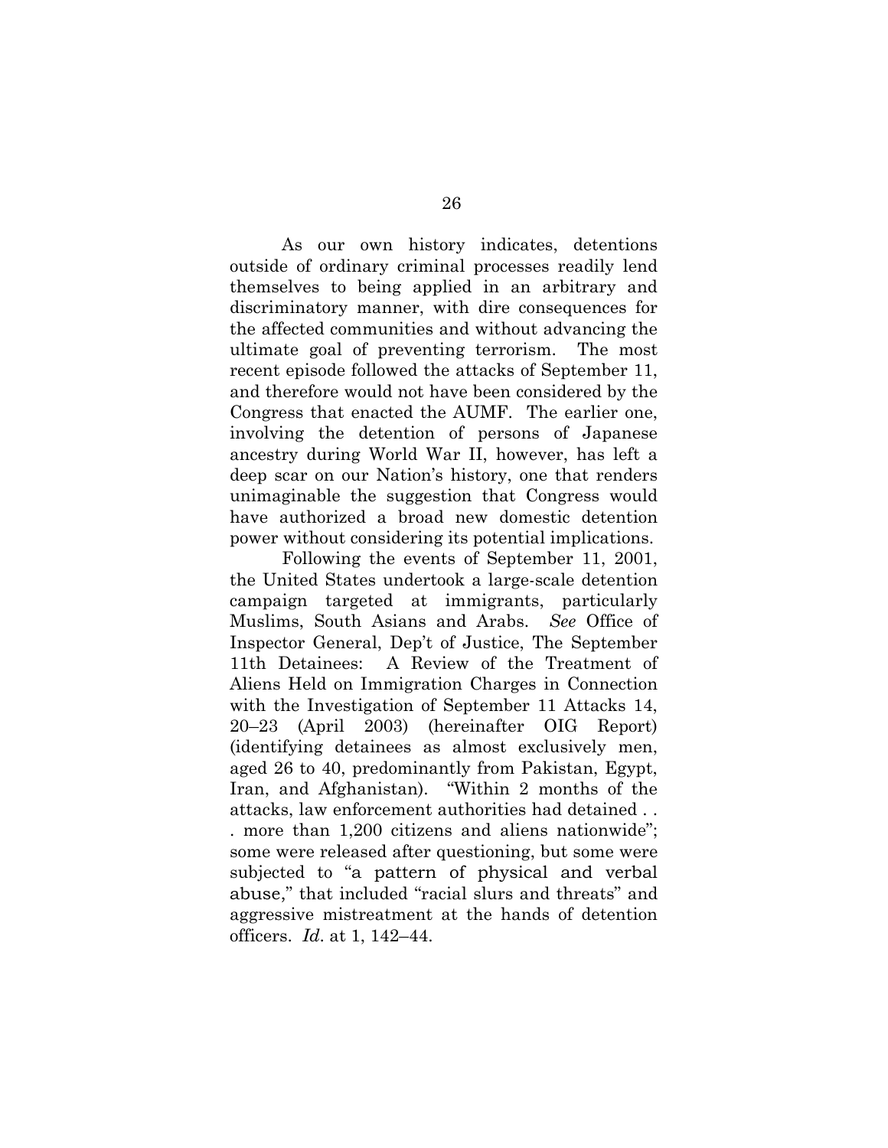As our own history indicates, detentions outside of ordinary criminal processes readily lend themselves to being applied in an arbitrary and discriminatory manner, with dire consequences for the affected communities and without advancing the ultimate goal of preventing terrorism. The most recent episode followed the attacks of September 11, and therefore would not have been considered by the Congress that enacted the AUMF. The earlier one, involving the detention of persons of Japanese ancestry during World War II, however, has left a deep scar on our Nation's history, one that renders unimaginable the suggestion that Congress would have authorized a broad new domestic detention power without considering its potential implications.

Following the events of September 11, 2001, the United States undertook a large-scale detention campaign targeted at immigrants, particularly Muslims, South Asians and Arabs. *See* Office of Inspector General, Dep't of Justice, The September 11th Detainees: A Review of the Treatment of Aliens Held on Immigration Charges in Connection with the Investigation of September 11 Attacks 14, 20–23 (April 2003) (hereinafter OIG Report) (identifying detainees as almost exclusively men, aged 26 to 40, predominantly from Pakistan, Egypt, Iran, and Afghanistan). "Within 2 months of the attacks, law enforcement authorities had detained . . . more than 1,200 citizens and aliens nationwide"; some were released after questioning, but some were subjected to "a pattern of physical and verbal abuse," that included "racial slurs and threats" and aggressive mistreatment at the hands of detention officers. *Id*. at 1, 142–44.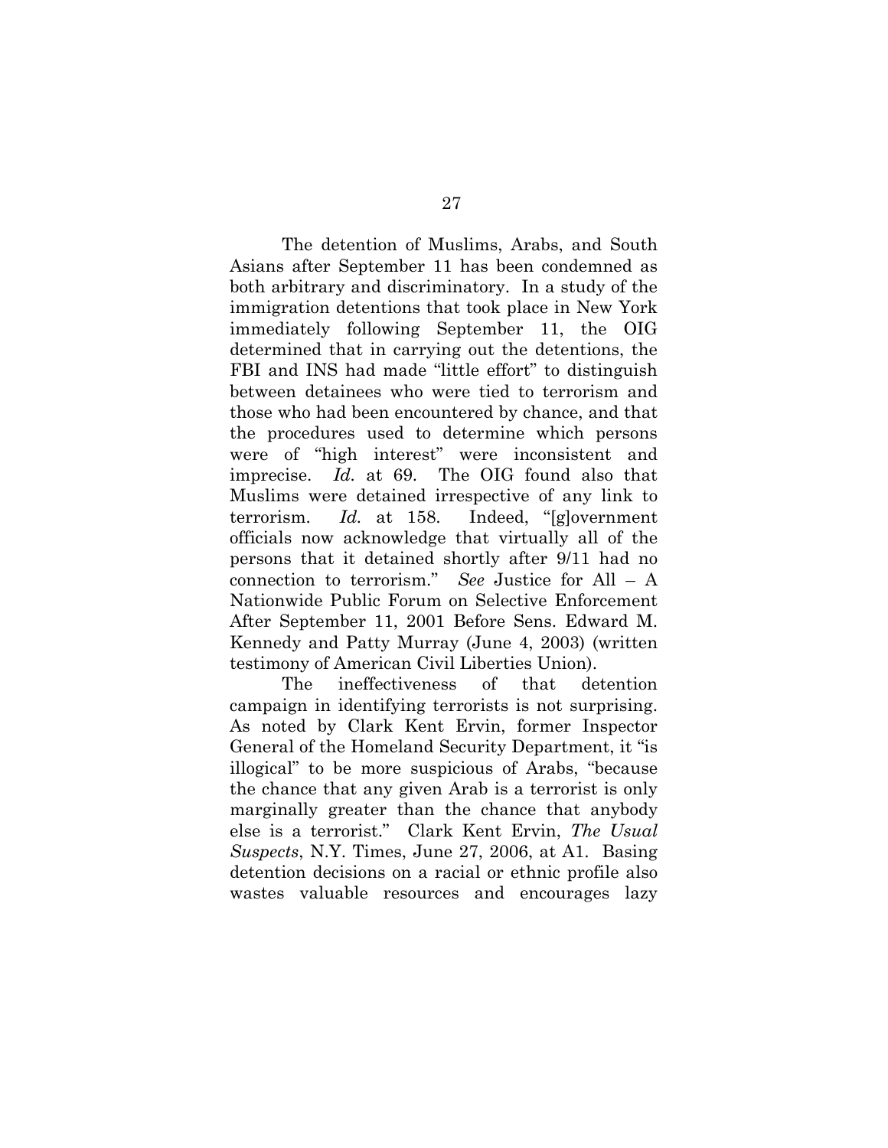The detention of Muslims, Arabs, and South Asians after September 11 has been condemned as both arbitrary and discriminatory. In a study of the immigration detentions that took place in New York immediately following September 11, the OIG determined that in carrying out the detentions, the FBI and INS had made "little effort" to distinguish between detainees who were tied to terrorism and those who had been encountered by chance, and that the procedures used to determine which persons were of "high interest" were inconsistent and imprecise. *Id.* at 69. The OIG found also that Muslims were detained irrespective of any link to terrorism. *Id.* at 158. Indeed, "[g]overnment officials now acknowledge that virtually all of the persons that it detained shortly after 9/11 had no connection to terrorism." *See* Justice for All – A Nationwide Public Forum on Selective Enforcement After September 11, 2001 Before Sens. Edward M. Kennedy and Patty Murray (June 4, 2003) (written testimony of American Civil Liberties Union).

The ineffectiveness of that detention campaign in identifying terrorists is not surprising. As noted by Clark Kent Ervin, former Inspector General of the Homeland Security Department, it "is illogical" to be more suspicious of Arabs, "because the chance that any given Arab is a terrorist is only marginally greater than the chance that anybody else is a terrorist." Clark Kent Ervin, *The Usual Suspects*, N.Y. Times, June 27, 2006, at A1. Basing detention decisions on a racial or ethnic profile also wastes valuable resources and encourages lazy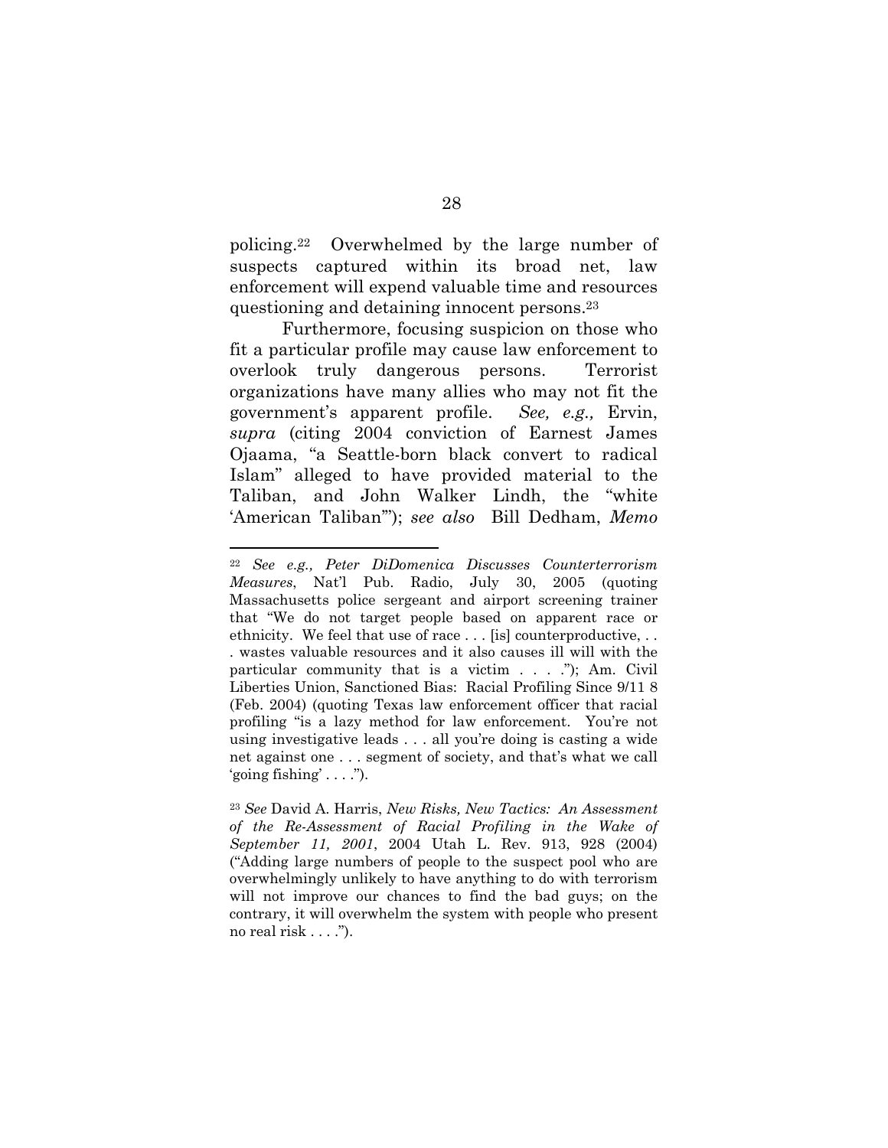policing.22 Overwhelmed by the large number of suspects captured within its broad net, law enforcement will expend valuable time and resources questioning and detaining innocent persons.23

Furthermore, focusing suspicion on those who fit a particular profile may cause law enforcement to overlook truly dangerous persons. Terrorist organizations have many allies who may not fit the government's apparent profile. *See, e.g.,* Ervin, *supra* (citing 2004 conviction of Earnest James Ojaama, "a Seattle-born black convert to radical Islam" alleged to have provided material to the Taliban, and John Walker Lindh, the "white 'American Taliban'"); *see also* Bill Dedham, *Memo* 

<sup>22</sup> *See e.g., Peter DiDomenica Discusses Counterterrorism Measures*, Nat'l Pub. Radio, July 30, 2005 (quoting Massachusetts police sergeant and airport screening trainer that "We do not target people based on apparent race or ethnicity. We feel that use of race . . . [is] counterproductive, . . . wastes valuable resources and it also causes ill will with the particular community that is a victim . . . ."); Am. Civil Liberties Union, Sanctioned Bias: Racial Profiling Since 9/11 8 (Feb. 2004) (quoting Texas law enforcement officer that racial profiling "is a lazy method for law enforcement. You're not using investigative leads . . . all you're doing is casting a wide net against one . . . segment of society, and that's what we call 'going fishing'  $\ldots$ ").

<sup>23</sup> *See* David A. Harris, *New Risks, New Tactics: An Assessment of the Re-Assessment of Racial Profiling in the Wake of September 11, 2001*, 2004 Utah L. Rev. 913, 928 (2004) ("Adding large numbers of people to the suspect pool who are overwhelmingly unlikely to have anything to do with terrorism will not improve our chances to find the bad guys; on the contrary, it will overwhelm the system with people who present no real risk . . . .").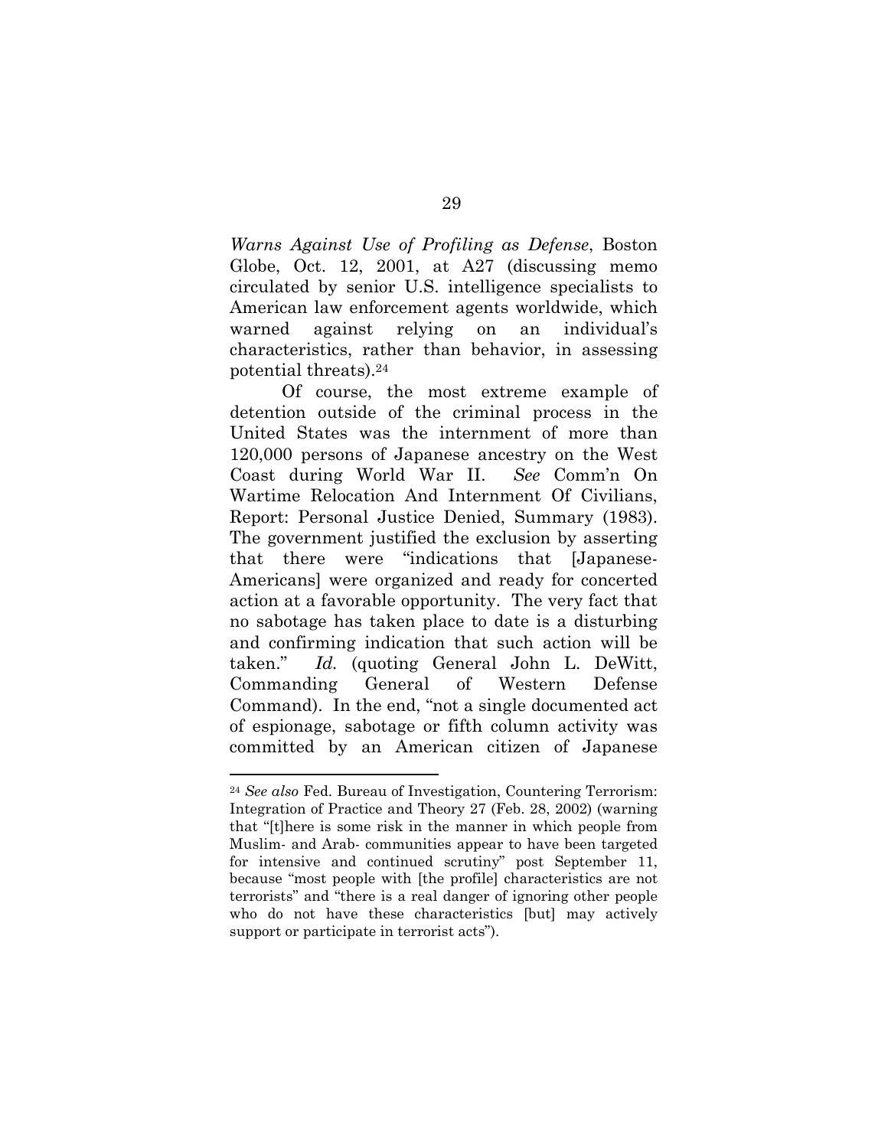*Warns Against Use of Profiling as Defense*, Boston Globe, Oct. 12, 2001, at A27 (discussing memo circulated by senior U.S. intelligence specialists to American law enforcement agents worldwide, which warned against relying on an individual's characteristics, rather than behavior, in assessing potential threats).24

Of course, the most extreme example of detention outside of the criminal process in the United States was the internment of more than 120,000 persons of Japanese ancestry on the West Coast during World War II. *See* Comm'n On Wartime Relocation And Internment Of Civilians, Report: Personal Justice Denied, Summary (1983). The government justified the exclusion by asserting that there were "indications that [Japanese-Americans] were organized and ready for concerted action at a favorable opportunity. The very fact that no sabotage has taken place to date is a disturbing and confirming indication that such action will be taken." *Id.* (quoting General John L. DeWitt, Commanding General of Western Defense Command). In the end, "not a single documented act of espionage, sabotage or fifth column activity was committed by an American citizen of Japanese

<sup>24</sup> *See also* Fed. Bureau of Investigation, Countering Terrorism: Integration of Practice and Theory 27 (Feb. 28, 2002) (warning that "[t]here is some risk in the manner in which people from Muslim- and Arab- communities appear to have been targeted for intensive and continued scrutiny" post September 11, because "most people with [the profile] characteristics are not terrorists" and "there is a real danger of ignoring other people who do not have these characteristics [but] may actively support or participate in terrorist acts").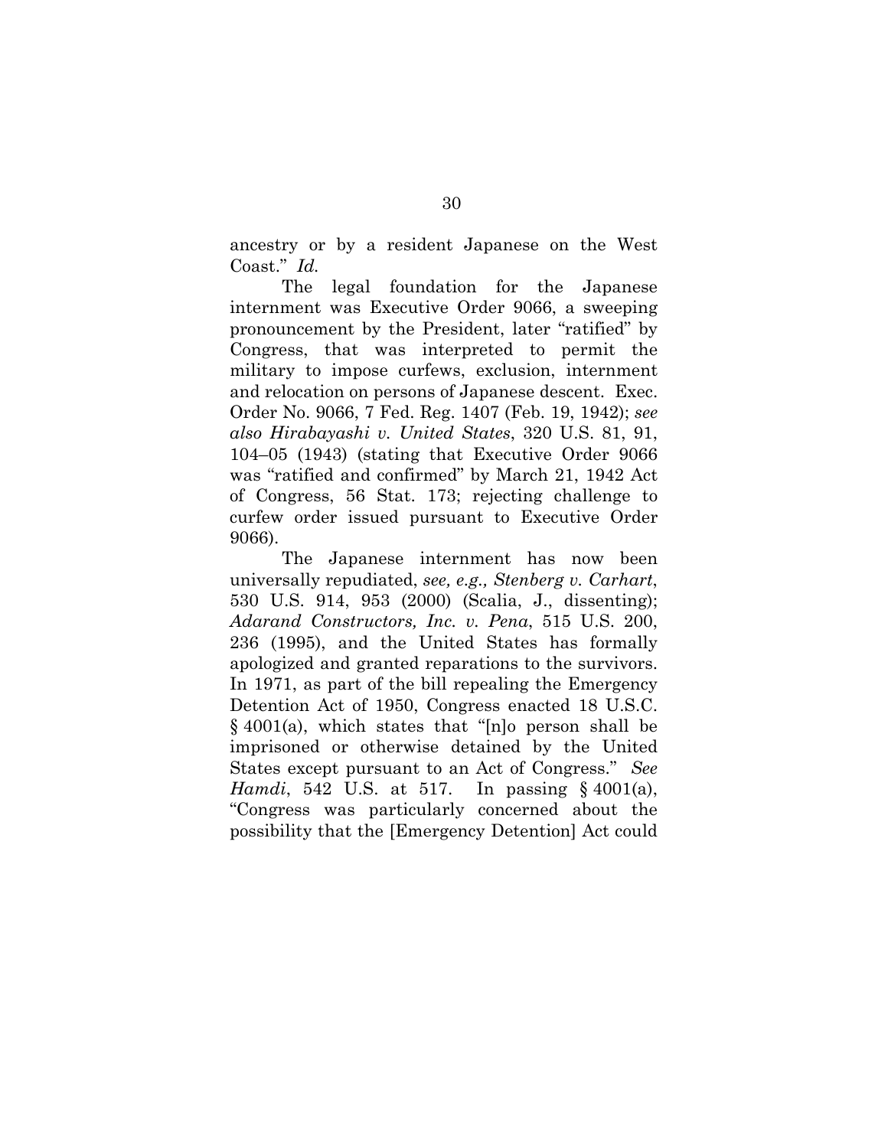ancestry or by a resident Japanese on the West Coast." *Id.*

The legal foundation for the Japanese internment was Executive Order 9066, a sweeping pronouncement by the President, later "ratified" by Congress, that was interpreted to permit the military to impose curfews, exclusion, internment and relocation on persons of Japanese descent. Exec. Order No. 9066, 7 Fed. Reg. 1407 (Feb. 19, 1942); *see also Hirabayashi v. United States*, 320 U.S. 81, 91, 104–05 (1943) (stating that Executive Order 9066 was "ratified and confirmed" by March 21, 1942 Act of Congress, 56 Stat. 173; rejecting challenge to curfew order issued pursuant to Executive Order 9066).

The Japanese internment has now been universally repudiated, *see, e.g., Stenberg v. Carhart*, 530 U.S. 914, 953 (2000) (Scalia, J., dissenting); *Adarand Constructors, Inc. v. Pena*, 515 U.S. 200, 236 (1995), and the United States has formally apologized and granted reparations to the survivors. In 1971, as part of the bill repealing the Emergency Detention Act of 1950, Congress enacted 18 U.S.C. § 4001(a), which states that "[n]o person shall be imprisoned or otherwise detained by the United States except pursuant to an Act of Congress." *See Hamdi*, 542 U.S. at 517. In passing § 4001(a), "Congress was particularly concerned about the possibility that the [Emergency Detention] Act could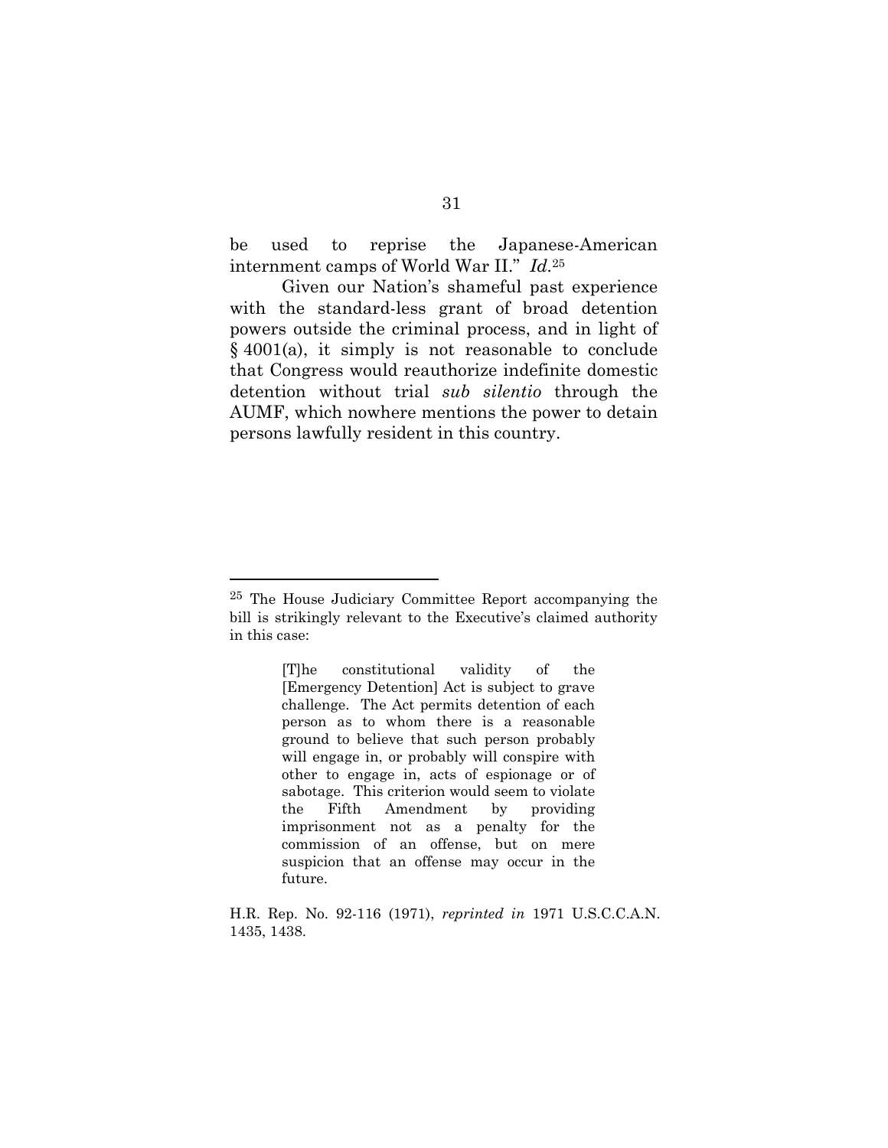be used to reprise the Japanese-American internment camps of World War II." *Id.*<sup>25</sup>

Given our Nation's shameful past experience with the standard-less grant of broad detention powers outside the criminal process, and in light of  $§$  4001(a), it simply is not reasonable to conclude that Congress would reauthorize indefinite domestic detention without trial *sub silentio* through the AUMF, which nowhere mentions the power to detain persons lawfully resident in this country.

<sup>25</sup> The House Judiciary Committee Report accompanying the bill is strikingly relevant to the Executive's claimed authority in this case:

<sup>[</sup>T]he constitutional validity of the [Emergency Detention] Act is subject to grave challenge. The Act permits detention of each person as to whom there is a reasonable ground to believe that such person probably will engage in, or probably will conspire with other to engage in, acts of espionage or of sabotage. This criterion would seem to violate the Fifth Amendment by providing imprisonment not as a penalty for the commission of an offense, but on mere suspicion that an offense may occur in the future.

H.R. Rep. No. 92-116 (1971), *reprinted in* 1971 U.S.C.C.A.N. 1435, 1438.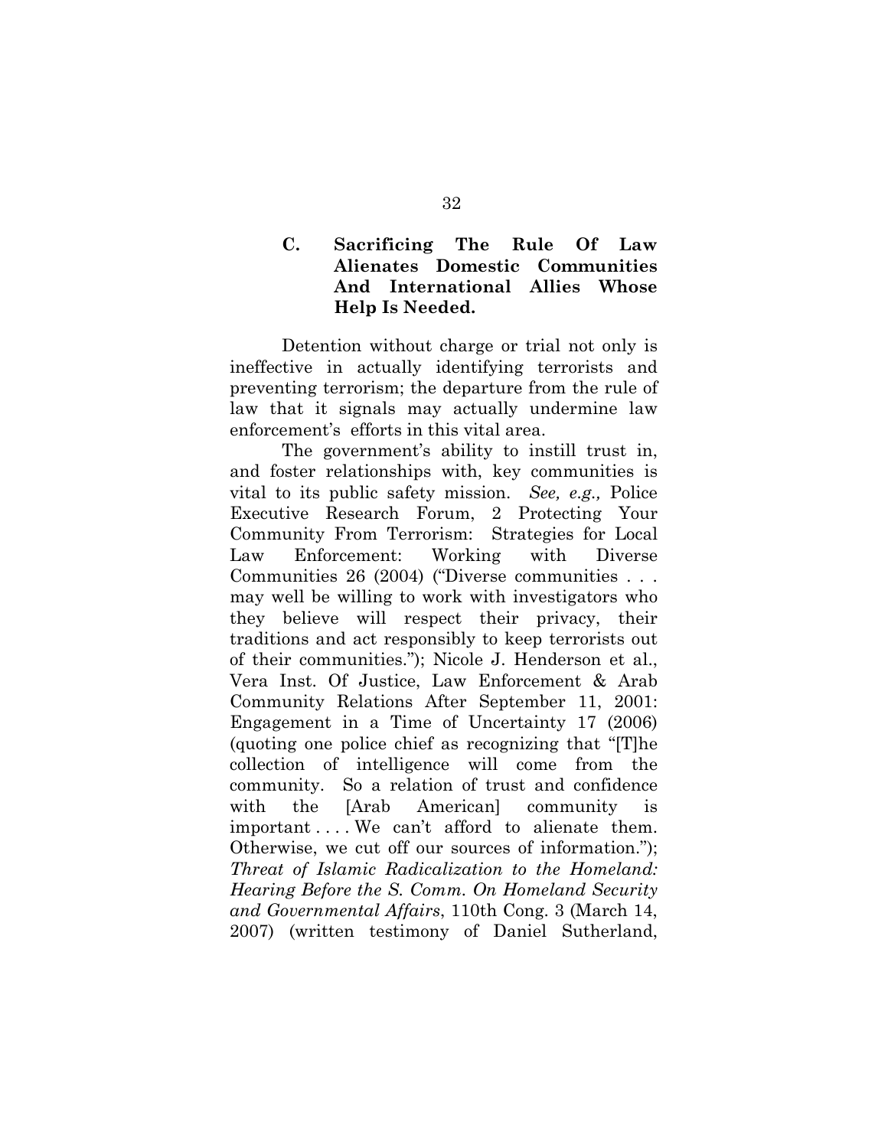## **C. Sacrificing The Rule Of Law Alienates Domestic Communities And International Allies Whose Help Is Needed.**

Detention without charge or trial not only is ineffective in actually identifying terrorists and preventing terrorism; the departure from the rule of law that it signals may actually undermine law enforcement's efforts in this vital area.

The government's ability to instill trust in, and foster relationships with, key communities is vital to its public safety mission. *See, e.g.,* Police Executive Research Forum, 2 Protecting Your Community From Terrorism: Strategies for Local Law Enforcement: Working with Diverse Communities 26 (2004) ("Diverse communities . . . may well be willing to work with investigators who they believe will respect their privacy, their traditions and act responsibly to keep terrorists out of their communities."); Nicole J. Henderson et al., Vera Inst. Of Justice, Law Enforcement & Arab Community Relations After September 11, 2001: Engagement in a Time of Uncertainty 17 (2006) (quoting one police chief as recognizing that "[T]he collection of intelligence will come from the community. So a relation of trust and confidence with the [Arab American] community is important ... We can't afford to alienate them. Otherwise, we cut off our sources of information."); *Threat of Islamic Radicalization to the Homeland: Hearing Before the S. Comm. On Homeland Security and Governmental Affairs*, 110th Cong. 3 (March 14, 2007) (written testimony of Daniel Sutherland,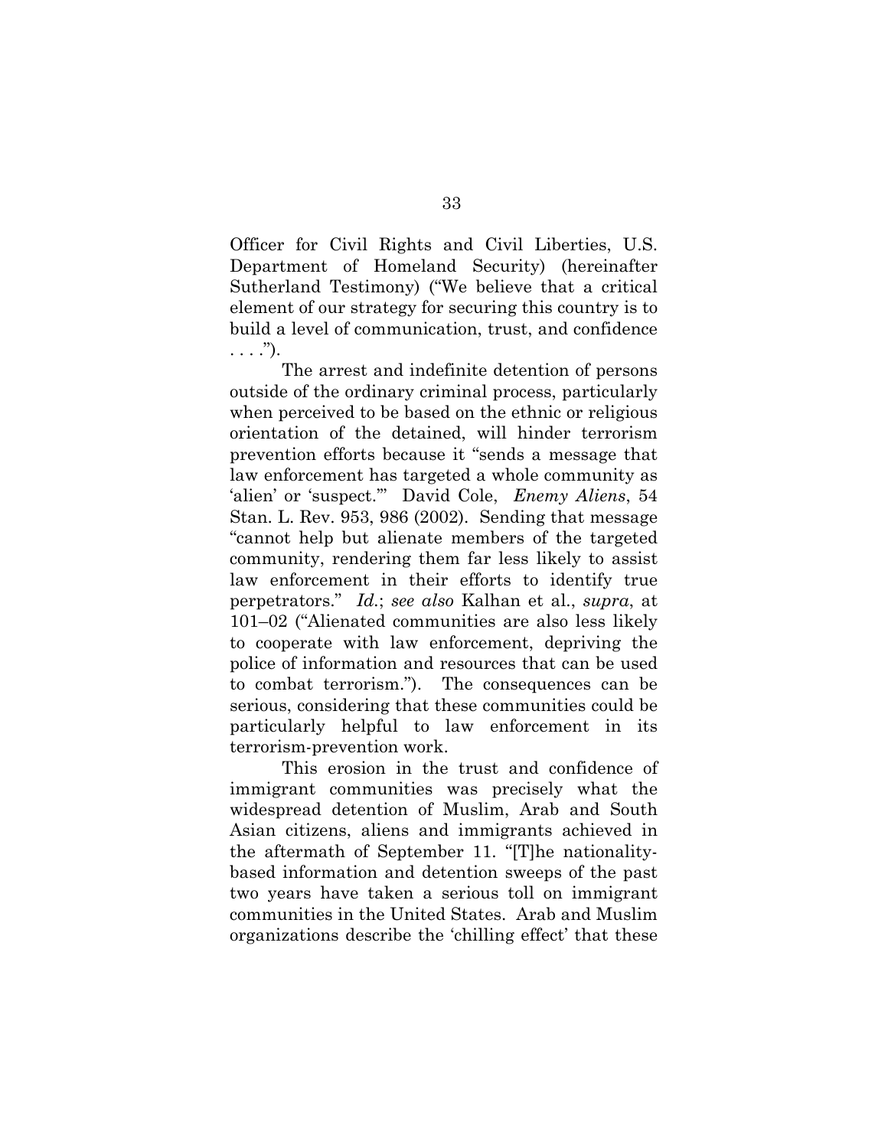Officer for Civil Rights and Civil Liberties, U.S. Department of Homeland Security) (hereinafter Sutherland Testimony) ("We believe that a critical element of our strategy for securing this country is to build a level of communication, trust, and confidence  $\ldots$ .").

The arrest and indefinite detention of persons outside of the ordinary criminal process, particularly when perceived to be based on the ethnic or religious orientation of the detained, will hinder terrorism prevention efforts because it "sends a message that law enforcement has targeted a whole community as 'alien' or 'suspect.'" David Cole, *Enemy Aliens*, 54 Stan. L. Rev. 953, 986 (2002). Sending that message "cannot help but alienate members of the targeted community, rendering them far less likely to assist law enforcement in their efforts to identify true perpetrators." *Id.*; *see also* Kalhan et al., *supra*, at 101–02 ("Alienated communities are also less likely to cooperate with law enforcement, depriving the police of information and resources that can be used to combat terrorism."). The consequences can be serious, considering that these communities could be particularly helpful to law enforcement in its terrorism-prevention work.

This erosion in the trust and confidence of immigrant communities was precisely what the widespread detention of Muslim, Arab and South Asian citizens, aliens and immigrants achieved in the aftermath of September 11. "[T]he nationalitybased information and detention sweeps of the past two years have taken a serious toll on immigrant communities in the United States. Arab and Muslim organizations describe the 'chilling effect' that these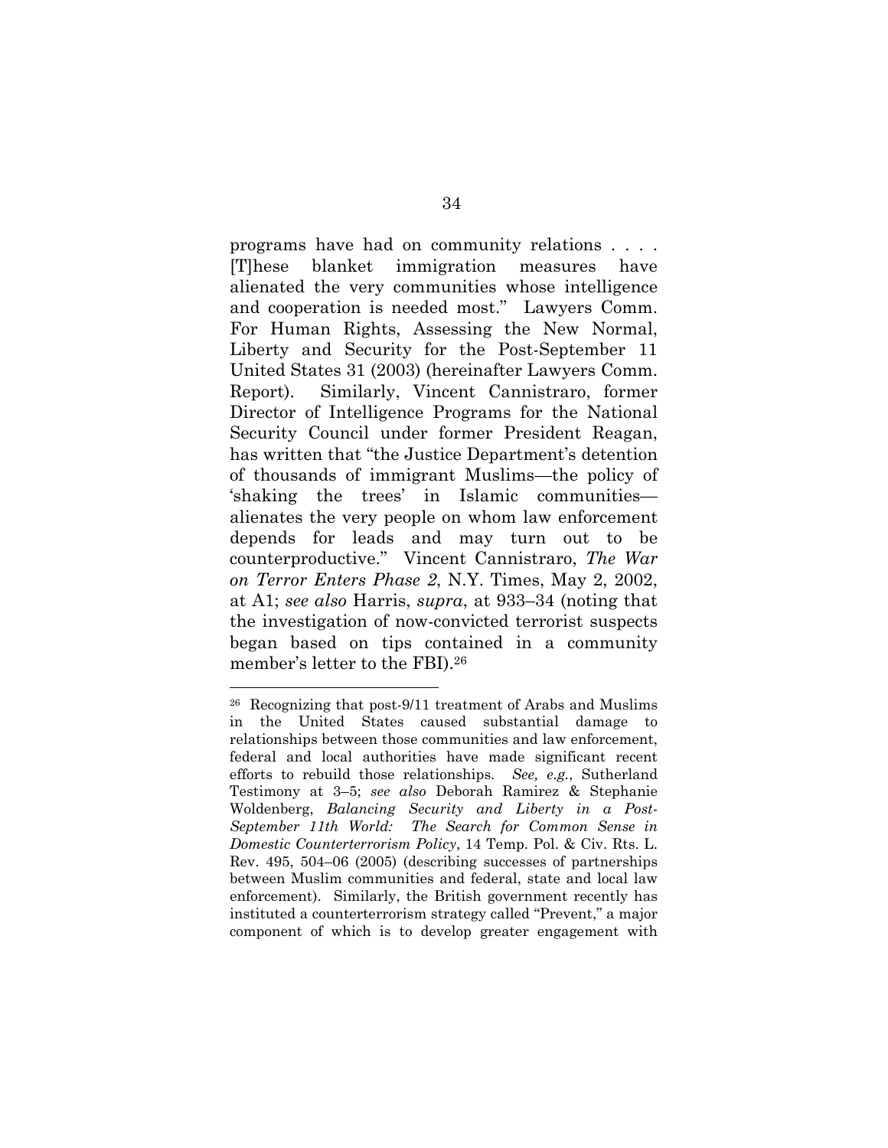programs have had on community relations . . . . [T]hese blanket immigration measures have alienated the very communities whose intelligence and cooperation is needed most." Lawyers Comm. For Human Rights, Assessing the New Normal, Liberty and Security for the Post-September 11 United States 31 (2003) (hereinafter Lawyers Comm. Report). Similarly, Vincent Cannistraro, former Director of Intelligence Programs for the National Security Council under former President Reagan, has written that "the Justice Department's detention of thousands of immigrant Muslims—the policy of 'shaking the trees' in Islamic communities alienates the very people on whom law enforcement depends for leads and may turn out to be counterproductive." Vincent Cannistraro, *The War on Terror Enters Phase 2*, N.Y. Times, May 2, 2002, at A1; *see also* Harris, *supra*, at 933–34 (noting that the investigation of now-convicted terrorist suspects began based on tips contained in a community member's letter to the FBI).26

<sup>26</sup> Recognizing that post-9/11 treatment of Arabs and Muslims in the United States caused substantial damage to relationships between those communities and law enforcement, federal and local authorities have made significant recent efforts to rebuild those relationships. *See, e.g.*, Sutherland Testimony at 3–5; *see also* Deborah Ramirez & Stephanie Woldenberg, *Balancing Security and Liberty in a Post-September 11th World: The Search for Common Sense in Domestic Counterterrorism Policy*, 14 Temp. Pol. & Civ. Rts. L. Rev. 495, 504–06 (2005) (describing successes of partnerships between Muslim communities and federal, state and local law enforcement). Similarly, the British government recently has instituted a counterterrorism strategy called "Prevent," a major component of which is to develop greater engagement with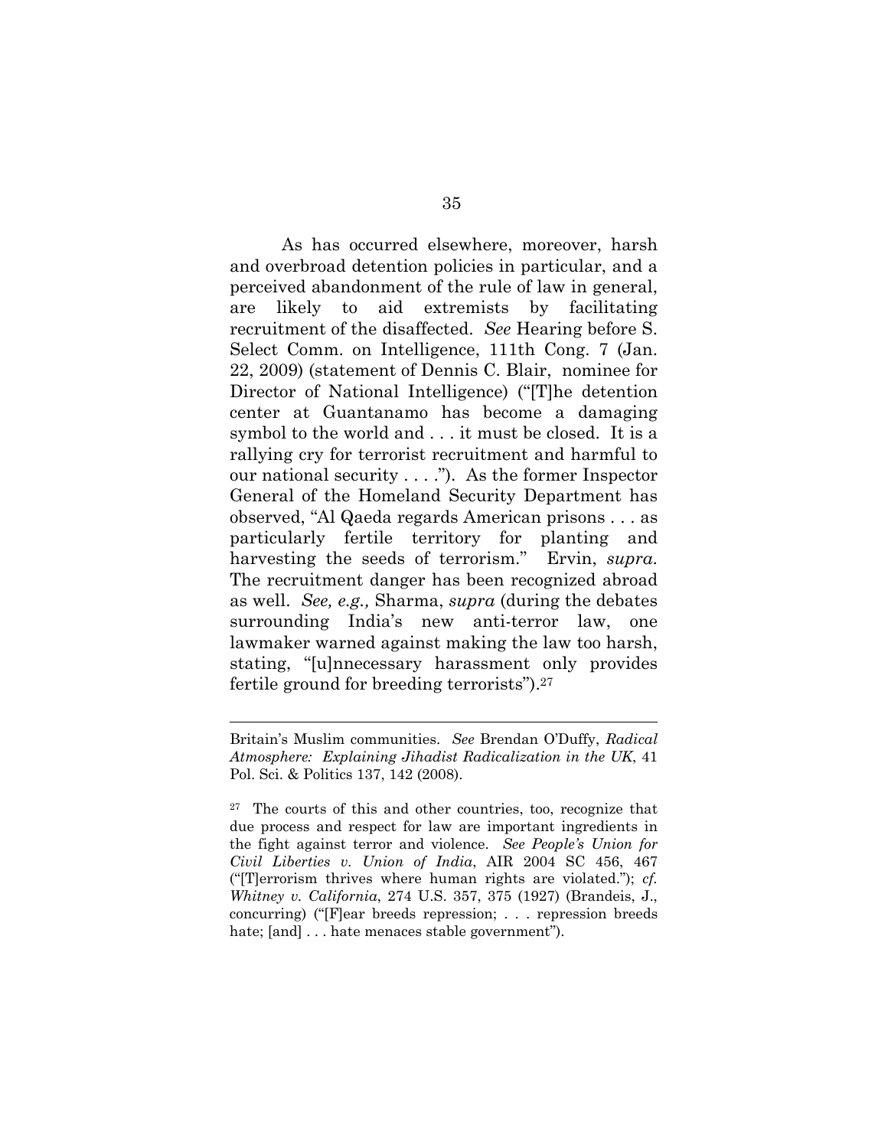As has occurred elsewhere, moreover, harsh and overbroad detention policies in particular, and a perceived abandonment of the rule of law in general, are likely to aid extremists by facilitating recruitment of the disaffected. *See* Hearing before S. Select Comm. on Intelligence, 111th Cong. 7 (Jan. 22, 2009) (statement of Dennis C. Blair, nominee for Director of National Intelligence) ("[T]he detention center at Guantanamo has become a damaging symbol to the world and . . . it must be closed. It is a rallying cry for terrorist recruitment and harmful to our national security . . . ."). As the former Inspector General of the Homeland Security Department has observed, "Al Qaeda regards American prisons . . . as particularly fertile territory for planting and harvesting the seeds of terrorism." Ervin, *supra*. The recruitment danger has been recognized abroad as well. *See, e.g.,* Sharma, *supra* (during the debates surrounding India's new anti-terror law, one lawmaker warned against making the law too harsh, stating, "[u]nnecessary harassment only provides fertile ground for breeding terrorists").27

Britain's Muslim communities. *See* Brendan O'Duffy, *Radical Atmosphere: Explaining Jihadist Radicalization in the UK*, 41 Pol. Sci. & Politics 137, 142 (2008).

<sup>27</sup> The courts of this and other countries, too, recognize that due process and respect for law are important ingredients in the fight against terror and violence. *See People's Union for Civil Liberties v. Union of India*, AIR 2004 SC 456, 467 ("[T]errorism thrives where human rights are violated."); *cf. Whitney v. California*, 274 U.S. 357, 375 (1927) (Brandeis, J., concurring) ("[F]ear breeds repression; . . . repression breeds hate; [and] . . . hate menaces stable government").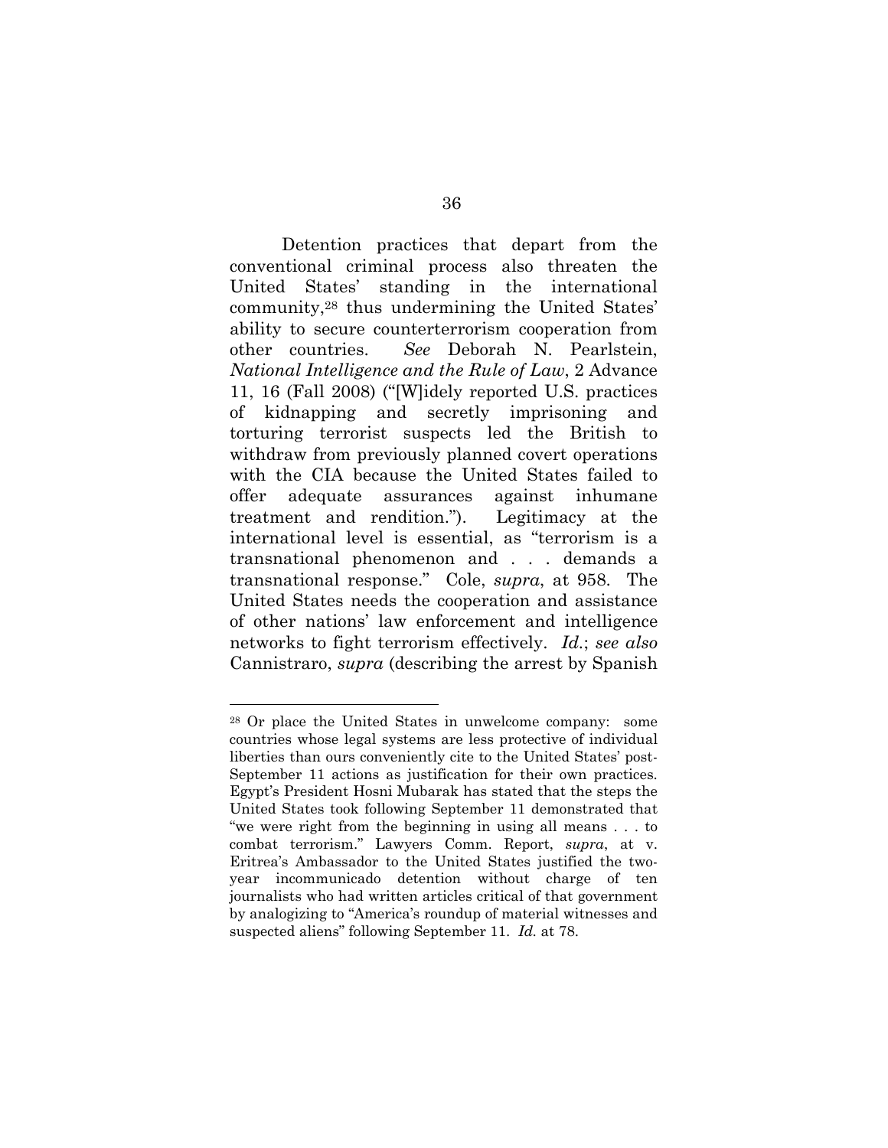Detention practices that depart from the conventional criminal process also threaten the United States' standing in the international community,28 thus undermining the United States' ability to secure counterterrorism cooperation from other countries. *See* Deborah N. Pearlstein, *National Intelligence and the Rule of Law*, 2 Advance 11, 16 (Fall 2008) ("[W]idely reported U.S. practices of kidnapping and secretly imprisoning and torturing terrorist suspects led the British to withdraw from previously planned covert operations with the CIA because the United States failed to offer adequate assurances against inhumane treatment and rendition."). Legitimacy at the international level is essential, as "terrorism is a transnational phenomenon and . . . demands a transnational response." Cole, *supra*, at 958. The United States needs the cooperation and assistance of other nations' law enforcement and intelligence networks to fight terrorism effectively. *Id.*; *see also*  Cannistraro, *supra* (describing the arrest by Spanish

<sup>28</sup> Or place the United States in unwelcome company: some countries whose legal systems are less protective of individual liberties than ours conveniently cite to the United States' post-September 11 actions as justification for their own practices. Egypt's President Hosni Mubarak has stated that the steps the United States took following September 11 demonstrated that "we were right from the beginning in using all means . . . to combat terrorism." Lawyers Comm. Report, *supra*, at v. Eritrea's Ambassador to the United States justified the twoyear incommunicado detention without charge of ten journalists who had written articles critical of that government by analogizing to "America's roundup of material witnesses and suspected aliens" following September 11. *Id.* at 78.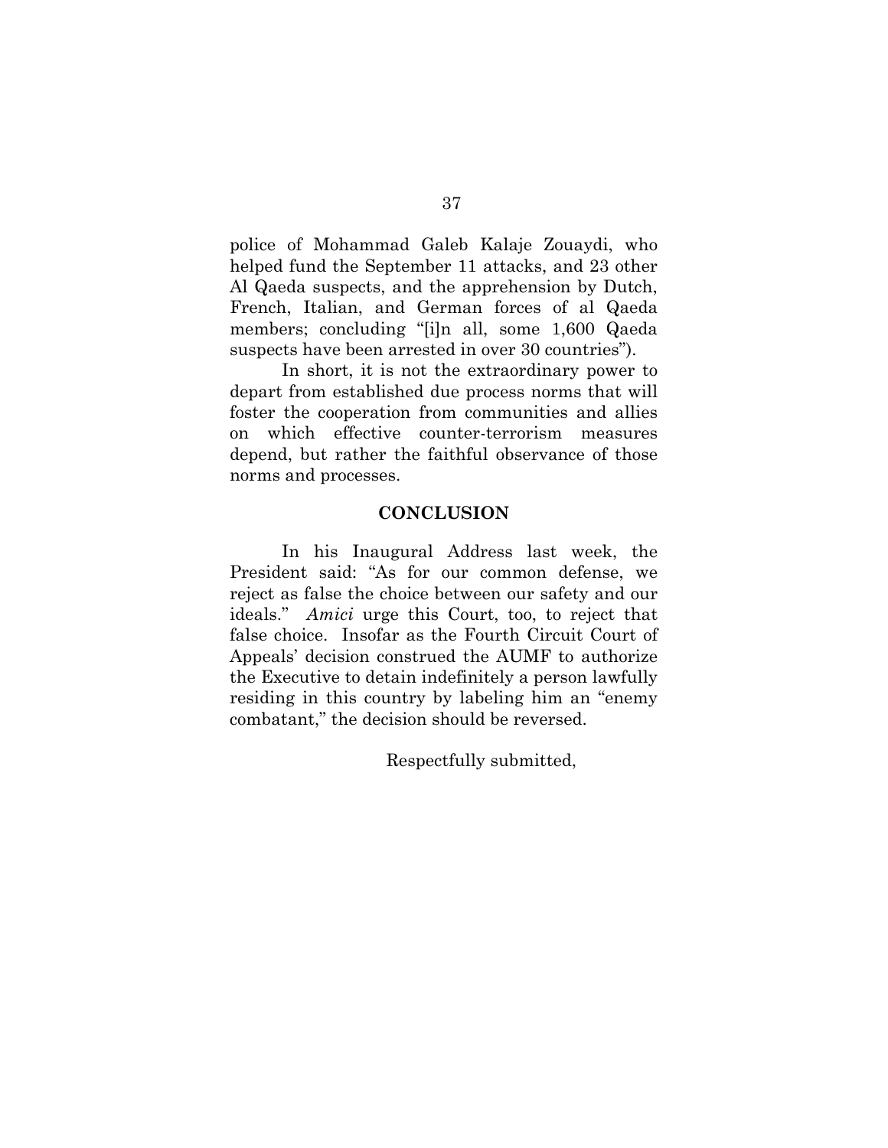police of Mohammad Galeb Kalaje Zouaydi, who helped fund the September 11 attacks, and 23 other Al Qaeda suspects, and the apprehension by Dutch, French, Italian, and German forces of al Qaeda members; concluding "[i]n all, some 1,600 Qaeda suspects have been arrested in over 30 countries").

In short, it is not the extraordinary power to depart from established due process norms that will foster the cooperation from communities and allies on which effective counter-terrorism measures depend, but rather the faithful observance of those norms and processes.

#### **CONCLUSION**

In his Inaugural Address last week, the President said: "As for our common defense, we reject as false the choice between our safety and our ideals." *Amici* urge this Court, too, to reject that false choice. Insofar as the Fourth Circuit Court of Appeals' decision construed the AUMF to authorize the Executive to detain indefinitely a person lawfully residing in this country by labeling him an "enemy combatant," the decision should be reversed.

Respectfully submitted,